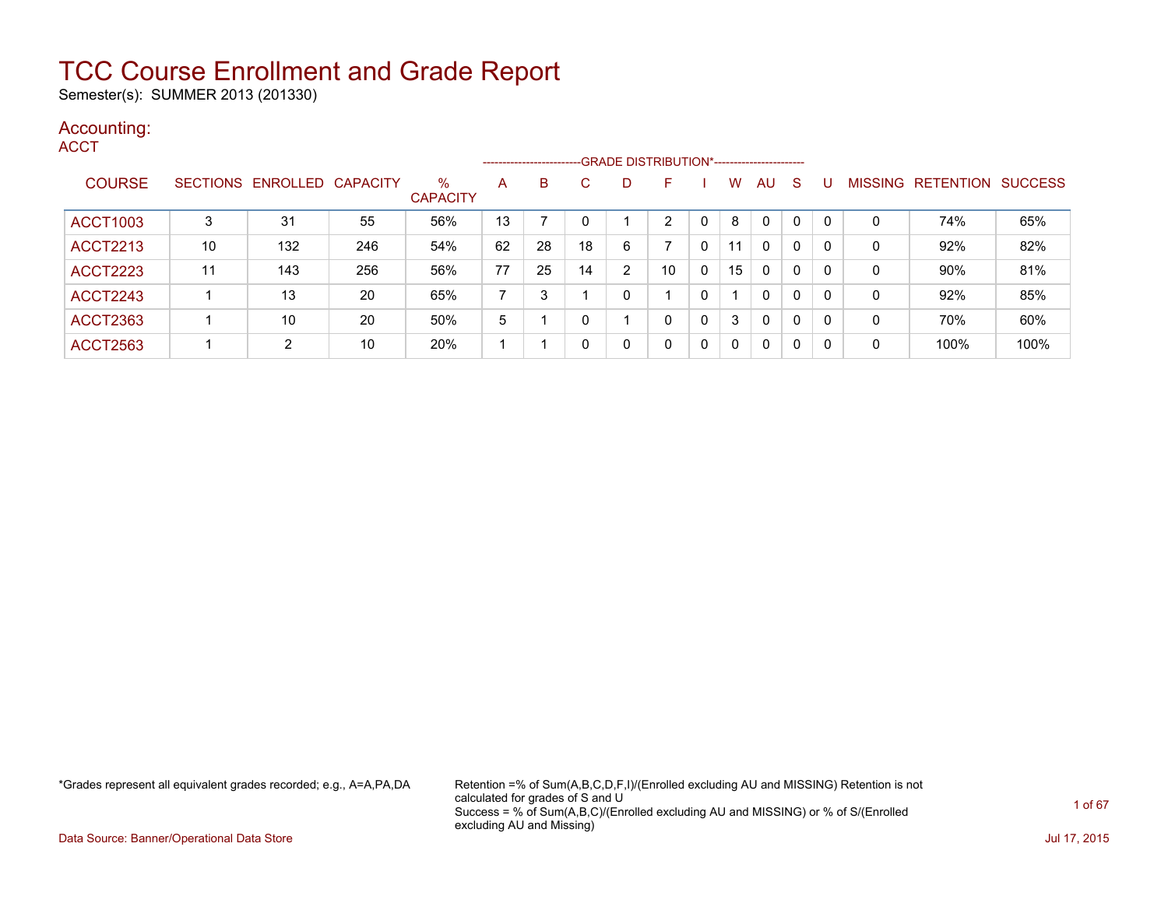Semester(s): SUMMER 2013 (201330)

### Accounting:

**ACCT** 

|                 |    |                            |     |                         |    | ------------------------- |    |                | --GRADE DISTRIBUTION*----------------------- |   |          |              |              |          |                |                  |                |
|-----------------|----|----------------------------|-----|-------------------------|----|---------------------------|----|----------------|----------------------------------------------|---|----------|--------------|--------------|----------|----------------|------------------|----------------|
| <b>COURSE</b>   |    | SECTIONS ENROLLED CAPACITY |     | $\%$<br><b>CAPACITY</b> | A  | B                         | C  | D              | F                                            |   | W        | AU           | <sub>S</sub> |          | <b>MISSING</b> | <b>RETENTION</b> | <b>SUCCESS</b> |
| <b>ACCT1003</b> | 3  | 31                         | 55  | 56%                     | 13 |                           |    |                | ົ                                            |   | 8        | $\mathbf{0}$ | 0            |          | 0              | 74%              | 65%            |
| <b>ACCT2213</b> | 10 | 132                        | 246 | 54%                     | 62 | 28                        | 18 | 6              |                                              | 0 | 11       | $\mathbf{0}$ | $\mathbf{0}$ | 0        | 0              | 92%              | 82%            |
| <b>ACCT2223</b> | 11 | 143                        | 256 | 56%                     | 77 | 25                        | 14 | $\overline{2}$ | 10                                           | 0 | 15       | $\mathbf{0}$ | 0            | -0       | 0              | 90%              | 81%            |
| <b>ACCT2243</b> |    | 13                         | 20  | 65%                     |    | 3                         |    | 0              |                                              | 0 |          | $\mathbf{0}$ | $\mathbf{0}$ | $\Omega$ | 0              | 92%              | 85%            |
| <b>ACCT2363</b> |    | 10                         | 20  | 50%                     | 5  |                           |    |                | 0                                            | 0 | 3        | 0            | 0            | C        | 0              | 70%              | 60%            |
| <b>ACCT2563</b> |    | $\overline{2}$             | 10  | 20%                     |    |                           |    | 0              | 0                                            | 0 | $\Omega$ | $\mathbf{0}$ | 0            | -0       | 0              | 100%             | 100%           |

\*Grades represent all equivalent grades recorded; e.g., A=A,PA,DA Retention =% of Sum(A,B,C,D,F,I)/(Enrolled excluding AU and MISSING) Retention is not calculated for grades of S and U Success = % of Sum(A,B,C)/(Enrolled excluding AU and MISSING) or % of S/(Enrolled excluding AU and Missing)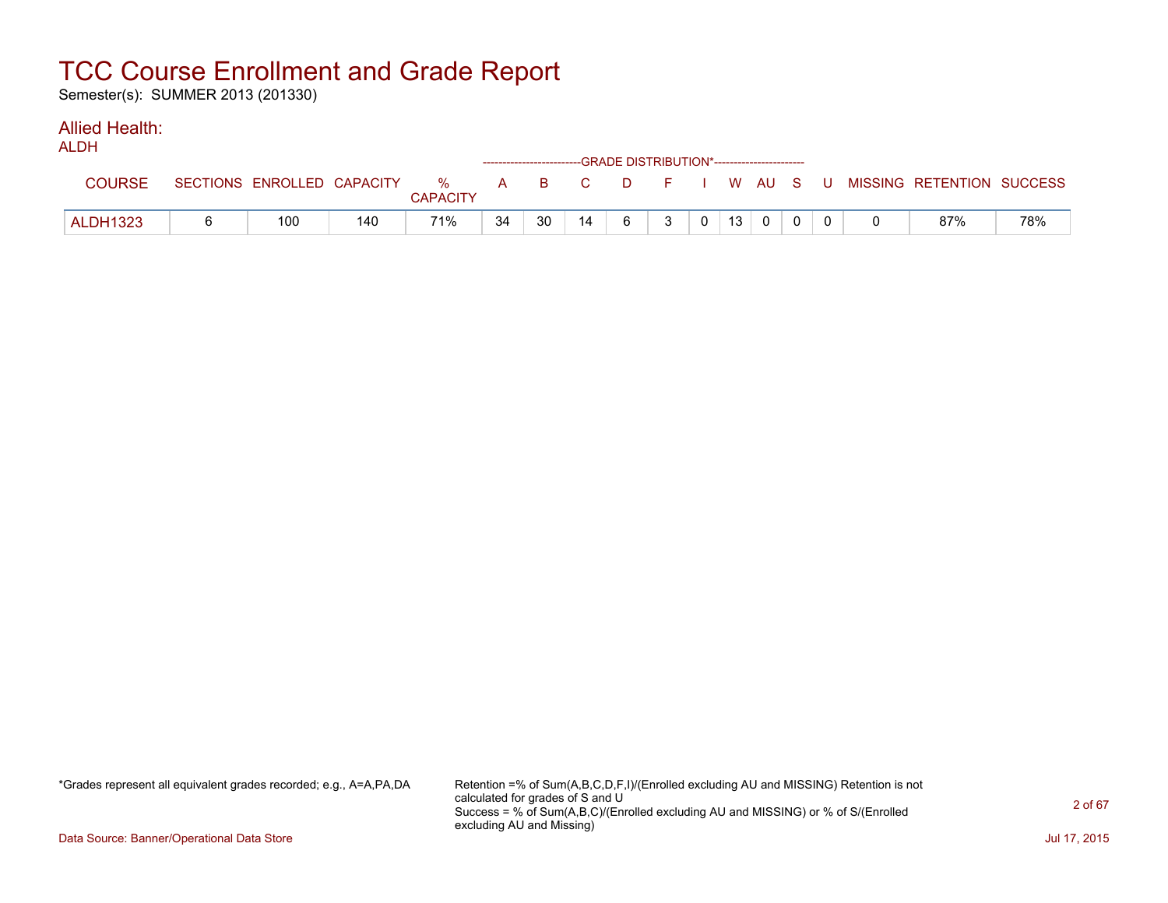Semester(s): SUMMER 2013 (201330)

#### Allied Health: ALDH<sub>1</sub>

| ALDH            |     |     |                 |    | ------------------------GRADE DISTRIBUTION*----------------------- |    |   |   |                |                 |          |  |                                                                             |     |
|-----------------|-----|-----|-----------------|----|--------------------------------------------------------------------|----|---|---|----------------|-----------------|----------|--|-----------------------------------------------------------------------------|-----|
| <b>COURSE</b>   |     |     | <b>CAPACITY</b> |    |                                                                    |    |   |   |                |                 |          |  | SECTIONS ENROLLED CAPACITY % A B C D F I W AU S U MISSING RETENTION SUCCESS |     |
| <b>ALDH1323</b> | 100 | 140 | 71%             | 34 | 30                                                                 | 14 | 6 | 3 | 0 <sup>1</sup> | 13 <sup>1</sup> | $\Omega$ |  | 87%                                                                         | 78% |

\*Grades represent all equivalent grades recorded; e.g., A=A,PA,DA Retention =% of Sum(A,B,C,D,F,I)/(Enrolled excluding AU and MISSING) Retention is not calculated for grades of S and U Success = % of Sum(A,B,C)/(Enrolled excluding AU and MISSING) or % of S/(Enrolled excluding AU and Missing)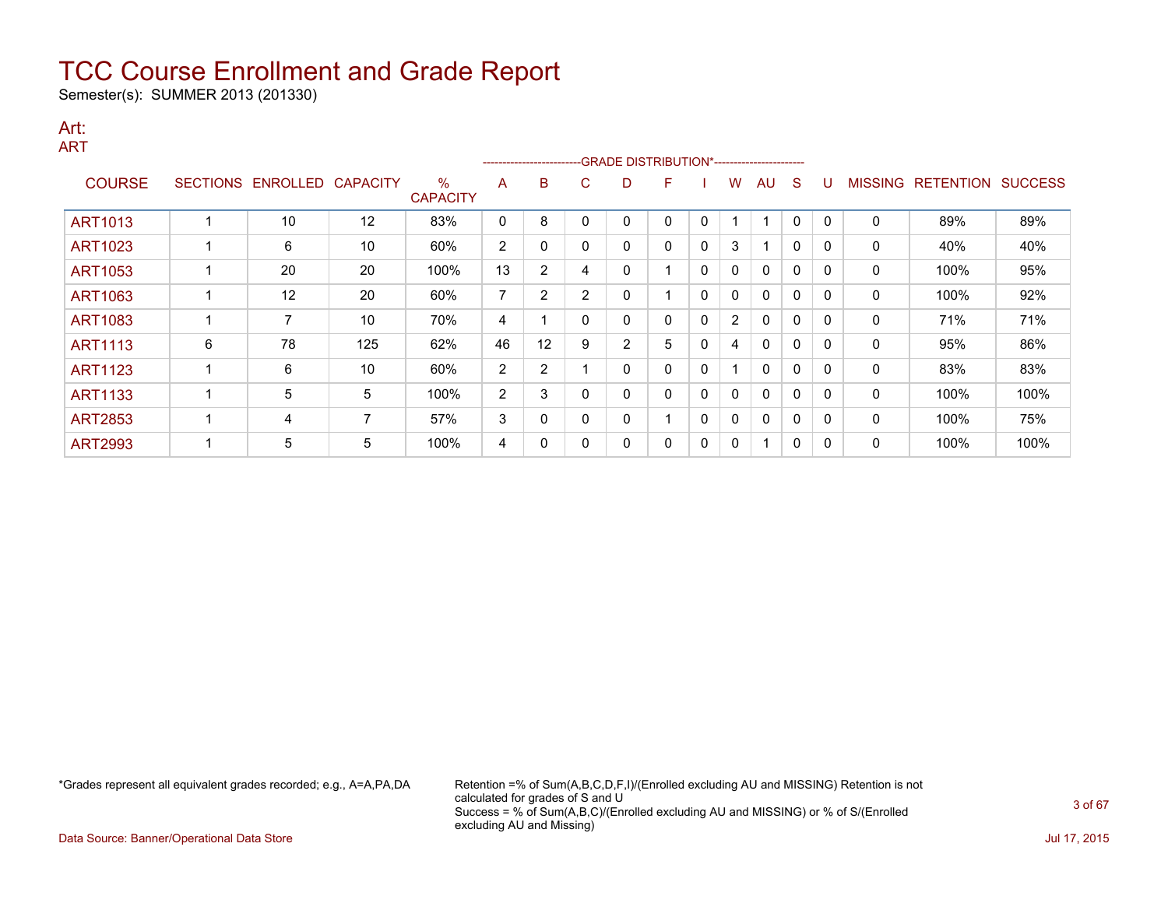Semester(s): SUMMER 2013 (201330)

#### Art: ART

|                |   |                   |                 |                         |    |                |    | -------------------------GRADE                DISTRIBUTION*--------------------- |   |              |                |              |              |          |                |                          |      |
|----------------|---|-------------------|-----------------|-------------------------|----|----------------|----|----------------------------------------------------------------------------------|---|--------------|----------------|--------------|--------------|----------|----------------|--------------------------|------|
| <b>COURSE</b>  |   | SECTIONS ENROLLED | <b>CAPACITY</b> | $\%$<br><b>CAPACITY</b> | A  | B              | C. | D                                                                                | F |              | w              | AU           | S            |          | <b>MISSING</b> | <b>RETENTION SUCCESS</b> |      |
| <b>ART1013</b> |   | 10                | 12              | 83%                     | 0  | 8              |    | 0                                                                                | 0 | 0            |                | -1           | 0            | $\Omega$ | 0              | 89%                      | 89%  |
| ART1023        |   | 6                 | 10              | 60%                     | 2  | 0              |    | 0                                                                                | 0 | 0            | 3              | 1            | $\mathbf{0}$ | $\Omega$ | 0              | 40%                      | 40%  |
| <b>ART1053</b> |   | 20                | 20              | 100%                    | 13 | $\overline{2}$ | 4  | 0                                                                                |   | $\mathbf{0}$ | 0              | $\mathbf{0}$ | $\mathbf{0}$ | $\Omega$ | 0              | 100%                     | 95%  |
| ART1063        |   | 12                | 20              | 60%                     | 7  | $\overline{2}$ | 2  | 0                                                                                |   | $\mathbf{0}$ | 0              | $\mathbf{0}$ | $\mathbf{0}$ | $\Omega$ | 0              | 100%                     | 92%  |
| <b>ART1083</b> |   | 7                 | 10              | 70%                     | 4  |                |    | 0                                                                                | 0 | $\mathbf{0}$ | $\overline{2}$ | $\mathbf{0}$ | $\mathbf{0}$ |          | 0              | 71%                      | 71%  |
| <b>ART1113</b> | 6 | 78                | 125             | 62%                     | 46 | 12             | 9  | 2                                                                                | 5 | 0            | 4              | $\mathbf{0}$ | $\mathbf{0}$ | $\Omega$ | 0              | 95%                      | 86%  |
| <b>ART1123</b> |   | 6                 | 10              | 60%                     | 2  | $\overline{2}$ |    | 0                                                                                | 0 | 0            |                | $\mathbf{0}$ | 0            | $\Omega$ | 0              | 83%                      | 83%  |
| <b>ART1133</b> |   | 5                 | 5               | 100%                    | 2  | 3              |    | 0                                                                                | 0 | 0            | 0              | $\mathbf{0}$ | 0            | $\Omega$ | 0              | 100%                     | 100% |
| <b>ART2853</b> |   | 4                 | 7               | 57%                     | 3  | 0              |    | 0                                                                                |   | 0            | 0              | $\mathbf{0}$ | 0            | $\Omega$ | 0              | 100%                     | 75%  |
| <b>ART2993</b> |   | 5                 | 5               | 100%                    | 4  | 0              |    | 0                                                                                | 0 | 0            | 0              | 1            | 0            | 0        | 0              | 100%                     | 100% |

\*Grades represent all equivalent grades recorded; e.g., A=A,PA,DA Retention =% of Sum(A,B,C,D,F,I)/(Enrolled excluding AU and MISSING) Retention is not calculated for grades of S and U Success = % of Sum(A,B,C)/(Enrolled excluding AU and MISSING) or % of S/(Enrolled excluding AU and Missing)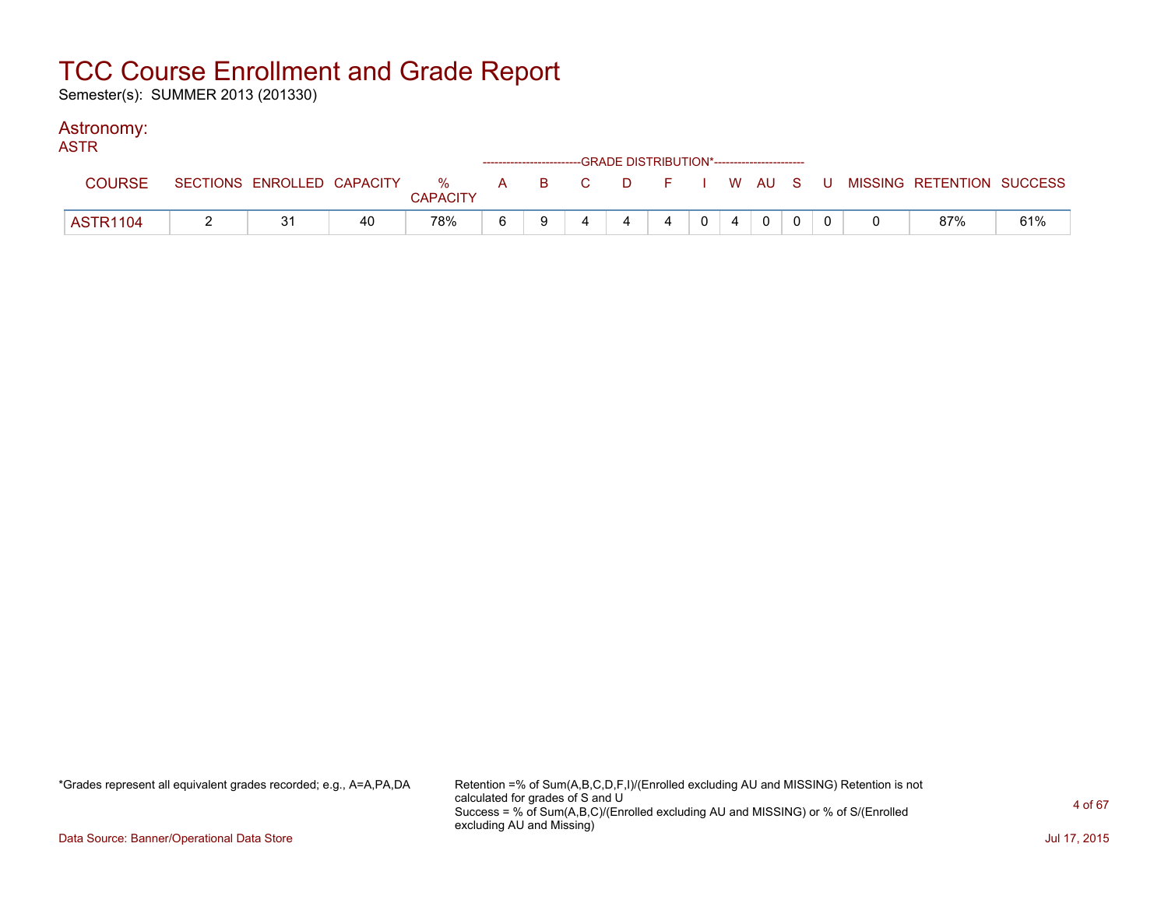Semester(s): SUMMER 2013 (201330)

### Astronomy:

| <b>ASTR</b>   |    |    |                 |  | ------------------------GRADE DISTRIBUTION*----------------------- |                |            |           |             |  |                                                                             |     |
|---------------|----|----|-----------------|--|--------------------------------------------------------------------|----------------|------------|-----------|-------------|--|-----------------------------------------------------------------------------|-----|
| <b>COURSE</b> |    |    | <b>CAPACITY</b> |  |                                                                    |                |            |           |             |  | SECTIONS ENROLLED CAPACITY % A B C D F I W AU S U MISSING RETENTION SUCCESS |     |
| ASTR1104      | 21 | 40 | 78%             |  |                                                                    | $\overline{4}$ | $\sqrt{0}$ | $\cdot$ 4 | $\mathbf 0$ |  | 87%                                                                         | 61% |

\*Grades represent all equivalent grades recorded; e.g., A=A,PA,DA Retention =% of Sum(A,B,C,D,F,I)/(Enrolled excluding AU and MISSING) Retention is not calculated for grades of S and U Success = % of Sum(A,B,C)/(Enrolled excluding AU and MISSING) or % of S/(Enrolled excluding AU and Missing)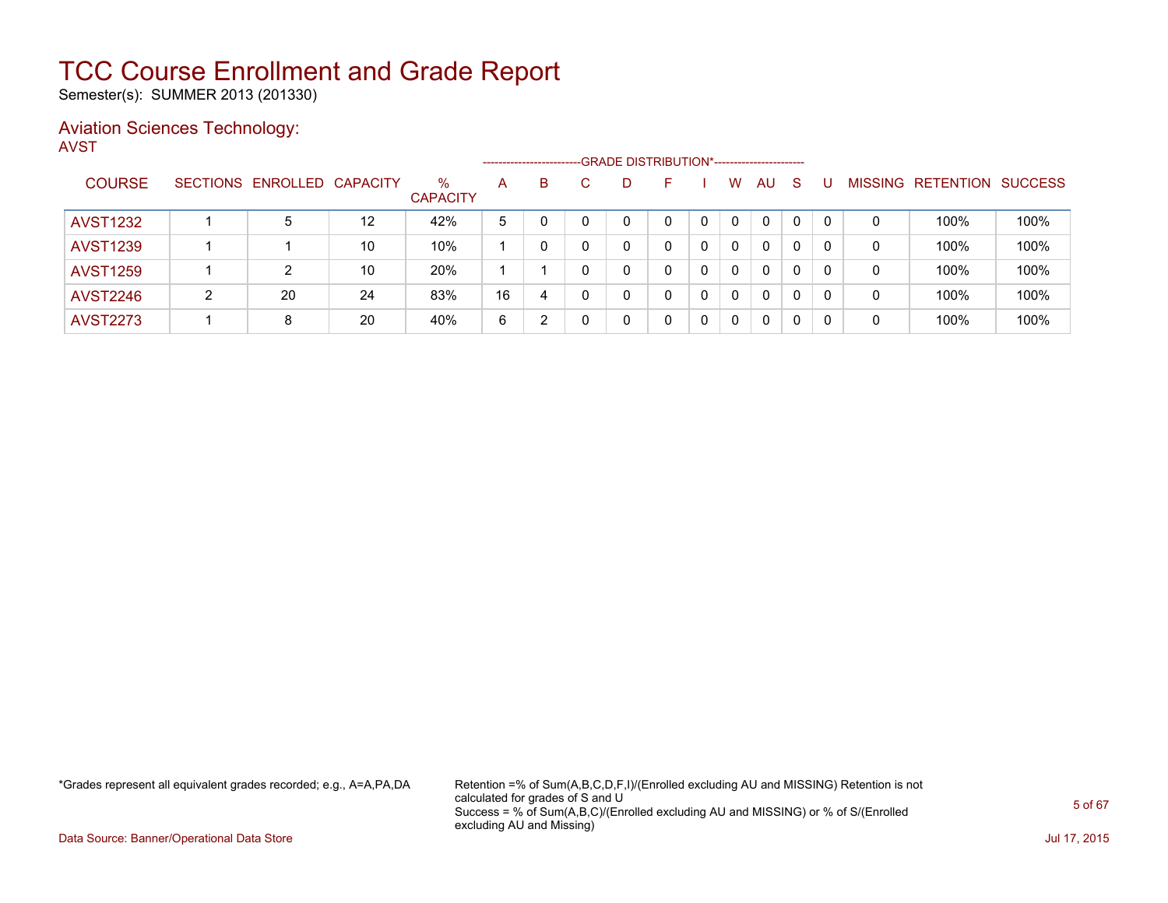Semester(s): SUMMER 2013 (201330)

### Aviation Sciences Technology: AVST

|                 |   |                            |    |                         | --------------------- |   | -GRADE DISTRIBUTION*---------------------- |   |   |   |              |              |              |                |                  |                |
|-----------------|---|----------------------------|----|-------------------------|-----------------------|---|--------------------------------------------|---|---|---|--------------|--------------|--------------|----------------|------------------|----------------|
| <b>COURSE</b>   |   | SECTIONS ENROLLED CAPACITY |    | $\%$<br><b>CAPACITY</b> | A                     | B | D                                          |   |   | w | AU           | S            |              | <b>MISSING</b> | <b>RETENTION</b> | <b>SUCCESS</b> |
| <b>AVST1232</b> |   | 5                          | 12 | 42%                     | 5                     |   | 0                                          |   |   | 0 | $\Omega$     | 0            | $\mathbf{0}$ | 0              | 100%             | 100%           |
| <b>AVST1239</b> |   |                            | 10 | 10%                     |                       |   | 0                                          |   | 0 | 0 | $\Omega$     | 0            | 0            | 0              | 100%             | 100%           |
| <b>AVST1259</b> |   |                            | 10 | 20%                     |                       |   | 0                                          |   | 0 | 0 | $\Omega$     | $\Omega$     | 0            | 0              | 100%             | 100%           |
| <b>AVST2246</b> | ົ | 20                         | 24 | 83%                     | 16                    | 4 | 0                                          | 0 |   | 0 | $\Omega$     | $\mathbf{0}$ | 0            | 0              | 100%             | 100%           |
| <b>AVST2273</b> |   | 8                          | 20 | 40%                     | 6                     |   | 0                                          |   | 0 | 0 | $\mathbf{0}$ |              |              | 0              | 100%             | 100%           |

\*Grades represent all equivalent grades recorded; e.g., A=A,PA,DA Retention =% of Sum(A,B,C,D,F,I)/(Enrolled excluding AU and MISSING) Retention is not calculated for grades of S and U Success = % of Sum(A,B,C)/(Enrolled excluding AU and MISSING) or % of S/(Enrolled excluding AU and Missing)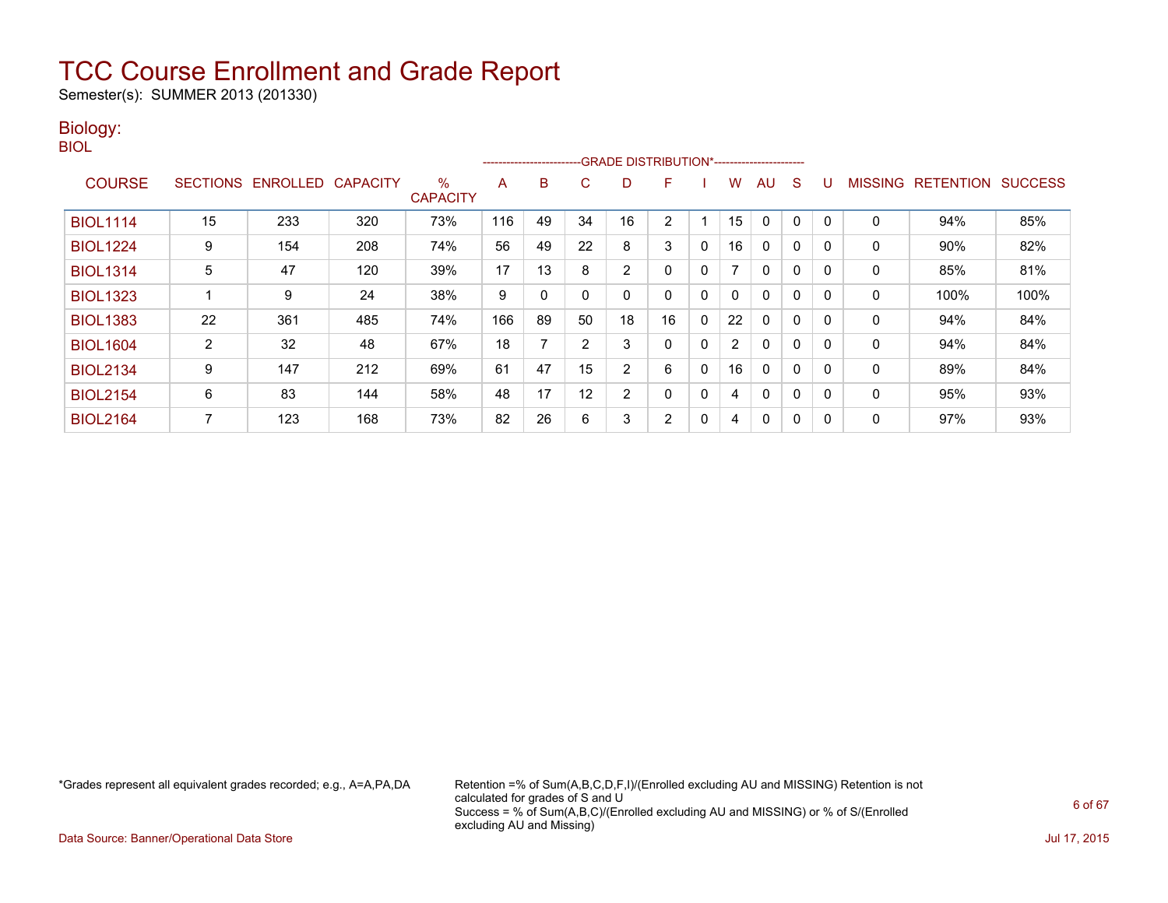Semester(s): SUMMER 2013 (201330)

### Biology:

| ۰. | I<br>M.<br>۰. |
|----|---------------|
|    |               |

|                 |                 |                 |                 |                      |     | ------------------------- |    | -GRADE DISTRIBUTION*----------------------- |    |              |                      |              |              |          |                |                  |                |
|-----------------|-----------------|-----------------|-----------------|----------------------|-----|---------------------------|----|---------------------------------------------|----|--------------|----------------------|--------------|--------------|----------|----------------|------------------|----------------|
| <b>COURSE</b>   | <b>SECTIONS</b> | <b>ENROLLED</b> | <b>CAPACITY</b> | %<br><b>CAPACITY</b> | A   | в                         | С  | D                                           | F  |              | w                    | AU           | S            |          | <b>MISSING</b> | <b>RETENTION</b> | <b>SUCCESS</b> |
| <b>BIOL1114</b> | 15              | 233             | 320             | 73%                  | 116 | 49                        | 34 | 16                                          | 2  |              | 15                   | $\Omega$     | 0            |          | 0              | 94%              | 85%            |
| <b>BIOL1224</b> | 9               | 154             | 208             | 74%                  | 56  | 49                        | 22 | 8                                           | 3  | 0            | 16                   | $\mathbf{0}$ | $\Omega$     |          | 0              | 90%              | 82%            |
| <b>BIOL1314</b> | 5               | 47              | 120             | 39%                  | 17  | 13                        | 8  | 2                                           | 0  | 0            |                      | $\mathbf{0}$ | 0            |          | 0              | 85%              | 81%            |
| <b>BIOL1323</b> |                 | 9               | 24              | 38%                  | 9   | 0                         |    | 0                                           | 0  | 0            | 0                    | $\mathbf{0}$ | $\mathbf{0}$ | $\Omega$ | 0              | 100%             | 100%           |
| <b>BIOL1383</b> | 22              | 361             | 485             | 74%                  | 166 | 89                        | 50 | 18                                          | 16 | 0            | 22                   | $\mathbf{0}$ | $\Omega$     | $\Omega$ | 0              | 94%              | 84%            |
| <b>BIOL1604</b> | 2               | 32              | 48              | 67%                  | 18  |                           |    | 3                                           | 0  | 0            | $\mathbf{2}^{\circ}$ | $\mathbf{0}$ | 0            |          | 0              | 94%              | 84%            |
| <b>BIOL2134</b> | 9               | 147             | 212             | 69%                  | 61  | 47                        | 15 | $\overline{2}$                              | 6  | $\mathbf{0}$ | 16                   | $\mathbf{0}$ | $\Omega$     |          | 0              | 89%              | 84%            |
| <b>BIOL2154</b> | 6               | 83              | 144             | 58%                  | 48  | 17                        | 12 | $\overline{2}$                              | 0  | 0            | 4                    | $\mathbf{0}$ | $\Omega$     | $\Omega$ | 0              | 95%              | 93%            |
| <b>BIOL2164</b> |                 | 123             | 168             | 73%                  | 82  | 26                        | 6  | 3                                           | 2  | 0            | 4                    | 0            | $\mathbf{0}$ | $\Omega$ | 0              | 97%              | 93%            |

\*Grades represent all equivalent grades recorded; e.g., A=A,PA,DA Retention =% of Sum(A,B,C,D,F,I)/(Enrolled excluding AU and MISSING) Retention is not calculated for grades of S and U Success = % of Sum(A,B,C)/(Enrolled excluding AU and MISSING) or % of S/(Enrolled excluding AU and Missing)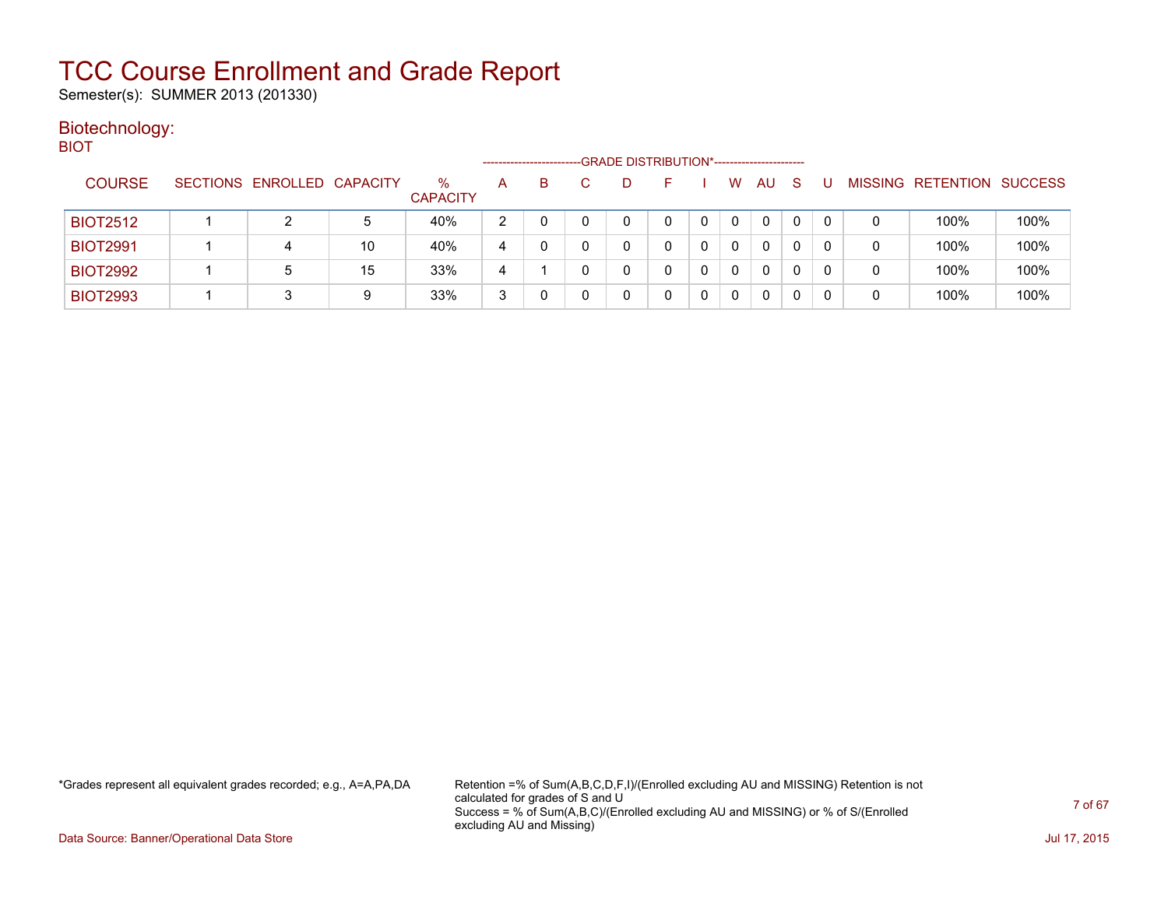Semester(s): SUMMER 2013 (201330)

#### Biotechnology: **BIOT**

| ____            |                            |    |                         | --------------------- |    | -GRADE DISTRIBUTION*----------------------- |  |   |              |              |   |   |                          |                |
|-----------------|----------------------------|----|-------------------------|-----------------------|----|---------------------------------------------|--|---|--------------|--------------|---|---|--------------------------|----------------|
| <b>COURSE</b>   | SECTIONS ENROLLED CAPACITY |    | $\%$<br><b>CAPACITY</b> | A                     | B. |                                             |  | W | AU           | <sub>S</sub> |   |   | <b>MISSING RETENTION</b> | <b>SUCCESS</b> |
| <b>BIOT2512</b> |                            | 5  | 40%                     | າ                     |    |                                             |  | 0 | 0            |              |   | 0 | 100%                     | 100%           |
| <b>BIOT2991</b> | 4                          | 10 | 40%                     | 4                     |    | 0                                           |  | 0 | $\Omega$     |              | 0 | 0 | 100%                     | 100%           |
| <b>BIOT2992</b> | 5                          | 15 | 33%                     | 4                     |    | 0                                           |  | 0 | $\mathbf{0}$ | 0            | 0 | 0 | 100%                     | 100%           |
| <b>BIOT2993</b> |                            | 9  | 33%                     | 3                     |    |                                             |  |   | 0            |              |   | 0 | 100%                     | 100%           |

\*Grades represent all equivalent grades recorded; e.g., A=A,PA,DA Retention =% of Sum(A,B,C,D,F,I)/(Enrolled excluding AU and MISSING) Retention is not calculated for grades of S and U Success = % of Sum(A,B,C)/(Enrolled excluding AU and MISSING) or % of S/(Enrolled excluding AU and Missing)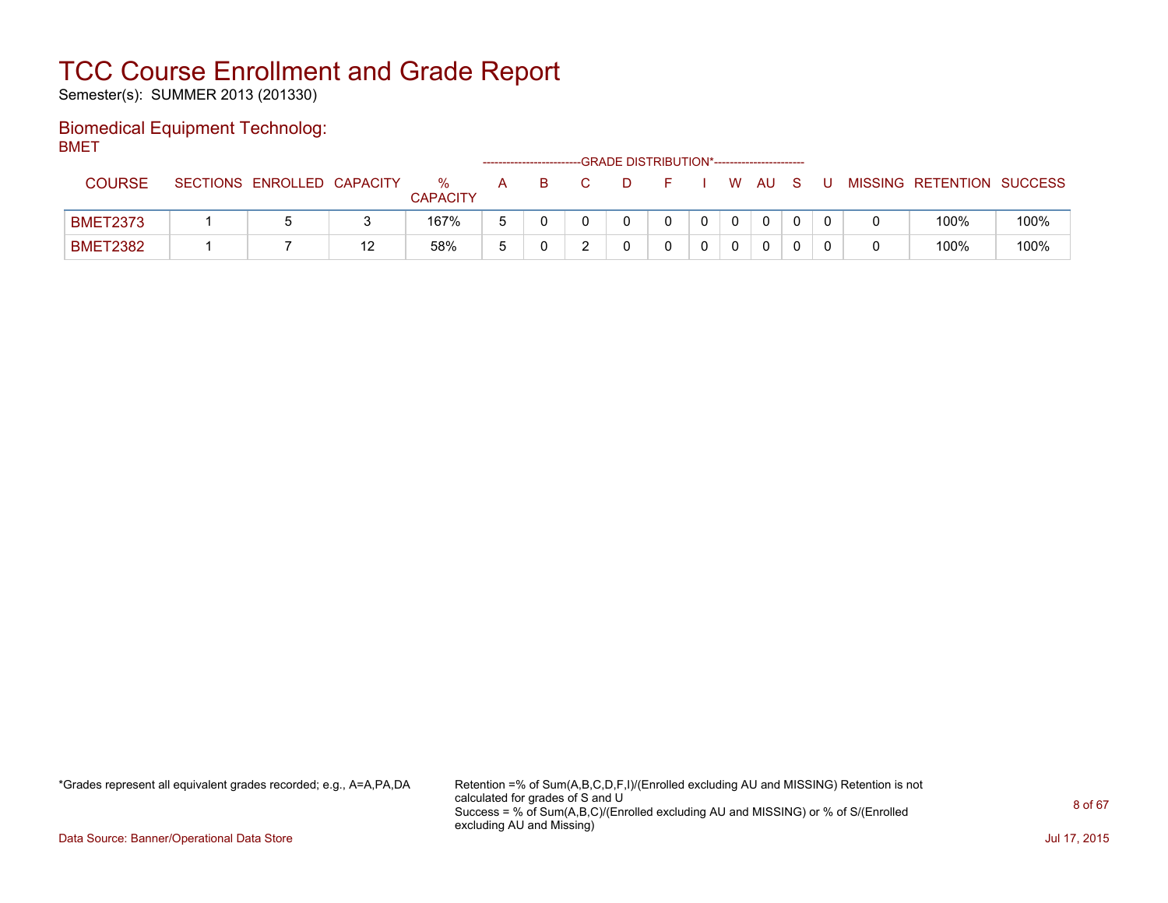Semester(s): SUMMER 2013 (201330)

### Biomedical Equipment Technolog: BMET

|                 |                            |    |                      |   | -------------------------- | -GRADE DISTRIBUTION*----------------------- |  |          |     |  |                           |      |
|-----------------|----------------------------|----|----------------------|---|----------------------------|---------------------------------------------|--|----------|-----|--|---------------------------|------|
| <b>COURSE</b>   | SECTIONS ENROLLED CAPACITY |    | %<br><b>CAPACITY</b> | A |                            |                                             |  | W        | AU. |  | MISSING RETENTION SUCCESS |      |
| <b>BMET2373</b> |                            |    | 167%                 |   |                            |                                             |  | $\Omega$ | 0   |  | 100%                      | 100% |
| <b>BMET2382</b> |                            | 12 | 58%                  |   |                            |                                             |  |          | 0   |  | 100%                      | 100% |

\*Grades represent all equivalent grades recorded; e.g., A=A,PA,DA Retention =% of Sum(A,B,C,D,F,I)/(Enrolled excluding AU and MISSING) Retention is not calculated for grades of S and U Success = % of Sum(A,B,C)/(Enrolled excluding AU and MISSING) or % of S/(Enrolled excluding AU and Missing)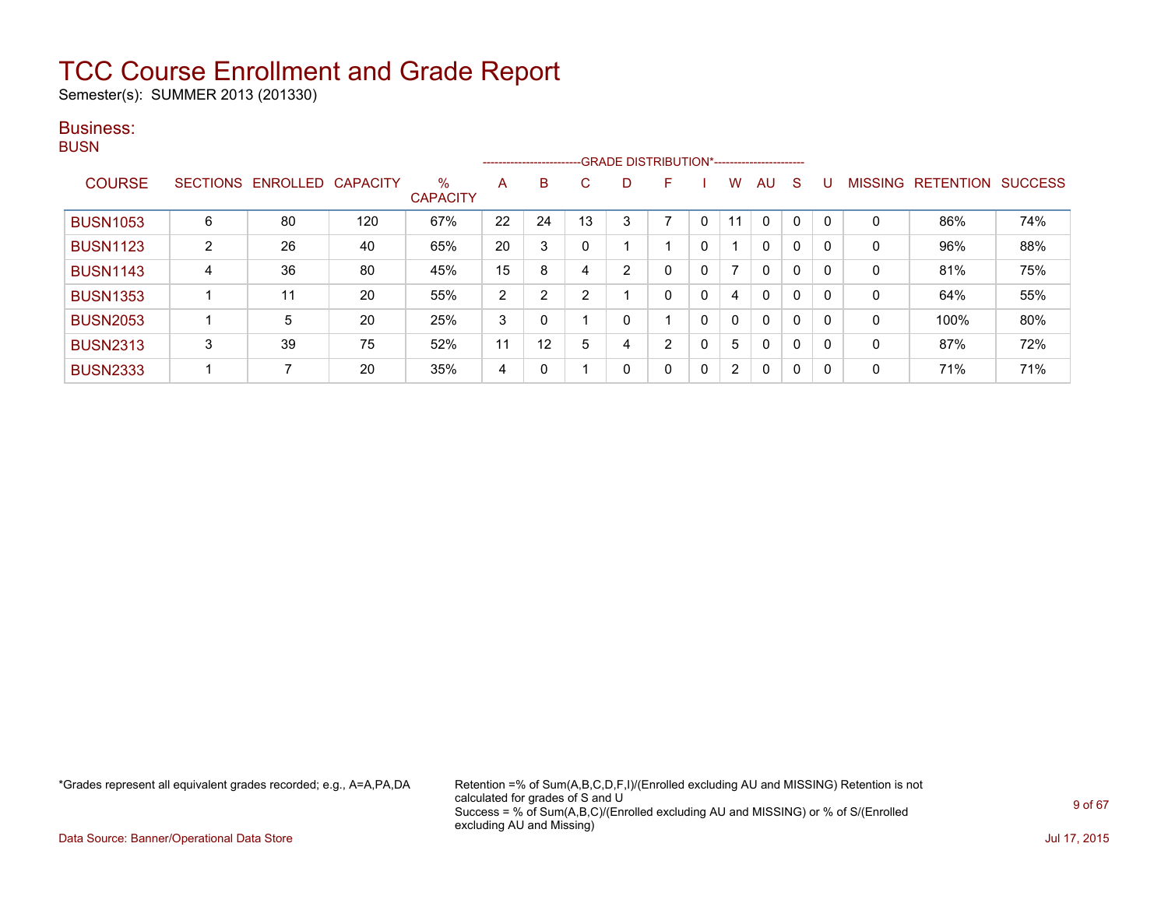Semester(s): SUMMER 2013 (201330)

### Business:

| ۰.<br>۰. |
|----------|
|----------|

|                 |   |                   |                 |                         |                |    | ------------------------GRADE DISTRIBUTION*----------------------- |    |                |              |                      |              |              |          |                |           |                |
|-----------------|---|-------------------|-----------------|-------------------------|----------------|----|--------------------------------------------------------------------|----|----------------|--------------|----------------------|--------------|--------------|----------|----------------|-----------|----------------|
| <b>COURSE</b>   |   | SECTIONS ENROLLED | <b>CAPACITY</b> | $\%$<br><b>CAPACITY</b> | A              | B  | C.                                                                 | D. | F              |              | w                    | AU           | S            |          | <b>MISSING</b> | RETENTION | <b>SUCCESS</b> |
| <b>BUSN1053</b> | 6 | 80                | 120             | 67%                     | 22             | 24 | 13                                                                 | 3  |                | 0            | 11                   | $\mathbf{0}$ | 0            | $\Omega$ | 0              | 86%       | 74%            |
| <b>BUSN1123</b> | 2 | 26                | 40              | 65%                     | 20             | 3  |                                                                    |    |                | $\Omega$     |                      | 0            | $\mathbf{0}$ |          | 0              | 96%       | 88%            |
| <b>BUSN1143</b> | 4 | 36                | 80              | 45%                     | 15             | 8  | 4                                                                  | ົ  | 0              | 0            |                      | $\mathbf{0}$ | $\mathbf{0}$ | 0        | $\mathbf 0$    | 81%       | 75%            |
| <b>BUSN1353</b> |   | 11                | 20              | 55%                     | $\overline{2}$ | ົ  | 2                                                                  |    | 0              | 0            | 4                    | $\mathbf{0}$ | 0            | 0        | $\mathbf 0$    | 64%       | 55%            |
| <b>BUSN2053</b> |   | 5                 | 20              | 25%                     | 3              | 0  |                                                                    | ი  |                | $\mathbf{0}$ | 0                    | $\mathbf{0}$ | $\mathbf{0}$ | 0        | 0              | 100%      | 80%            |
| <b>BUSN2313</b> | 3 | 39                | 75              | 52%                     | 11             | 12 | 5                                                                  |    | $\overline{2}$ | 0            | 5                    | $\mathbf{0}$ | 0            | 0        | $\mathbf 0$    | 87%       | 72%            |
| <b>BUSN2333</b> |   | 7                 | 20              | 35%                     | 4              | 0  |                                                                    | 0  | 0              | 0            | $\mathbf{2}^{\circ}$ | $\mathbf{0}$ | $\mathbf{0}$ | 0        | $\mathbf 0$    | 71%       | 71%            |

\*Grades represent all equivalent grades recorded; e.g., A=A,PA,DA Retention =% of Sum(A,B,C,D,F,I)/(Enrolled excluding AU and MISSING) Retention is not calculated for grades of S and U Success = % of Sum(A,B,C)/(Enrolled excluding AU and MISSING) or % of S/(Enrolled excluding AU and Missing)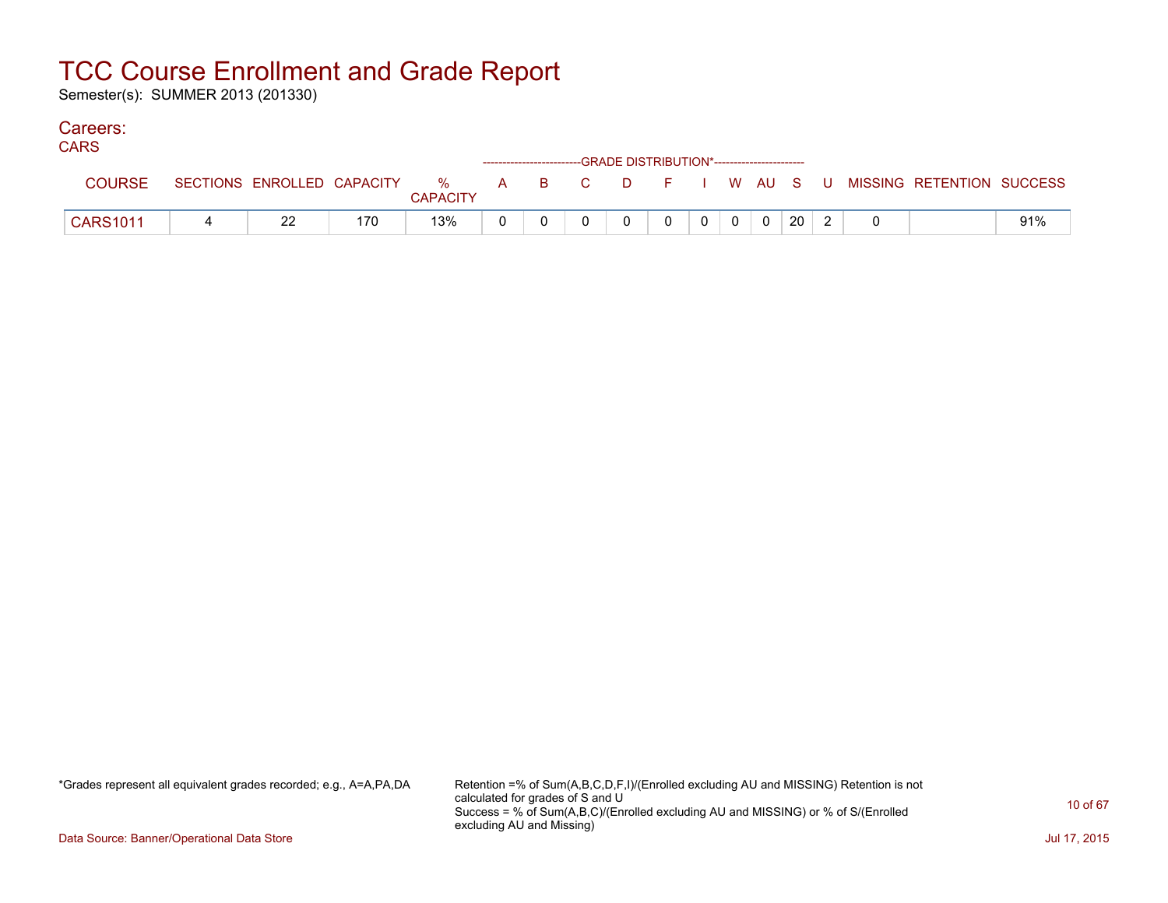Semester(s): SUMMER 2013 (201330)

### Careers:

| טורוי           |                            |     |                 |  |  | ------------------------GRADE DISTRIBUTION*------------------------ |  |       |    |  |                                                     |     |
|-----------------|----------------------------|-----|-----------------|--|--|---------------------------------------------------------------------|--|-------|----|--|-----------------------------------------------------|-----|
| <b>COURSE</b>   | SECTIONS ENROLLED CAPACITY |     | <b>CAPACITY</b> |  |  |                                                                     |  |       |    |  | 26 MHz B C D F I W AU S U MISSING RETENTION SUCCESS |     |
| <b>CARS1011</b> | 22                         | 170 | 13%             |  |  |                                                                     |  | $0$ 0 | 20 |  |                                                     | 91% |

\*Grades represent all equivalent grades recorded; e.g., A=A,PA,DA Retention =% of Sum(A,B,C,D,F,I)/(Enrolled excluding AU and MISSING) Retention is not calculated for grades of S and U Success = % of Sum(A,B,C)/(Enrolled excluding AU and MISSING) or % of S/(Enrolled excluding AU and Missing)

Data Source: Banner/Operational Data Store Jul 17, 2015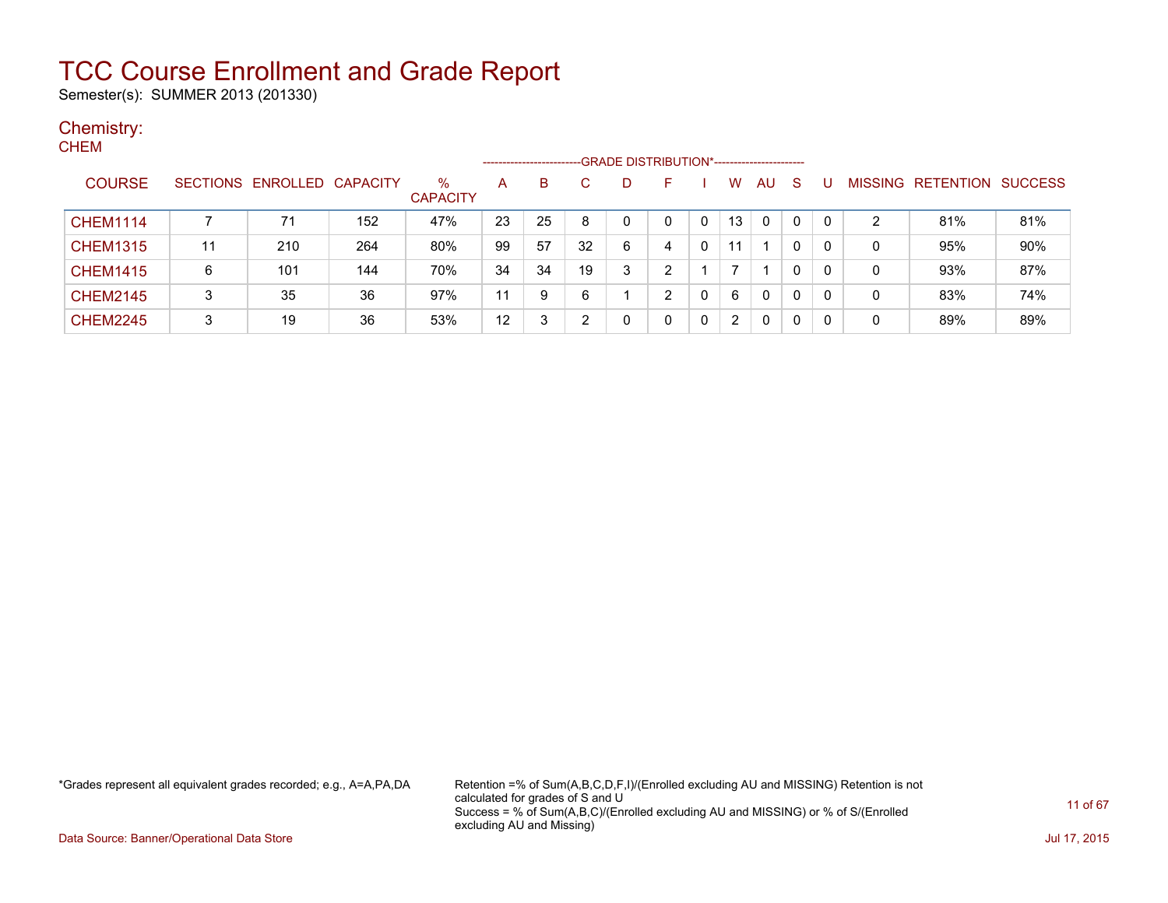Semester(s): SUMMER 2013 (201330)

#### Chemistry: **CHEM**

|                 |    |                            |     |                         | -------------------- |    |    |   |   |   |              |              |    |   |                   |                |
|-----------------|----|----------------------------|-----|-------------------------|----------------------|----|----|---|---|---|--------------|--------------|----|---|-------------------|----------------|
| <b>COURSE</b>   |    | SECTIONS ENROLLED CAPACITY |     | $\%$<br><b>CAPACITY</b> | A                    | B  |    | D | ⊢ |   | W            | AU           | -S |   | MISSING RETENTION | <b>SUCCESS</b> |
| <b>CHEM1114</b> |    | 71                         | 152 | 47%                     | 23                   | 25 |    |   | 0 | 0 | 13           | $\Omega$     | 0  | 2 | 81%               | 81%            |
| <b>CHEM1315</b> | 11 | 210                        | 264 | 80%                     | -99                  | 57 | 32 | 6 | 4 |   | 11           |              | 0  | 0 | 95%               | 90%            |
| <b>CHEM1415</b> | 6  | 101                        | 144 | 70%                     | 34                   | 34 | 19 | 3 | ົ |   |              |              | 0  | 0 | 93%               | 87%            |
| <b>CHEM2145</b> | 3  | 35                         | 36  | 97%                     | 11                   | 9  | 6  |   | ົ |   | 6            | $\mathbf{0}$ | 0  | 0 | 83%               | 74%            |
| <b>CHEM2245</b> | 3  | 19                         | 36  | 53%                     | 12                   | າ  | ົ  |   | 0 | 0 | $\mathbf{2}$ | 0            | 0  | 0 | 89%               | 89%            |

\*Grades represent all equivalent grades recorded; e.g., A=A,PA,DA Retention =% of Sum(A,B,C,D,F,I)/(Enrolled excluding AU and MISSING) Retention is not calculated for grades of S and U Success = % of Sum(A,B,C)/(Enrolled excluding AU and MISSING) or % of S/(Enrolled excluding AU and Missing)

Data Source: Banner/Operational Data Store Jul 17, 2015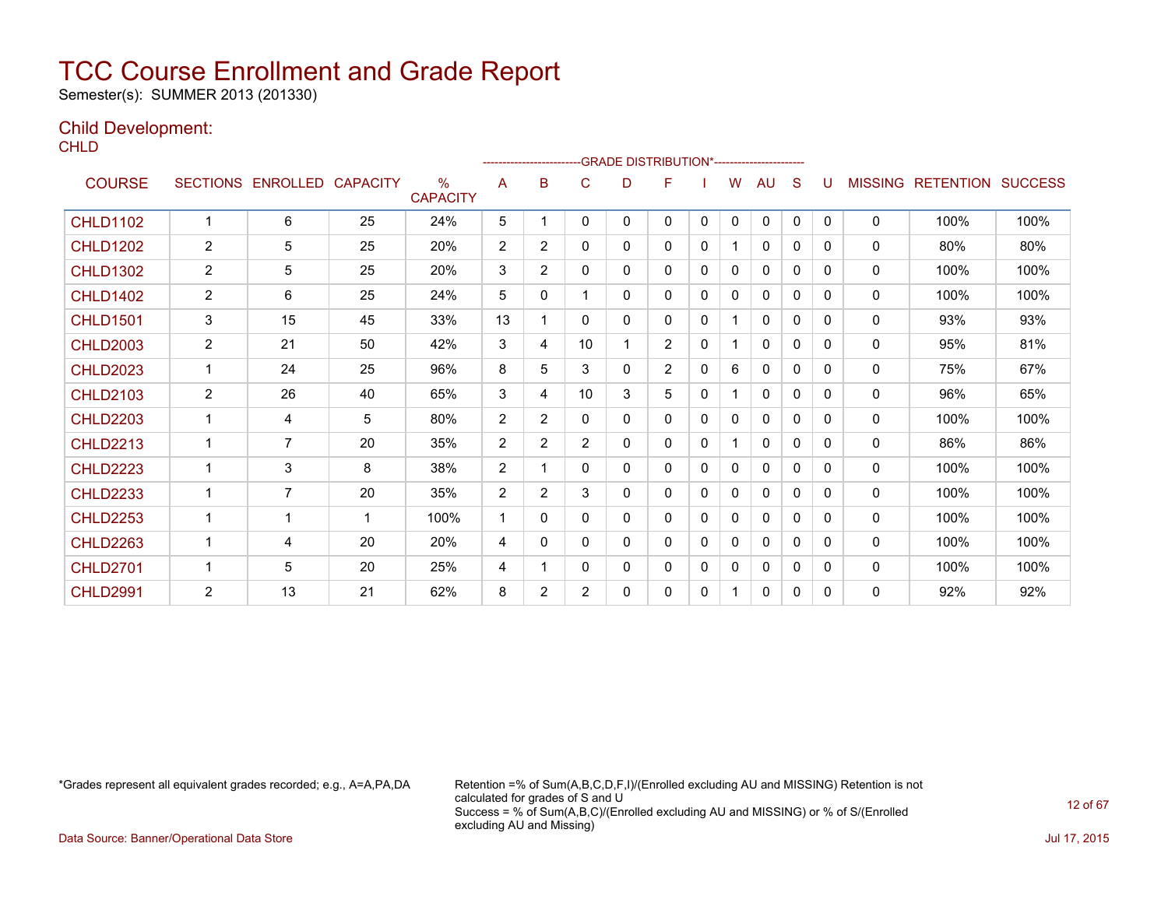Semester(s): SUMMER 2013 (201330)

### Child Development:

**CHLD** 

|                 |                 |                   |    |                         |                | -------------------------GRADE                DISTRIBUTION*---------------------- |                |   |                |   |              |              |              |              |                |                  |                |
|-----------------|-----------------|-------------------|----|-------------------------|----------------|-----------------------------------------------------------------------------------|----------------|---|----------------|---|--------------|--------------|--------------|--------------|----------------|------------------|----------------|
| <b>COURSE</b>   | <b>SECTIONS</b> | ENROLLED CAPACITY |    | $\%$<br><b>CAPACITY</b> | A              | B                                                                                 | C              | D | F              |   | w            | AU           | S            | U            | <b>MISSING</b> | <b>RETENTION</b> | <b>SUCCESS</b> |
| <b>CHLD1102</b> | 1               | 6                 | 25 | 24%                     | 5              |                                                                                   | 0              | 0 | 0              | 0 | 0            | 0            | 0            | $\mathbf{0}$ | 0              | 100%             | 100%           |
| <b>CHLD1202</b> | 2               | 5                 | 25 | 20%                     | $\overline{2}$ | $\overline{2}$                                                                    | 0              | 0 | 0              | 0 |              | 0            | 0            | 0            | $\mathbf{0}$   | 80%              | 80%            |
| <b>CHLD1302</b> | $\overline{2}$  | 5                 | 25 | 20%                     | 3              | $\overline{2}$                                                                    | 0              | 0 | $\mathbf{0}$   | 0 | 0            | $\Omega$     | 0            | 0            | $\mathbf{0}$   | 100%             | 100%           |
| <b>CHLD1402</b> | 2               | 6                 | 25 | 24%                     | 5              | 0                                                                                 |                | 0 | $\mathbf{0}$   | 0 | 0            | $\Omega$     | 0            | <sup>0</sup> | $\mathbf{0}$   | 100%             | 100%           |
| <b>CHLD1501</b> | 3               | 15                | 45 | 33%                     | 13             |                                                                                   | $\Omega$       | 0 | $\mathbf{0}$   | 0 | 1            | 0            | 0            | 0            | 0              | 93%              | 93%            |
| <b>CHLD2003</b> | $\overline{2}$  | 21                | 50 | 42%                     | 3              | 4                                                                                 | 10             | 1 | $\overline{2}$ | 0 |              | $\mathbf{0}$ | 0            | 0            | $\mathbf{0}$   | 95%              | 81%            |
| <b>CHLD2023</b> |                 | 24                | 25 | 96%                     | 8              | 5                                                                                 | 3              | 0 | $\overline{2}$ | 0 | 6            | $\mathbf{0}$ | 0            | 0            | $\mathbf{0}$   | 75%              | 67%            |
| <b>CHLD2103</b> | $\overline{c}$  | 26                | 40 | 65%                     | 3              | 4                                                                                 | 10             | 3 | 5              | 0 | 1            | 0            | 0            | $\Omega$     | 0              | 96%              | 65%            |
| <b>CHLD2203</b> | 1               | 4                 | 5  | 80%                     | $\overline{2}$ | $\overline{2}$                                                                    | 0              | 0 | $\mathbf{0}$   | 0 | $\mathbf{0}$ | 0            | $\mathbf{0}$ | 0            | $\mathbf{0}$   | 100%             | 100%           |
| <b>CHLD2213</b> |                 | $\overline{7}$    | 20 | 35%                     | $\overline{2}$ | $\overline{2}$                                                                    | $\overline{2}$ | 0 | $\mathbf{0}$   | 0 |              | $\mathbf{0}$ | $\Omega$     | 0            | $\mathbf{0}$   | 86%              | 86%            |
| <b>CHLD2223</b> | 1               | 3                 | 8  | 38%                     | $\overline{2}$ |                                                                                   | 0              | 0 | $\mathbf{0}$   | 0 | 0            | $\mathbf{0}$ | $\mathbf{0}$ | 0            | $\mathbf{0}$   | 100%             | 100%           |
| <b>CHLD2233</b> | 1               | $\overline{7}$    | 20 | 35%                     | $\overline{2}$ | $\overline{2}$                                                                    | 3              | 0 | 0              | 0 | 0            | 0            | 0            | 0            | $\mathbf{0}$   | 100%             | 100%           |
| <b>CHLD2253</b> |                 |                   | 1  | 100%                    | 1              | 0                                                                                 | 0              | 0 | 0              | 0 | 0            | $\mathbf{0}$ | 0            | 0            | 0              | 100%             | 100%           |
| <b>CHLD2263</b> |                 | 4                 | 20 | 20%                     | 4              | 0                                                                                 | 0              | 0 | 0              | 0 | 0            | $\mathbf{0}$ | 0            | 0            | $\mathbf{0}$   | 100%             | 100%           |
| <b>CHLD2701</b> | 1               | 5                 | 20 | 25%                     | 4              |                                                                                   | 0              | 0 | 0              | 0 | 0            | 0            | 0            | 0            | $\mathbf{0}$   | 100%             | 100%           |
| <b>CHLD2991</b> | $\overline{2}$  | 13                | 21 | 62%                     | 8              | $\overline{2}$                                                                    | $\overline{2}$ | 0 | 0              | 0 | 1            | 0            | 0            | 0            | 0              | 92%              | 92%            |

\*Grades represent all equivalent grades recorded; e.g., A=A,PA,DA Retention =% of Sum(A,B,C,D,F,I)/(Enrolled excluding AU and MISSING) Retention is not calculated for grades of S and U Success = % of Sum(A,B,C)/(Enrolled excluding AU and MISSING) or % of S/(Enrolled excluding AU and Missing)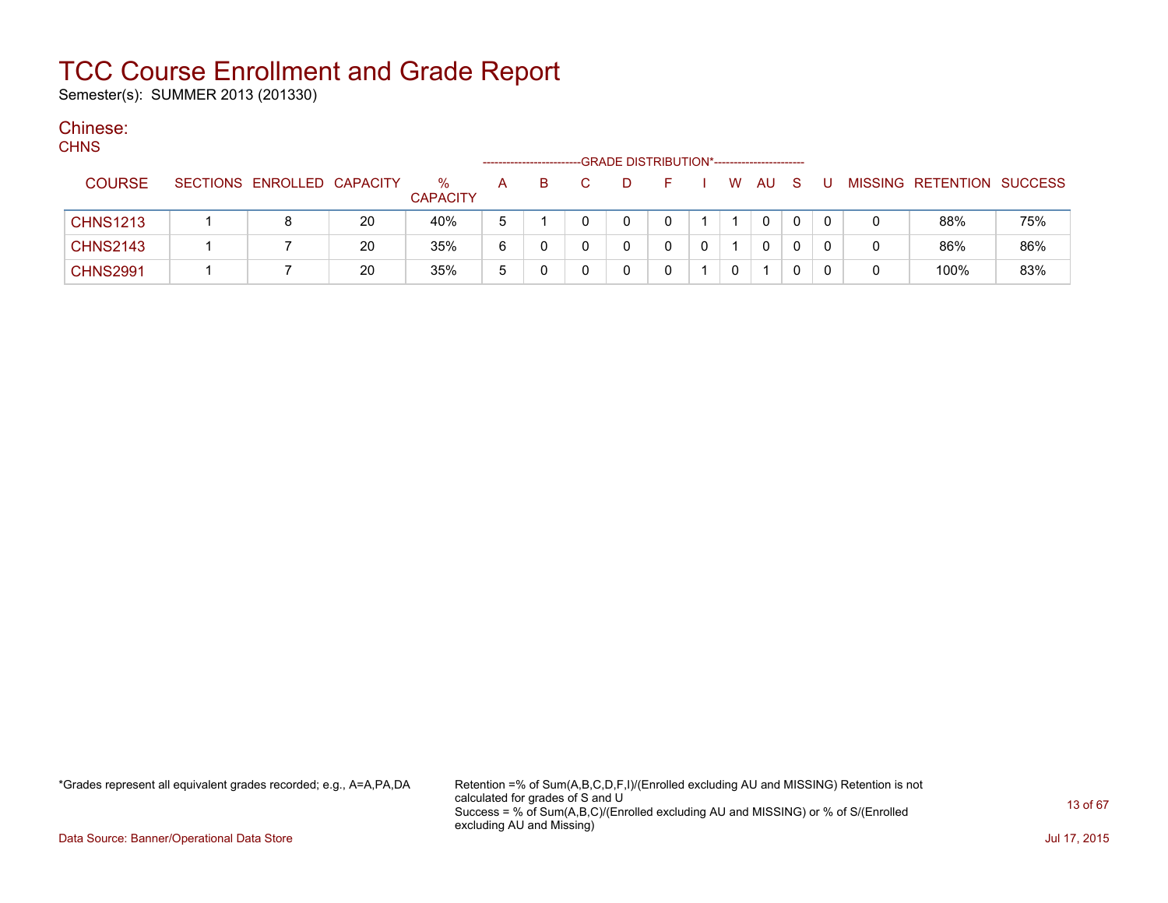Semester(s): SUMMER 2013 (201330)

#### Chinese:  $C$

| <b>CHNS</b> |                 |                            |    |                         |   |    |   | -GRADE DISTRIBUTION*----------------------- |   |             |     |     |                           |     |
|-------------|-----------------|----------------------------|----|-------------------------|---|----|---|---------------------------------------------|---|-------------|-----|-----|---------------------------|-----|
|             | <b>COURSE</b>   | SECTIONS ENROLLED CAPACITY |    | $\%$<br><b>CAPACITY</b> | A | B. | D | F.                                          |   | W AU        | - S | - U | MISSING RETENTION SUCCESS |     |
|             | <b>CHNS1213</b> |                            | 20 | 40%                     | 5 |    |   | 0                                           |   | $\mathbf 0$ | 0   |     | 88%                       | 75% |
|             | <b>CHNS2143</b> |                            | 20 | 35%                     | 6 |    |   |                                             |   | 0           | 0   |     | 86%                       | 86% |
|             | <b>CHNS2991</b> |                            | 20 | 35%                     | 5 |    |   |                                             | 0 |             | 0   |     | 100%                      | 83% |

\*Grades represent all equivalent grades recorded; e.g., A=A,PA,DA Retention =% of Sum(A,B,C,D,F,I)/(Enrolled excluding AU and MISSING) Retention is not calculated for grades of S and U Success = % of Sum(A,B,C)/(Enrolled excluding AU and MISSING) or % of S/(Enrolled excluding AU and Missing)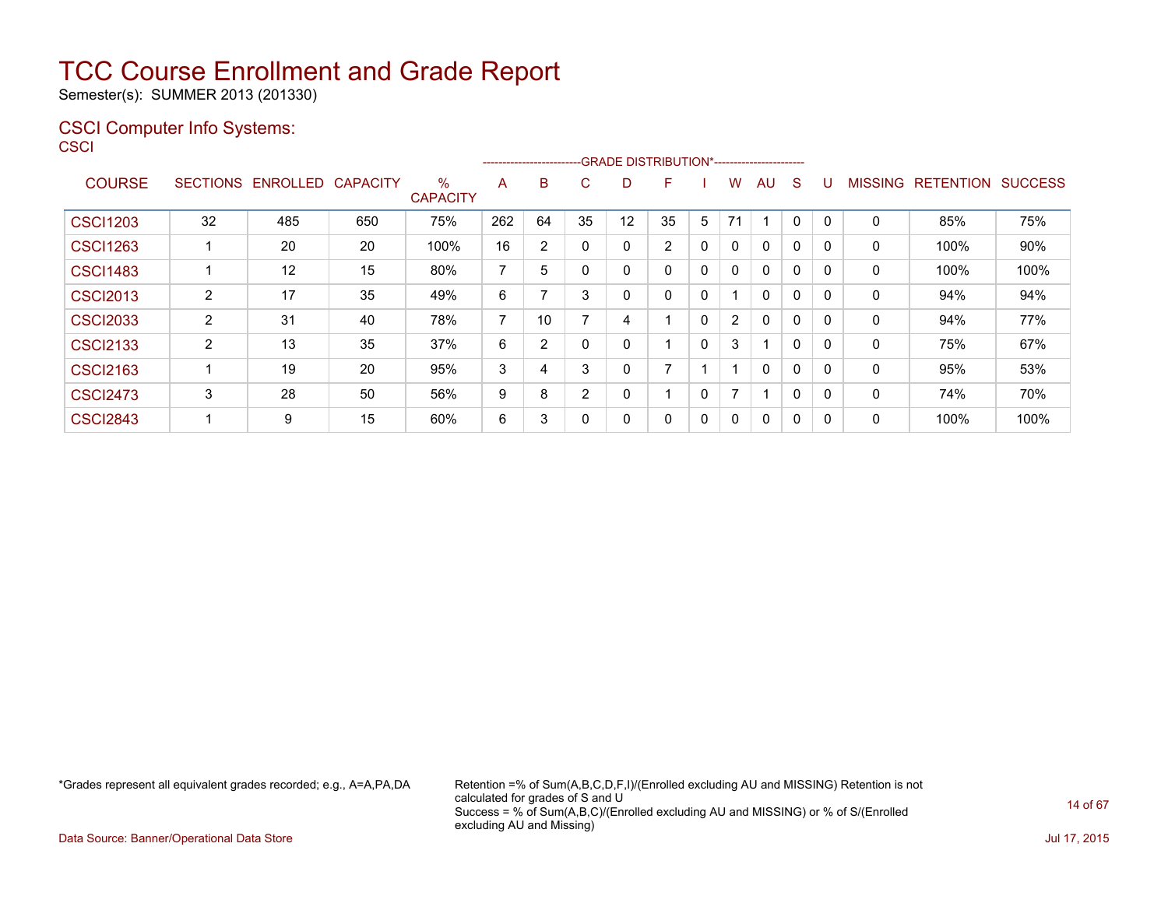Semester(s): SUMMER 2013 (201330)

### CSCI Computer Info Systems: **CSCI**

|                 |                 |          |                 |                      | ------------------------- |    |          |    | -GRADE DISTRIBUTION*----------------------- |   |                |                         |   |          |                |                  |                |
|-----------------|-----------------|----------|-----------------|----------------------|---------------------------|----|----------|----|---------------------------------------------|---|----------------|-------------------------|---|----------|----------------|------------------|----------------|
| <b>COURSE</b>   | <b>SECTIONS</b> | ENROLLED | <b>CAPACITY</b> | %<br><b>CAPACITY</b> | A                         | B  | C.       | D  | F                                           |   | w              | AU                      | S |          | <b>MISSING</b> | <b>RETENTION</b> | <b>SUCCESS</b> |
| <b>CSCI1203</b> | 32              | 485      | 650             | 75%                  | 262                       | 64 | 35       | 12 | 35                                          | 5 | 71             | ٠                       | 0 | $\Omega$ | 0              | 85%              | 75%            |
| <b>CSCI1263</b> |                 | 20       | 20              | 100%                 | 16                        | 2  |          |    | $\overline{2}$                              | 0 | $\mathbf{0}$   | $\mathbf{0}$            | 0 |          | 0              | 100%             | 90%            |
| <b>CSCI1483</b> |                 | 12       | 15              | 80%                  | 7                         | 5  |          |    | 0                                           | 0 | $\mathbf{0}$   | $\mathbf{0}$            | 0 | $\Omega$ | 0              | 100%             | 100%           |
| <b>CSCI2013</b> | $\overline{2}$  | 17       | 35              | 49%                  | 6                         |    | 3        |    | 0                                           | 0 |                | $\mathbf{0}$            | 0 | $\Omega$ | 0              | 94%              | 94%            |
| <b>CSCI2033</b> | $\overline{2}$  | 31       | 40              | 78%                  | 7                         | 10 |          | 4  |                                             | 0 | $\overline{2}$ | 0                       | 0 | $\Omega$ | 0              | 94%              | 77%            |
| <b>CSCI2133</b> | 2               | 13       | 35              | 37%                  | 6                         | 2  | $\Omega$ |    |                                             | 0 | 3              | $\overline{\mathbf{A}}$ | 0 |          | 0              | 75%              | 67%            |
| <b>CSCI2163</b> |                 | 19       | 20              | 95%                  | 3                         | 4  | 3        | በ  | ⇁                                           |   |                | $\mathbf{0}$            | 0 | $\Omega$ | 0              | 95%              | 53%            |
| <b>CSCI2473</b> | 3               | 28       | 50              | 56%                  | 9                         | 8  | 2        |    |                                             | 0 | $\overline{ }$ | 1                       | 0 | $\Omega$ | 0              | 74%              | 70%            |
| <b>CSCI2843</b> |                 | 9        | 15              | 60%                  | 6                         | 3  |          |    | 0                                           | 0 | 0              | $\mathbf{0}$            | 0 |          | 0              | 100%             | 100%           |

\*Grades represent all equivalent grades recorded; e.g., A=A,PA,DA Retention =% of Sum(A,B,C,D,F,I)/(Enrolled excluding AU and MISSING) Retention is not calculated for grades of S and U Success = % of Sum(A,B,C)/(Enrolled excluding AU and MISSING) or % of S/(Enrolled excluding AU and Missing)

Data Source: Banner/Operational Data Store Jul 17, 2015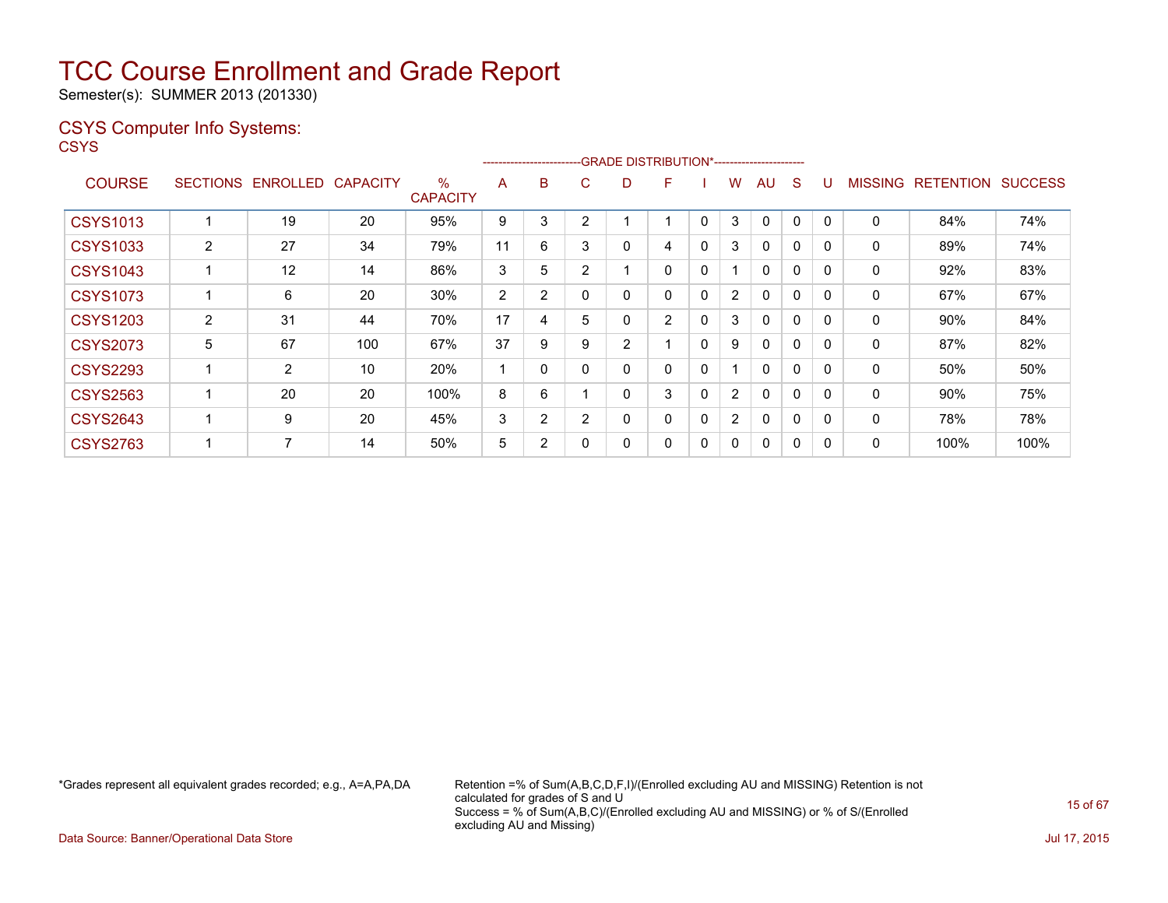Semester(s): SUMMER 2013 (201330)

### CSYS Computer Info Systems:

**CSYS** 

|                 |                |                   |                 |                         |    |                |                | ------------------------GRADE                DISTRIBUTION*---------------------- |                |              |                |              |              |          |                |                  |                |
|-----------------|----------------|-------------------|-----------------|-------------------------|----|----------------|----------------|----------------------------------------------------------------------------------|----------------|--------------|----------------|--------------|--------------|----------|----------------|------------------|----------------|
| <b>COURSE</b>   |                | SECTIONS ENROLLED | <b>CAPACITY</b> | $\%$<br><b>CAPACITY</b> | A  | B              | C.             | D                                                                                | F              |              | w              | AU.          | S            |          | <b>MISSING</b> | <b>RETENTION</b> | <b>SUCCESS</b> |
| <b>CSYS1013</b> |                | 19                | 20              | 95%                     | 9  | 3              | ◠              |                                                                                  |                | 0            | 3              | $\Omega$     | 0            |          | 0              | 84%              | 74%            |
| <b>CSYS1033</b> | $\overline{2}$ | 27                | 34              | 79%                     | 11 | 6              | 3              | 0                                                                                | 4              | $\mathbf{0}$ | 3              | $\mathbf{0}$ | 0            | $\Omega$ | 0              | 89%              | 74%            |
| <b>CSYS1043</b> |                | 12                | 14              | 86%                     | 3  | 5              | 2              |                                                                                  | 0              | 0            |                | $\mathbf{0}$ | 0            | $\Omega$ | 0              | 92%              | 83%            |
| <b>CSYS1073</b> |                | 6                 | 20              | 30%                     | 2  | 2              |                | 0                                                                                | 0              | $\mathbf{0}$ | $\overline{2}$ | $\mathbf{0}$ | 0            | $\Omega$ | 0              | 67%              | 67%            |
| <b>CSYS1203</b> | $\overline{2}$ | 31                | 44              | 70%                     | 17 | 4              | 5              | 0                                                                                | $\overline{2}$ | 0            | 3              | $\mathbf{0}$ | 0            |          | 0              | 90%              | 84%            |
| <b>CSYS2073</b> | 5              | 67                | 100             | 67%                     | 37 | 9              | 9              | 2                                                                                |                | $\mathbf{0}$ | 9              | $\mathbf{0}$ | 0            | $\Omega$ | 0              | 87%              | 82%            |
| <b>CSYS2293</b> |                | $\overline{2}$    | 10              | 20%                     |    | $\Omega$       |                | 0                                                                                | 0              | $\mathbf{0}$ |                | $\mathbf{0}$ | $\mathbf{0}$ | $\Omega$ | 0              | 50%              | 50%            |
| <b>CSYS2563</b> |                | 20                | 20              | 100%                    | 8  | 6              |                | 0                                                                                | 3              | $\mathbf{0}$ | $\overline{2}$ | 0            | 0            | $\Omega$ | 0              | 90%              | 75%            |
| <b>CSYS2643</b> |                | 9                 | 20              | 45%                     | 3  | $\overline{2}$ | $\overline{2}$ | 0                                                                                | 0              | $\mathbf{0}$ | $\overline{2}$ | $\mathbf{0}$ | $\mathbf{0}$ | $\Omega$ | 0              | 78%              | 78%            |
| <b>CSYS2763</b> |                | 7                 | 14              | 50%                     | 5  | 2              |                | 0                                                                                | 0              | 0            | 0              | 0            | 0            | 0        | 0              | 100%             | 100%           |

\*Grades represent all equivalent grades recorded; e.g., A=A,PA,DA Retention =% of Sum(A,B,C,D,F,I)/(Enrolled excluding AU and MISSING) Retention is not calculated for grades of S and U Success = % of Sum(A,B,C)/(Enrolled excluding AU and MISSING) or % of S/(Enrolled excluding AU and Missing)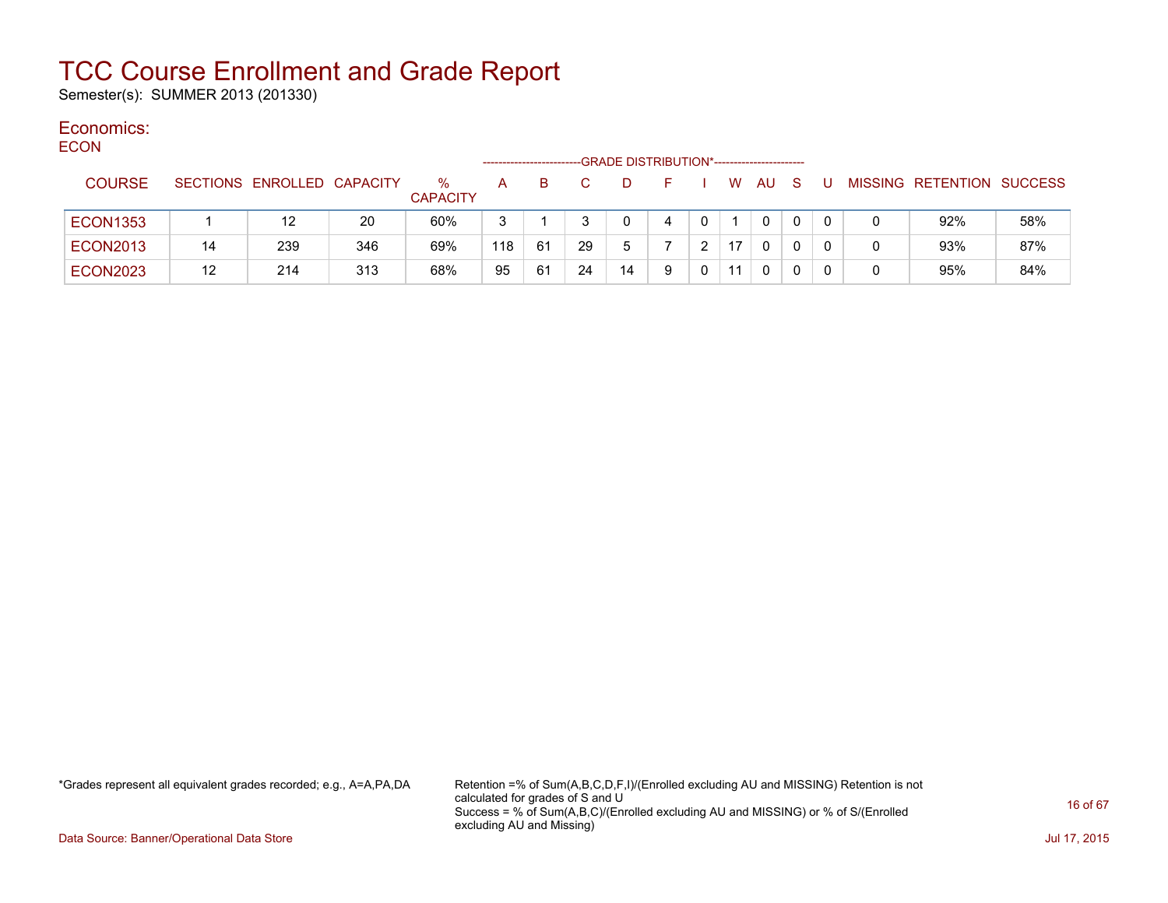Semester(s): SUMMER 2013 (201330)

#### Economics: ECON

| <b>ECON</b> |                 |    |                            |     |                         |     |    |    | -GRADE DISTRIBUTION*---------------------- |   |    |              |              |  |                           |     |
|-------------|-----------------|----|----------------------------|-----|-------------------------|-----|----|----|--------------------------------------------|---|----|--------------|--------------|--|---------------------------|-----|
|             | <b>COURSE</b>   |    | SECTIONS ENROLLED CAPACITY |     | $\%$<br><b>CAPACITY</b> | A   | B. |    |                                            |   | W. | AU.          | <sub>S</sub> |  | MISSING RETENTION SUCCESS |     |
|             | <b>ECON1353</b> |    | 12                         | 20  | 60%                     | 3   |    |    |                                            |   |    | $\mathbf{0}$ |              |  | 92%                       | 58% |
|             | <b>ECON2013</b> | 14 | 239                        | 346 | 69%                     | 118 | 61 | 29 | 5                                          |   | 17 | $\mathbf{0}$ |              |  | 93%                       | 87% |
|             | <b>ECON2023</b> | 12 | 214                        | 313 | 68%                     | 95  | 61 | 24 | 14                                         | 9 | 11 | $\mathbf{0}$ |              |  | 95%                       | 84% |

\*Grades represent all equivalent grades recorded; e.g., A=A,PA,DA Retention =% of Sum(A,B,C,D,F,I)/(Enrolled excluding AU and MISSING) Retention is not calculated for grades of S and U Success = % of Sum(A,B,C)/(Enrolled excluding AU and MISSING) or % of S/(Enrolled excluding AU and Missing)

Data Source: Banner/Operational Data Store Jul 17, 2015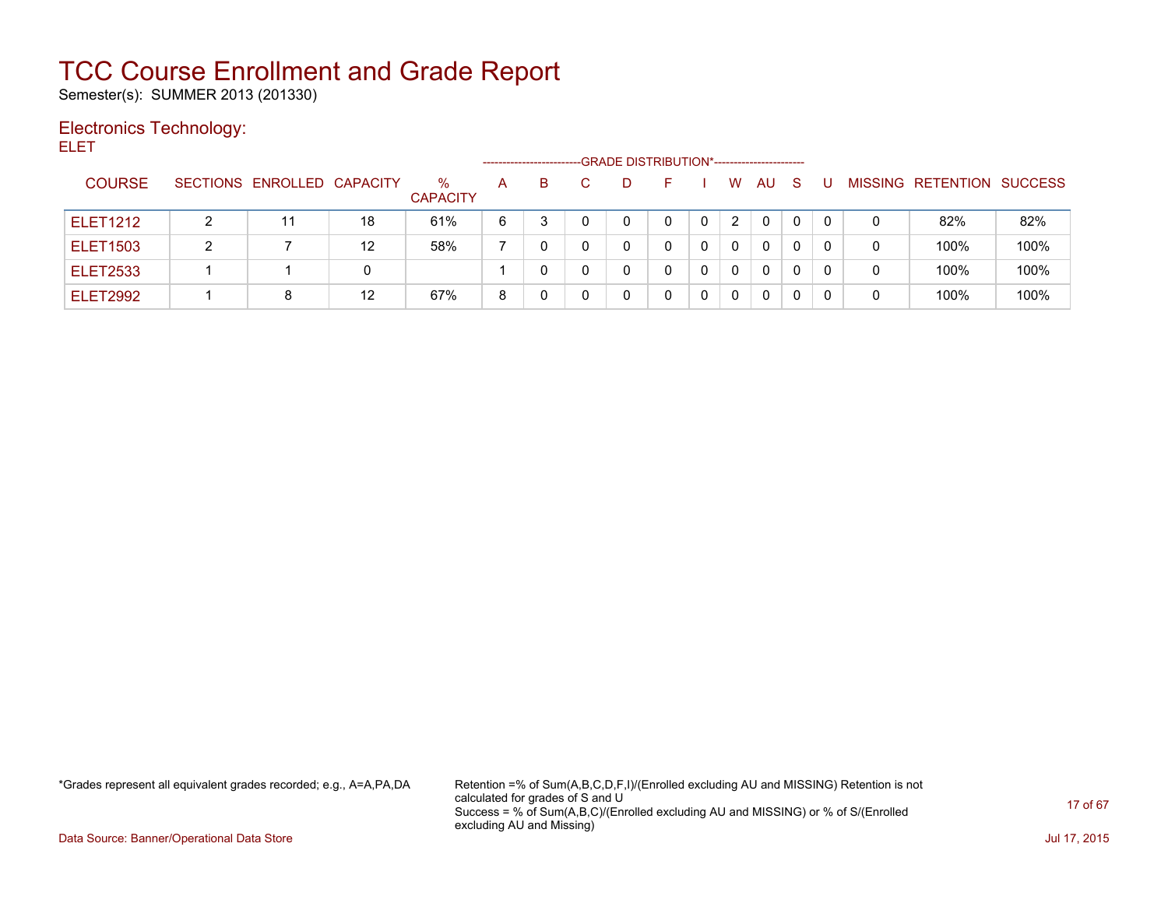Semester(s): SUMMER 2013 (201330)

### Electronics Technology:

ELET

|                 |   |                            |    |                      | -------------------- |    | -GRADE DISTRIBUTION*----------------------- |   |   |              |    |   |                   |                |
|-----------------|---|----------------------------|----|----------------------|----------------------|----|---------------------------------------------|---|---|--------------|----|---|-------------------|----------------|
| <b>COURSE</b>   |   | SECTIONS ENROLLED CAPACITY |    | %<br><b>CAPACITY</b> | A                    | B. | D.                                          |   | W | AU           | -S |   | MISSING RETENTION | <b>SUCCESS</b> |
| <b>ELET1212</b> |   |                            | 18 | 61%                  | 6                    |    |                                             |   | 2 | $\Omega$     |    | 0 | 82%               | 82%            |
| <b>ELET1503</b> | າ |                            | 12 | 58%                  |                      |    |                                             | 0 | 0 | $\Omega$     |    | 0 | 100%              | 100%           |
| <b>ELET2533</b> |   |                            | 0  |                      |                      |    | 0                                           | 0 | 0 | $\mathbf{0}$ |    | 0 | 100%              | 100%           |
| <b>ELET2992</b> |   |                            | 12 | 67%                  | 8                    |    |                                             | 0 | 0 | 0            |    | 0 | 100%              | 100%           |

\*Grades represent all equivalent grades recorded; e.g., A=A,PA,DA Retention =% of Sum(A,B,C,D,F,I)/(Enrolled excluding AU and MISSING) Retention is not calculated for grades of S and U Success = % of Sum(A,B,C)/(Enrolled excluding AU and MISSING) or % of S/(Enrolled excluding AU and Missing)

Data Source: Banner/Operational Data Store Jul 17, 2015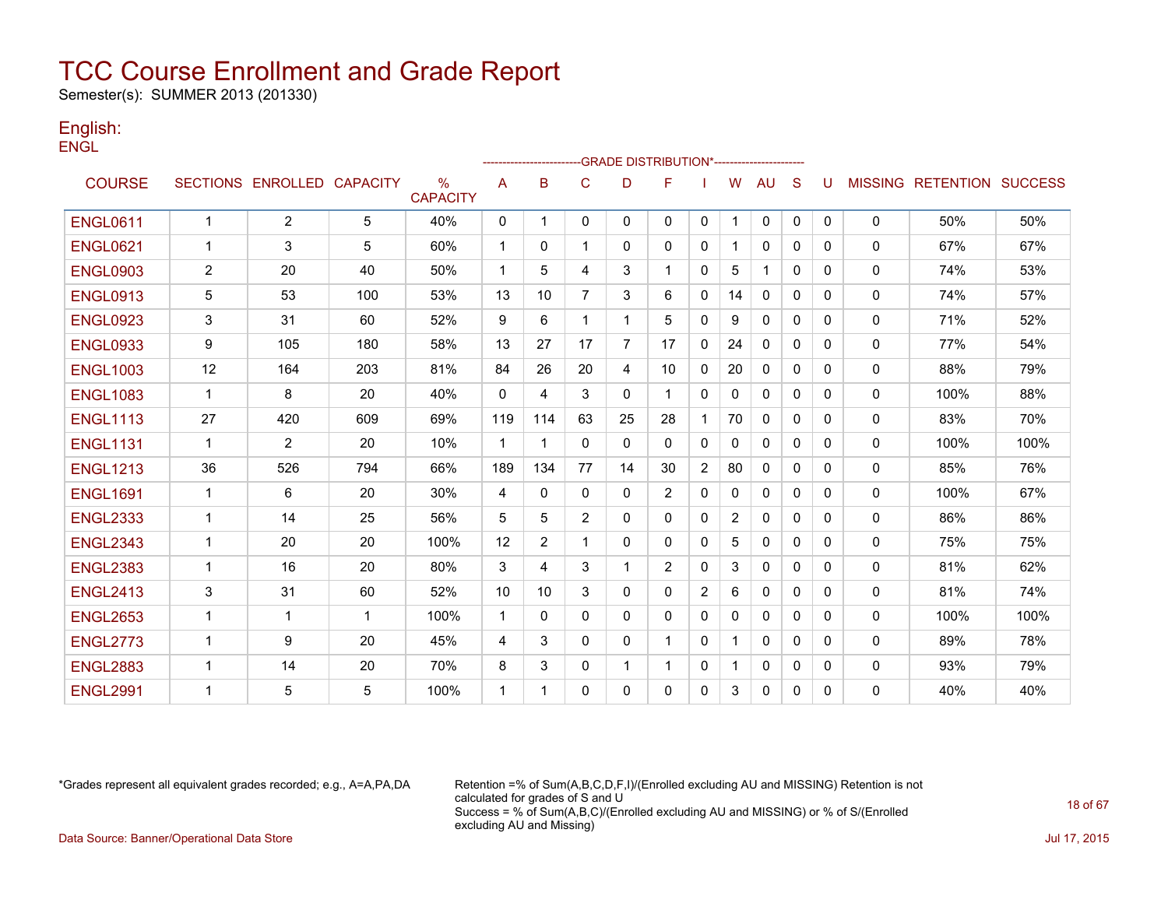Semester(s): SUMMER 2013 (201330)

### English: **ENGL**

|                 |                |                            |             |                                  |              |          |                |                | ------------------------GRADE                DISTRIBUTION*---------------------- |              |          |              |              |              |                |                          |      |
|-----------------|----------------|----------------------------|-------------|----------------------------------|--------------|----------|----------------|----------------|----------------------------------------------------------------------------------|--------------|----------|--------------|--------------|--------------|----------------|--------------------------|------|
| <b>COURSE</b>   |                | SECTIONS ENROLLED CAPACITY |             | $\frac{0}{0}$<br><b>CAPACITY</b> | A            | B        | C              | D              | F                                                                                |              | w        | AU           | S            | U            | <b>MISSING</b> | <b>RETENTION SUCCESS</b> |      |
| <b>ENGL0611</b> | $\mathbf{1}$   | 2                          | 5           | 40%                              | 0            | -1       | $\mathbf{0}$   | $\mathbf{0}$   | 0                                                                                | $\mathbf{0}$ | -1       | $\mathbf 0$  | $\mathbf{0}$ | $\mathbf{0}$ | 0              | 50%                      | 50%  |
| <b>ENGL0621</b> | 1              | 3                          | 5           | 60%                              | $\mathbf 1$  | $\Omega$ | 1              | $\mathbf{0}$   | 0                                                                                | $\mathbf{0}$ |          | $\mathbf{0}$ | $\Omega$     | 0            | $\mathbf{0}$   | 67%                      | 67%  |
| <b>ENGL0903</b> | $\overline{2}$ | 20                         | 40          | 50%                              | $\mathbf 1$  | 5        | 4              | 3              | 1                                                                                | $\mathbf{0}$ | 5        | $\mathbf 1$  | $\Omega$     | $\Omega$     | 0              | 74%                      | 53%  |
| <b>ENGL0913</b> | 5              | 53                         | 100         | 53%                              | 13           | 10       | $\overline{7}$ | 3              | 6                                                                                | 0            | 14       | 0            | 0            | 0            | $\mathbf{0}$   | 74%                      | 57%  |
| <b>ENGL0923</b> | 3              | 31                         | 60          | 52%                              | 9            | 6        | 1              |                | 5                                                                                | $\Omega$     | 9        | $\Omega$     | $\Omega$     | 0            | $\mathbf{0}$   | 71%                      | 52%  |
| <b>ENGL0933</b> | 9              | 105                        | 180         | 58%                              | 13           | 27       | 17             | $\overline{7}$ | 17                                                                               | $\mathbf{0}$ | 24       | $\Omega$     | $\Omega$     | $\Omega$     | 0              | 77%                      | 54%  |
| <b>ENGL1003</b> | 12             | 164                        | 203         | 81%                              | 84           | 26       | 20             | 4              | 10                                                                               | 0            | 20       | 0            | $\Omega$     | 0            | $\mathbf{0}$   | 88%                      | 79%  |
| <b>ENGL1083</b> | 1              | 8                          | 20          | 40%                              | $\mathbf{0}$ | 4        | 3              | 0              |                                                                                  | 0            | 0        | 0            | $\Omega$     | 0            | 0              | 100%                     | 88%  |
| <b>ENGL1113</b> | 27             | 420                        | 609         | 69%                              | 119          | 114      | 63             | 25             | 28                                                                               |              | 70       | $\mathbf{0}$ | $\Omega$     | $\Omega$     | $\Omega$       | 83%                      | 70%  |
| <b>ENGL1131</b> | 1              | 2                          | 20          | 10%                              | -1           |          | $\Omega$       | $\Omega$       | 0                                                                                | 0            | $\Omega$ | $\Omega$     | $\Omega$     | 0            | $\mathbf{0}$   | 100%                     | 100% |
| <b>ENGL1213</b> | 36             | 526                        | 794         | 66%                              | 189          | 134      | 77             | 14             | 30                                                                               | 2            | 80       | 0            | $\Omega$     | 0            | 0              | 85%                      | 76%  |
| <b>ENGL1691</b> | 1              | 6                          | 20          | 30%                              | 4            | $\Omega$ | 0              | $\mathbf{0}$   | $\overline{2}$                                                                   | 0            | $\Omega$ | $\mathbf{0}$ | $\Omega$     | $\Omega$     | 0              | 100%                     | 67%  |
| <b>ENGL2333</b> | $\mathbf 1$    | 14                         | 25          | 56%                              | 5            | 5        | $\overline{2}$ | $\mathbf{0}$   | 0                                                                                | $\mathbf{0}$ | 2        | $\mathbf{0}$ | $\Omega$     | $\Omega$     | $\Omega$       | 86%                      | 86%  |
| <b>ENGL2343</b> | 1              | 20                         | 20          | 100%                             | 12           | 2        | 1              | 0              | 0                                                                                | 0            | 5        | $\mathbf{0}$ | $\mathbf{0}$ | 0            | $\mathbf{0}$   | 75%                      | 75%  |
| <b>ENGL2383</b> | 1              | 16                         | 20          | 80%                              | 3            | 4        | 3              | 1              | $\overline{2}$                                                                   | $\Omega$     | 3        | $\Omega$     | $\Omega$     | $\Omega$     | $\mathbf{0}$   | 81%                      | 62%  |
| <b>ENGL2413</b> | 3              | 31                         | 60          | 52%                              | 10           | 10       | 3              | $\mathbf{0}$   | 0                                                                                | 2            | 6        | 0            | $\Omega$     | $\Omega$     | 0              | 81%                      | 74%  |
| <b>ENGL2653</b> | 1              | $\mathbf{1}$               | $\mathbf 1$ | 100%                             | $\mathbf 1$  | $\Omega$ | $\mathbf{0}$   | $\mathbf{0}$   | 0                                                                                | $\mathbf{0}$ | $\Omega$ | $\mathbf{0}$ | $\Omega$     | $\Omega$     | 0              | 100%                     | 100% |
| <b>ENGL2773</b> | 1              | 9                          | 20          | 45%                              | 4            | 3        | $\mathbf{0}$   | $\mathbf{0}$   | 1                                                                                | 0            |          | $\mathbf{0}$ | $\Omega$     | $\Omega$     | 0              | 89%                      | 78%  |
| <b>ENGL2883</b> | 1              | 14                         | 20          | 70%                              | 8            | 3        | $\mathbf{0}$   | 1              | 1                                                                                | 0            | -1       | 0            | 0            | 0            | 0              | 93%                      | 79%  |
| <b>ENGL2991</b> | 1              | 5                          | 5           | 100%                             | -1           | 1        | 0              | 0              | 0                                                                                | $\Omega$     | 3        | $\Omega$     | $\Omega$     | 0            | $\Omega$       | 40%                      | 40%  |

\*Grades represent all equivalent grades recorded; e.g., A=A,PA,DA Retention =% of Sum(A,B,C,D,F,I)/(Enrolled excluding AU and MISSING) Retention is not calculated for grades of S and U Success = % of Sum(A,B,C)/(Enrolled excluding AU and MISSING) or % of S/(Enrolled excluding AU and Missing) Data Source: Banner/Operational Data Store Jul 17, 2015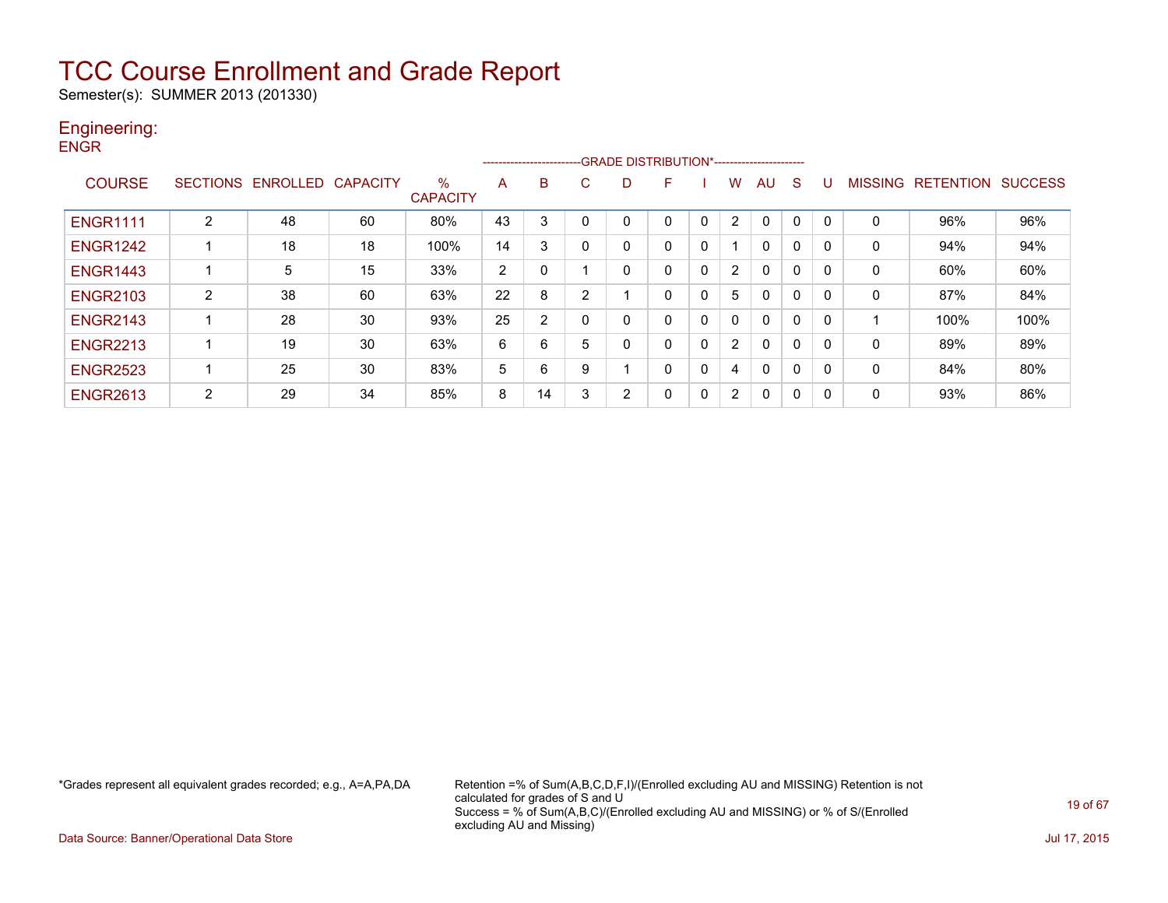Semester(s): SUMMER 2013 (201330)

#### Engineering: **ENGR**

| _____           |                 |          |                 |                         |                | ----------------------- |   | -GRADE DISTRIBUTION*----------------------- |   |   |                |              |          |          |                |                  |                |
|-----------------|-----------------|----------|-----------------|-------------------------|----------------|-------------------------|---|---------------------------------------------|---|---|----------------|--------------|----------|----------|----------------|------------------|----------------|
| <b>COURSE</b>   | <b>SECTIONS</b> | ENROLLED | <b>CAPACITY</b> | $\%$<br><b>CAPACITY</b> | A              | В                       | С | D                                           | F |   | w              | AU           | S.       | U        | <b>MISSING</b> | <b>RETENTION</b> | <b>SUCCESS</b> |
| <b>ENGR1111</b> | 2               | 48       | 60              | 80%                     | 43             | 3                       | 0 | 0                                           | 0 |   | 2              |              | $\Omega$ | 0        | $\mathbf 0$    | 96%              | 96%            |
| <b>ENGR1242</b> |                 | 18       | 18              | 100%                    | 14             | 3                       | 0 | 0                                           | 0 | 0 |                | 0            | 0        | 0        | $\mathbf 0$    | 94%              | 94%            |
| <b>ENGR1443</b> |                 | 5        | 15              | 33%                     | $\overline{2}$ |                         |   | 0                                           | 0 |   | 2              | $\mathbf{0}$ | 0        | 0        | $\mathbf 0$    | 60%              | 60%            |
| <b>ENGR2103</b> | 2               | 38       | 60              | 63%                     | 22             | 8                       | 2 |                                             | 0 |   | 5              | 0            | 0        | 0        | $\mathbf 0$    | 87%              | 84%            |
| <b>ENGR2143</b> |                 | 28       | 30              | 93%                     | 25             | $\overline{2}$          | 0 | 0                                           | 0 | 0 | 0              | $\mathbf{0}$ | 0        | $\Omega$ |                | 100%             | 100%           |
| <b>ENGR2213</b> |                 | 19       | 30              | 63%                     | 6              | 6                       | 5 | 0                                           | 0 |   | 2              | 0            | 0        | 0        | 0              | 89%              | 89%            |
| <b>ENGR2523</b> |                 | 25       | 30              | 83%                     | 5              | 6                       | 9 | $\overline{\mathbf{A}}$                     | 0 |   | 4              | 0            | 0        | 0        | $\mathbf{0}$   | 84%              | 80%            |
| <b>ENGR2613</b> | 2               | 29       | 34              | 85%                     | 8              | 14                      | 3 | $\overline{2}$                              | 0 | 0 | $\overline{2}$ | 0            | 0        | 0        | 0              | 93%              | 86%            |

\*Grades represent all equivalent grades recorded; e.g., A=A,PA,DA Retention =% of Sum(A,B,C,D,F,I)/(Enrolled excluding AU and MISSING) Retention is not calculated for grades of S and U Success = % of Sum(A,B,C)/(Enrolled excluding AU and MISSING) or % of S/(Enrolled excluding AU and Missing)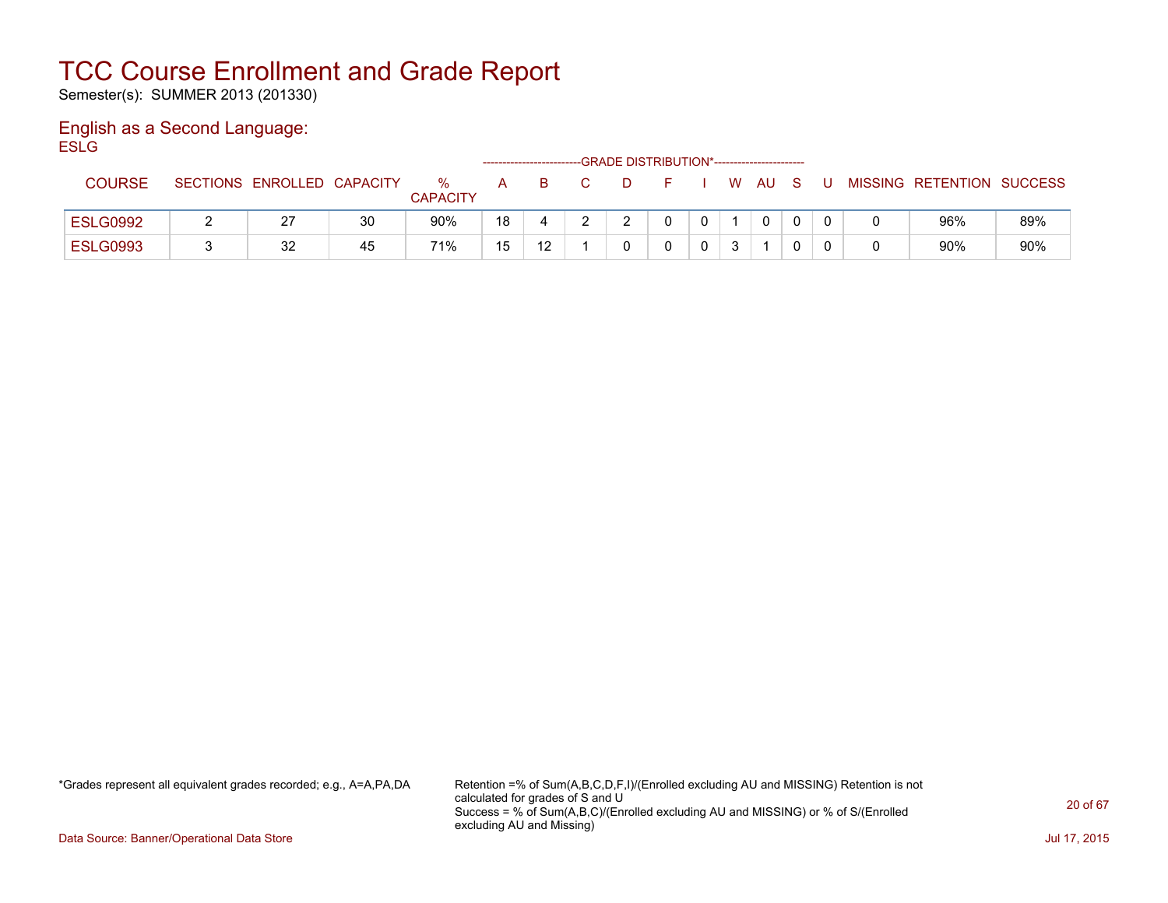Semester(s): SUMMER 2013 (201330)

#### English as a Second Language: **ESLG**

|                 |                            |    |                      |    | -------------------------- |  | -GRADE DISTRIBUTION*----------------------- |    |              |   |                           |     |
|-----------------|----------------------------|----|----------------------|----|----------------------------|--|---------------------------------------------|----|--------------|---|---------------------------|-----|
| <b>COURSE</b>   | SECTIONS ENROLLED CAPACITY |    | %<br><b>CAPACITY</b> | A  | B.                         |  |                                             | W. | AU.          | U | MISSING RETENTION SUCCESS |     |
| <b>ESLG0992</b> | 27                         | 30 | 90%                  | 18 |                            |  |                                             |    | $\mathbf{0}$ |   | 96%                       | 89% |
| <b>ESLG0993</b> | 32                         | 45 | 71%                  | 15 | 12                         |  |                                             |    |              |   | 90%                       | 90% |

\*Grades represent all equivalent grades recorded; e.g., A=A,PA,DA Retention =% of Sum(A,B,C,D,F,I)/(Enrolled excluding AU and MISSING) Retention is not calculated for grades of S and U Success = % of Sum(A,B,C)/(Enrolled excluding AU and MISSING) or % of S/(Enrolled excluding AU and Missing)

Data Source: Banner/Operational Data Store Jul 17, 2015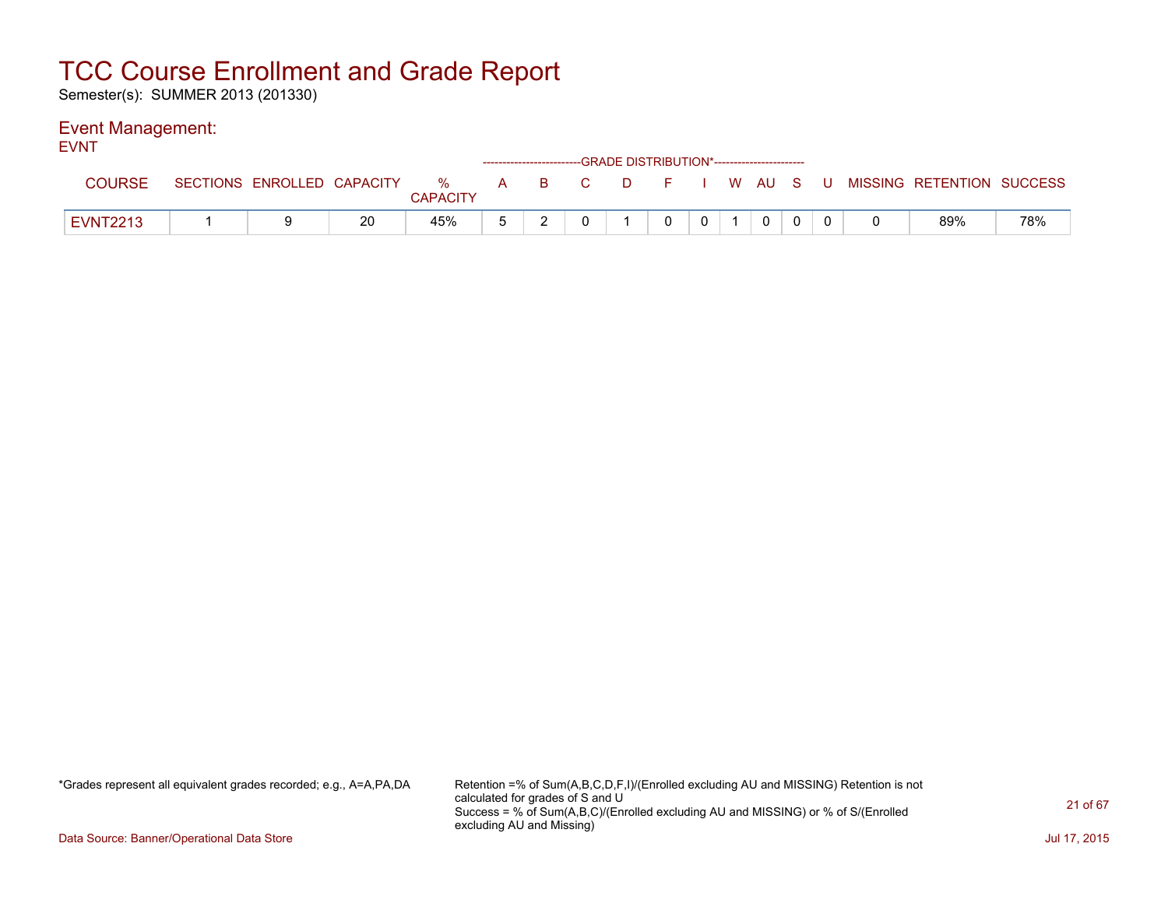Semester(s): SUMMER 2013 (201330)

### Event Management:

| -<br><b>EVNT</b> |                            |    |                 |          |  | --GRADE DISTRIBUTION*----------------------- |              |              |  |  |                                                                     |     |
|------------------|----------------------------|----|-----------------|----------|--|----------------------------------------------|--------------|--------------|--|--|---------------------------------------------------------------------|-----|
| <b>COURSE</b>    | SECTIONS ENROLLED CAPACITY |    | <b>CAPACITY</b> |          |  |                                              |              |              |  |  | △ ※   A   B   C   D   F   I   W  AU S   U MISSING RETENTION SUCCESS |     |
| <b>EVNT2213</b>  |                            | 20 | 45%             | <u>_</u> |  |                                              | $\mathbf{0}$ | $\mathbf{0}$ |  |  | 89%                                                                 | 78% |

\*Grades represent all equivalent grades recorded; e.g., A=A,PA,DA Retention =% of Sum(A,B,C,D,F,I)/(Enrolled excluding AU and MISSING) Retention is not calculated for grades of S and U Success = % of Sum(A,B,C)/(Enrolled excluding AU and MISSING) or % of S/(Enrolled excluding AU and Missing)

Data Source: Banner/Operational Data Store Jul 17, 2015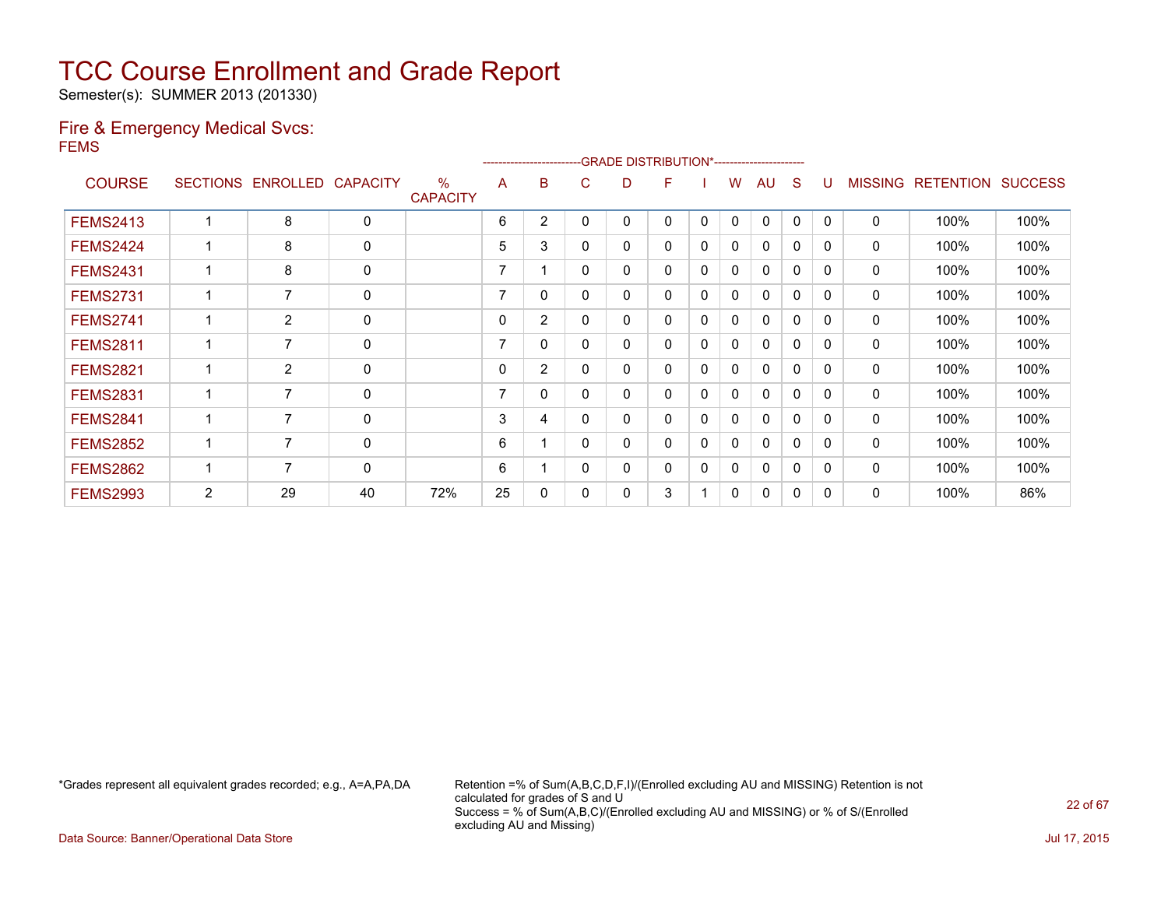Semester(s): SUMMER 2013 (201330)

### Fire & Emergency Medical Svcs: FEMS

|                 |   |                   |                 |                                  |    | ---------------------- |          | -GRADE DISTRIBUTION*----------------------- |   |              |              |              |              |              |                |                  |                |
|-----------------|---|-------------------|-----------------|----------------------------------|----|------------------------|----------|---------------------------------------------|---|--------------|--------------|--------------|--------------|--------------|----------------|------------------|----------------|
| <b>COURSE</b>   |   | SECTIONS ENROLLED | <b>CAPACITY</b> | $\frac{0}{0}$<br><b>CAPACITY</b> | A  | B                      | C.       | D                                           | F |              | W            | AU           | S            | U            | <b>MISSING</b> | <b>RETENTION</b> | <b>SUCCESS</b> |
| <b>FEMS2413</b> |   | 8                 | $\mathbf 0$     |                                  | 6  | $\overline{2}$         | 0        | 0                                           | 0 | $\mathbf{0}$ | $\mathbf{0}$ | $\mathbf{0}$ | $\mathbf{0}$ | $\Omega$     | 0              | 100%             | 100%           |
| <b>FEMS2424</b> |   | 8                 | $\mathbf 0$     |                                  | 5  | 3                      | 0        | 0                                           | 0 | 0            | 0            | $\mathbf{0}$ | 0            | <sup>0</sup> | 0              | 100%             | 100%           |
| <b>FEMS2431</b> |   | 8                 | 0               |                                  | 7  |                        | 0        | 0                                           | 0 | 0            | 0            | 0            | $\Omega$     | 0            | 0              | 100%             | 100%           |
| <b>FEMS2731</b> |   | 7                 | $\mathbf 0$     |                                  | 7  | 0                      | 0        | 0                                           | 0 | $\mathbf{0}$ | $\mathbf{0}$ | $\Omega$     | $\Omega$     | $\Omega$     | 0              | 100%             | 100%           |
| <b>FEMS2741</b> |   | $\overline{2}$    | 0               |                                  | 0  | $\overline{2}$         | 0        | 0                                           | 0 | 0            | 0            | $\mathbf{0}$ | 0            | <sup>0</sup> | 0              | 100%             | 100%           |
| <b>FEMS2811</b> |   | 7                 | $\mathbf 0$     |                                  | 7  | $\Omega$               | 0        | 0                                           | 0 | $\Omega$     | 0            | $\mathbf{0}$ | $\Omega$     | <sup>0</sup> | 0              | 100%             | 100%           |
| <b>FEMS2821</b> |   | $\overline{2}$    | 0               |                                  | 0  | $\overline{2}$         | 0        | 0                                           | 0 | 0            | $\Omega$     | $\Omega$     | 0            | 0            | 0              | 100%             | 100%           |
| <b>FEMS2831</b> |   | 7                 | $\mathbf 0$     |                                  | 7  | 0                      | 0        | 0                                           | 0 | 0            | 0            | $\mathbf{0}$ | $\Omega$     | <sup>0</sup> | 0              | 100%             | 100%           |
| <b>FEMS2841</b> |   | $\overline{7}$    | $\mathbf 0$     |                                  | 3  | 4                      | $\Omega$ | 0                                           | 0 | 0            | $\Omega$     | $\mathbf 0$  | $\Omega$     | <sup>0</sup> | $\mathbf 0$    | 100%             | 100%           |
| <b>FEMS2852</b> |   | 7                 | 0               |                                  | 6  |                        | 0        | 0                                           | 0 | 0            | 0            | 0            | 0            | <sup>0</sup> | 0              | 100%             | 100%           |
| <b>FEMS2862</b> |   | 7                 | 0               |                                  | 6  |                        | 0        | 0                                           | 0 | 0            | $\Omega$     | 0            | 0            | <sup>0</sup> | 0              | 100%             | 100%           |
| <b>FEMS2993</b> | 2 | 29                | 40              | 72%                              | 25 | 0                      | 0        | 0                                           | 3 |              | 0            | 0            | 0            | <sup>0</sup> | 0              | 100%             | 86%            |

\*Grades represent all equivalent grades recorded; e.g., A=A,PA,DA Retention =% of Sum(A,B,C,D,F,I)/(Enrolled excluding AU and MISSING) Retention is not calculated for grades of S and U Success = % of Sum(A,B,C)/(Enrolled excluding AU and MISSING) or % of S/(Enrolled excluding AU and Missing)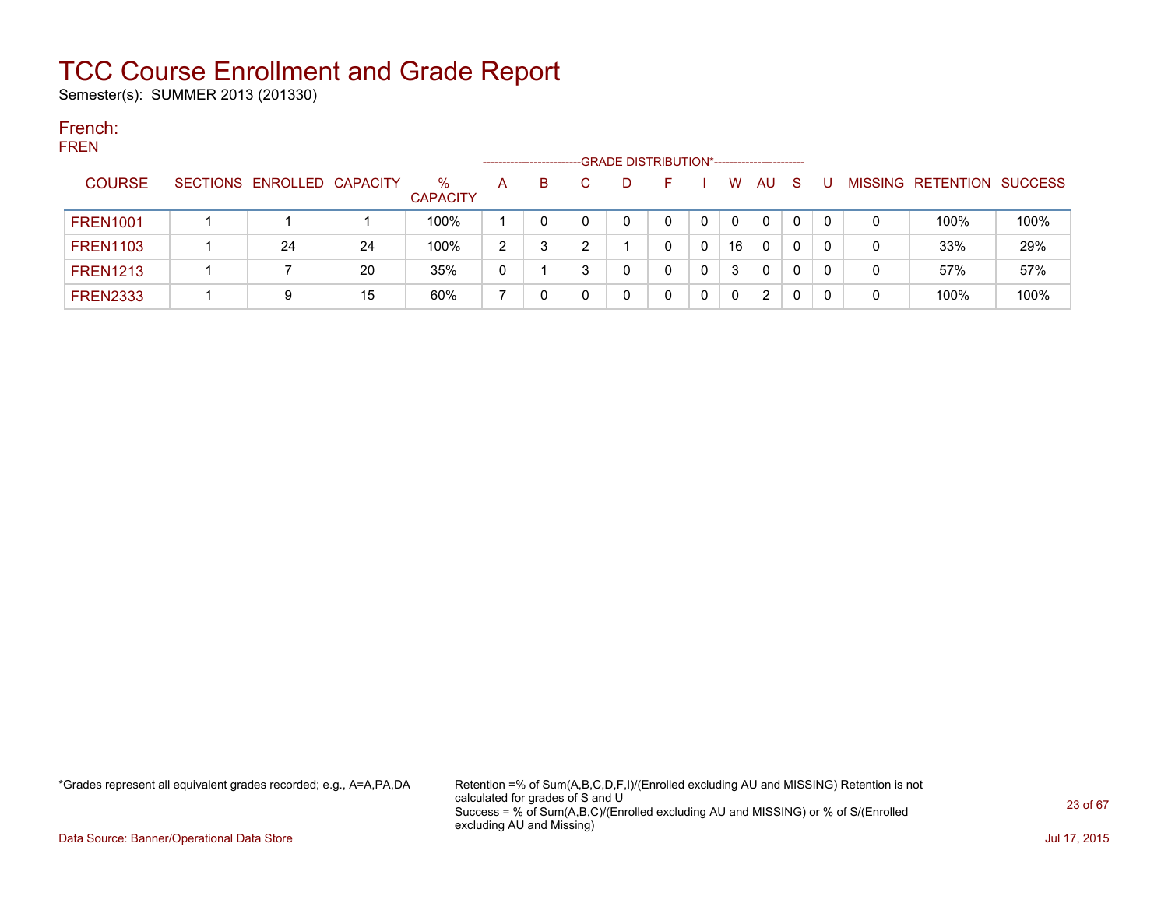Semester(s): SUMMER 2013 (201330)

#### French: FREN

| FREN            |                            |    |                         |              | --------------------- | -GRADE DISTRIBUTION*----------------------- |              |              |          |    |         |           |         |
|-----------------|----------------------------|----|-------------------------|--------------|-----------------------|---------------------------------------------|--------------|--------------|----------|----|---------|-----------|---------|
| <b>COURSE</b>   | SECTIONS ENROLLED CAPACITY |    | $\%$<br><b>CAPACITY</b> | A            | B.                    | D                                           |              | W            | AU       | -S | MISSING | RETENTION | SUCCESS |
| <b>FREN1001</b> |                            |    | 100%                    |              |                       |                                             |              | $\mathbf{0}$ | 0        | 0  |         | 100%      | 100%    |
| <b>FREN1103</b> | 24                         | 24 | 100%                    | 2            | 3                     |                                             | 0            | 16           | 0        | 0  |         | 33%       | 29%     |
| <b>FREN1213</b> |                            | 20 | 35%                     | $\mathbf{0}$ |                       |                                             | 0            | 3            | $\Omega$ | 0  | 0       | 57%       | 57%     |
| <b>FREN2333</b> | 9                          | 15 | 60%                     |              |                       |                                             | $\mathbf{0}$ | $\mathbf{0}$ | 2        |    |         | 100%      | 100%    |

\*Grades represent all equivalent grades recorded; e.g., A=A,PA,DA Retention =% of Sum(A,B,C,D,F,I)/(Enrolled excluding AU and MISSING) Retention is not calculated for grades of S and U Success = % of Sum(A,B,C)/(Enrolled excluding AU and MISSING) or % of S/(Enrolled excluding AU and Missing)

Data Source: Banner/Operational Data Store Jul 17, 2015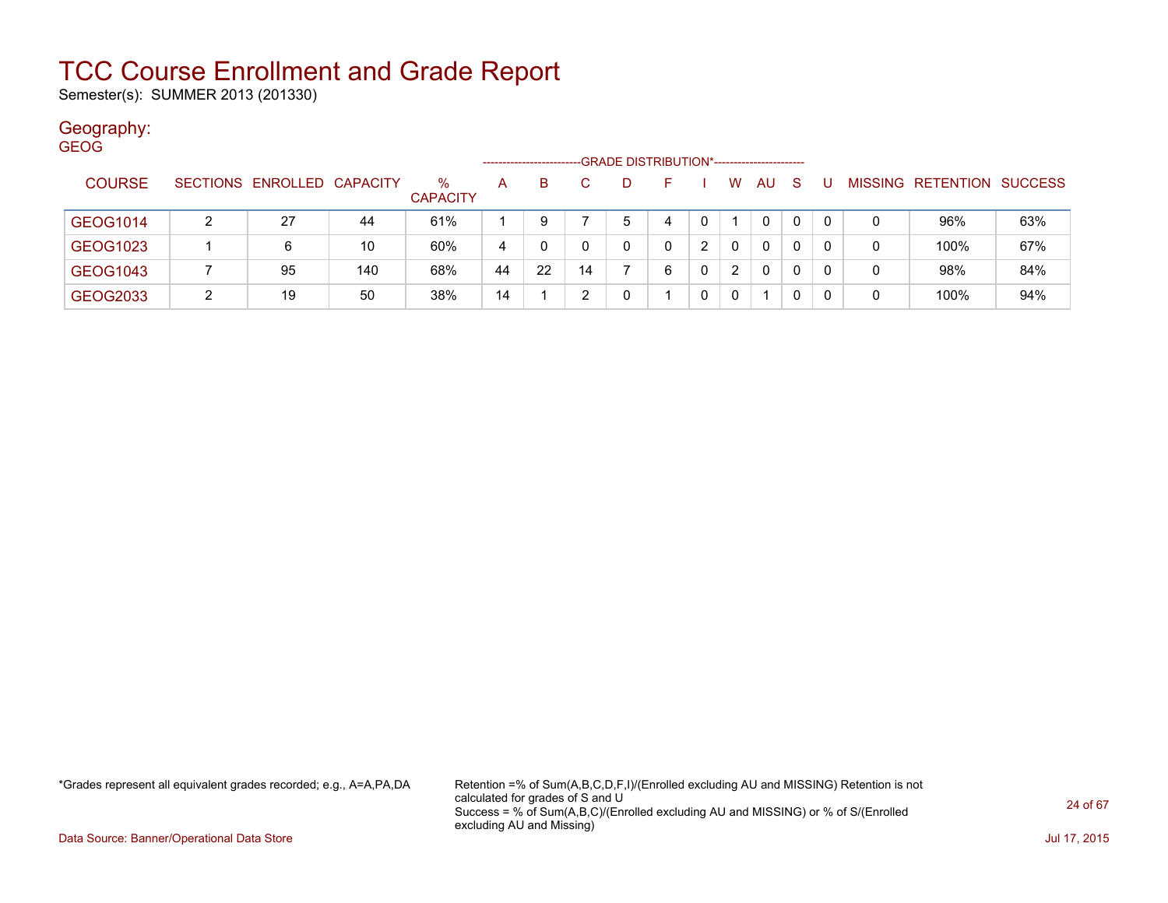Semester(s): SUMMER 2013 (201330)

### Geography:

| <b>GEOG</b> |               |   |                            |     |                 |    |    |    |                                             |   |   |   |              |              |     |   |                           |     |
|-------------|---------------|---|----------------------------|-----|-----------------|----|----|----|---------------------------------------------|---|---|---|--------------|--------------|-----|---|---------------------------|-----|
|             |               |   |                            |     |                 |    |    |    | -GRADE DISTRIBUTION*----------------------- |   |   |   |              |              |     |   |                           |     |
|             | <b>COURSE</b> |   | SECTIONS ENROLLED CAPACITY |     | $\%$            | A  | B. |    | D.                                          |   |   | W | <b>AU</b>    | <sub>S</sub> |     |   | MISSING RETENTION SUCCESS |     |
|             |               |   |                            |     | <b>CAPACITY</b> |    |    |    |                                             |   |   |   |              |              |     |   |                           |     |
|             | GEOG1014      |   | 27                         | 44  | 61%             |    | 9  |    | 5                                           | 4 | 0 |   | 0            | 0            | -0  | 0 | 96%                       | 63% |
|             | GEOG1023      |   | 6                          | 10  | 60%             | 4  |    |    | 0                                           | 0 | າ | 0 | $\mathbf{0}$ | 0            | - 0 | 0 | 100%                      | 67% |
|             |               |   |                            |     |                 |    |    |    |                                             |   |   |   |              |              |     |   |                           |     |
|             | GEOG1043      |   | 95                         | 140 | 68%             | 44 | 22 | 14 |                                             | 6 | 0 | 2 | $\mathbf{0}$ | 0            | -0  | 0 | 98%                       | 84% |
|             | GEOG2033      | າ | 19                         | 50  | 38%             | 14 |    |    | 0                                           |   | 0 | 0 |              | 0            | -0  | 0 | 100%                      | 94% |

\*Grades represent all equivalent grades recorded; e.g., A=A,PA,DA Retention =% of Sum(A,B,C,D,F,I)/(Enrolled excluding AU and MISSING) Retention is not calculated for grades of S and U Success = % of Sum(A,B,C)/(Enrolled excluding AU and MISSING) or % of S/(Enrolled excluding AU and Missing)

Data Source: Banner/Operational Data Store Jul 17, 2015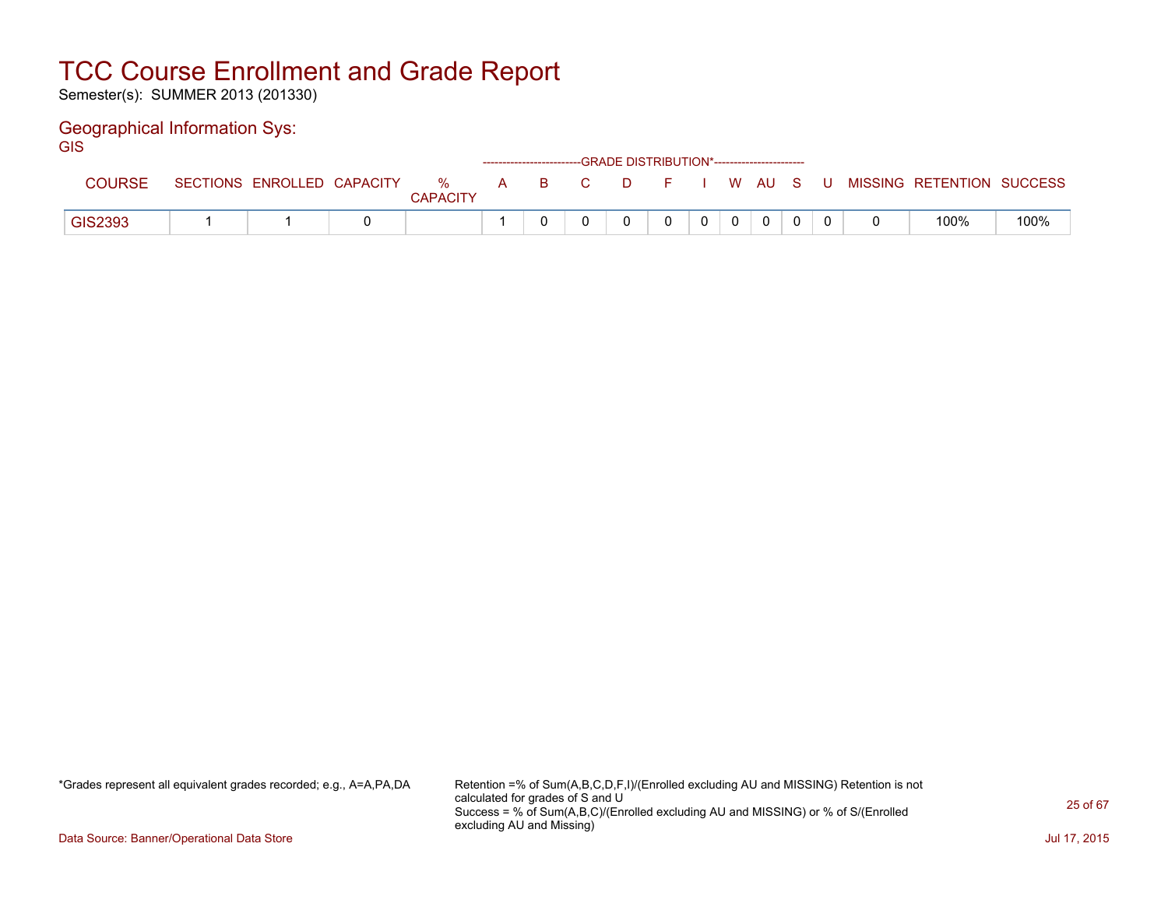Semester(s): SUMMER 2013 (201330)

### Geographical Information Sys:

**GIS** 

|         |                            |                      |  | ------------------------GRADE        DISTRIBUTION*----------------------- |              |          |  |                           |      |
|---------|----------------------------|----------------------|--|---------------------------------------------------------------------------|--------------|----------|--|---------------------------|------|
|         | SECTIONS ENROLLED CAPACITY | %<br><b>CAPACITY</b> |  | A B C D F I W AU S U                                                      |              |          |  | MISSING RETENTION SUCCESS |      |
| GIS2393 |                            |                      |  |                                                                           | $\mathbf{0}$ | $\Omega$ |  | 100%                      | 100% |

\*Grades represent all equivalent grades recorded; e.g., A=A,PA,DA Retention =% of Sum(A,B,C,D,F,I)/(Enrolled excluding AU and MISSING) Retention is not calculated for grades of S and U Success = % of Sum(A,B,C)/(Enrolled excluding AU and MISSING) or % of S/(Enrolled excluding AU and Missing)

Data Source: Banner/Operational Data Store Jul 17, 2015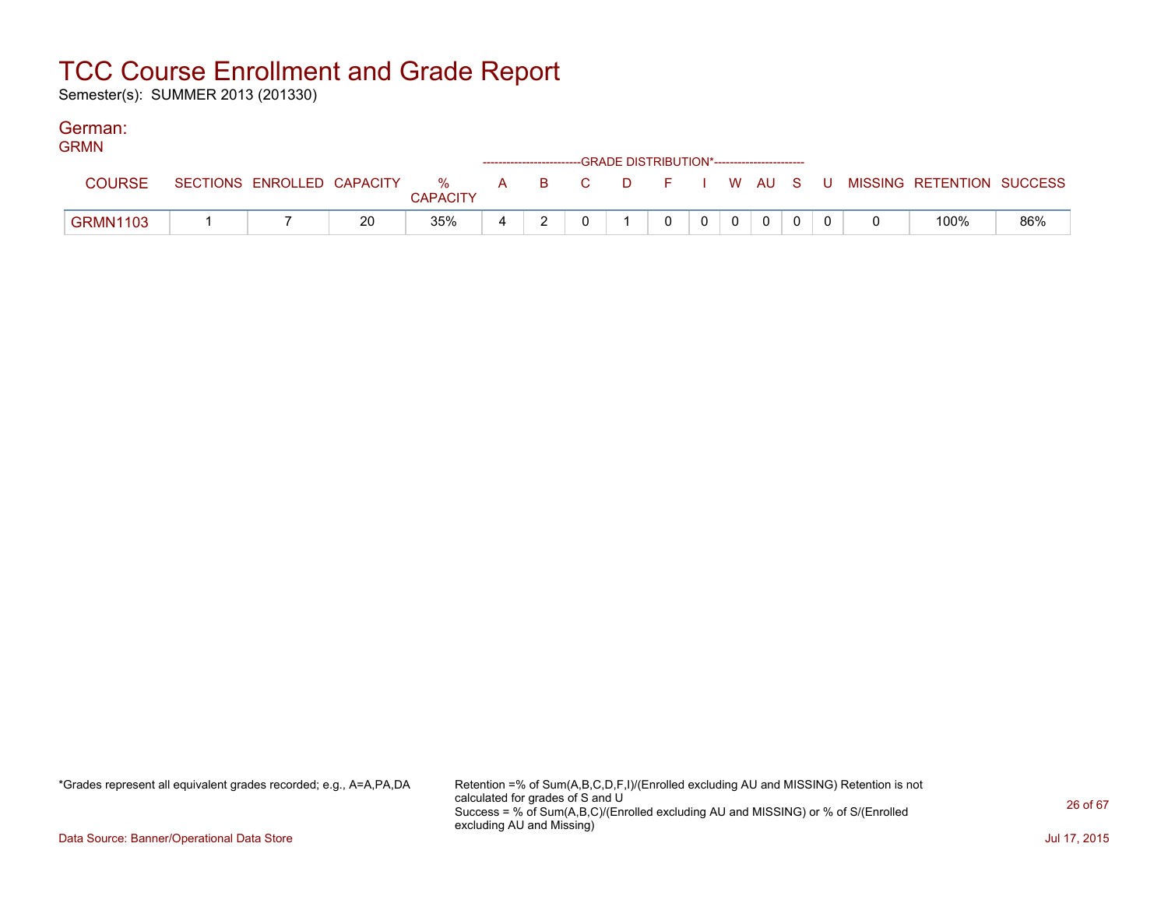Semester(s): SUMMER 2013 (201330)

#### German: GRMN

| GRMIN           |                            |    |                      | ------------------------GRADE DISTRIBUTION*----------------------- |  |  |                |          |          |  |                                                |     |
|-----------------|----------------------------|----|----------------------|--------------------------------------------------------------------|--|--|----------------|----------|----------|--|------------------------------------------------|-----|
| <b>COURSE</b>   | SECTIONS ENROLLED CAPACITY |    | %<br><b>CAPACITY</b> |                                                                    |  |  |                |          |          |  | A B C D F I W AU S U MISSING—RETENTION SUCCESS |     |
| <b>GRMN1103</b> |                            | 20 | 35%                  | 4                                                                  |  |  | 0 <sup>1</sup> | $\Omega$ | $\Omega$ |  | 100%                                           | 86% |

\*Grades represent all equivalent grades recorded; e.g., A=A,PA,DA Retention =% of Sum(A,B,C,D,F,I)/(Enrolled excluding AU and MISSING) Retention is not calculated for grades of S and U Success = % of Sum(A,B,C)/(Enrolled excluding AU and MISSING) or % of S/(Enrolled excluding AU and Missing)

Data Source: Banner/Operational Data Store Jul 17, 2015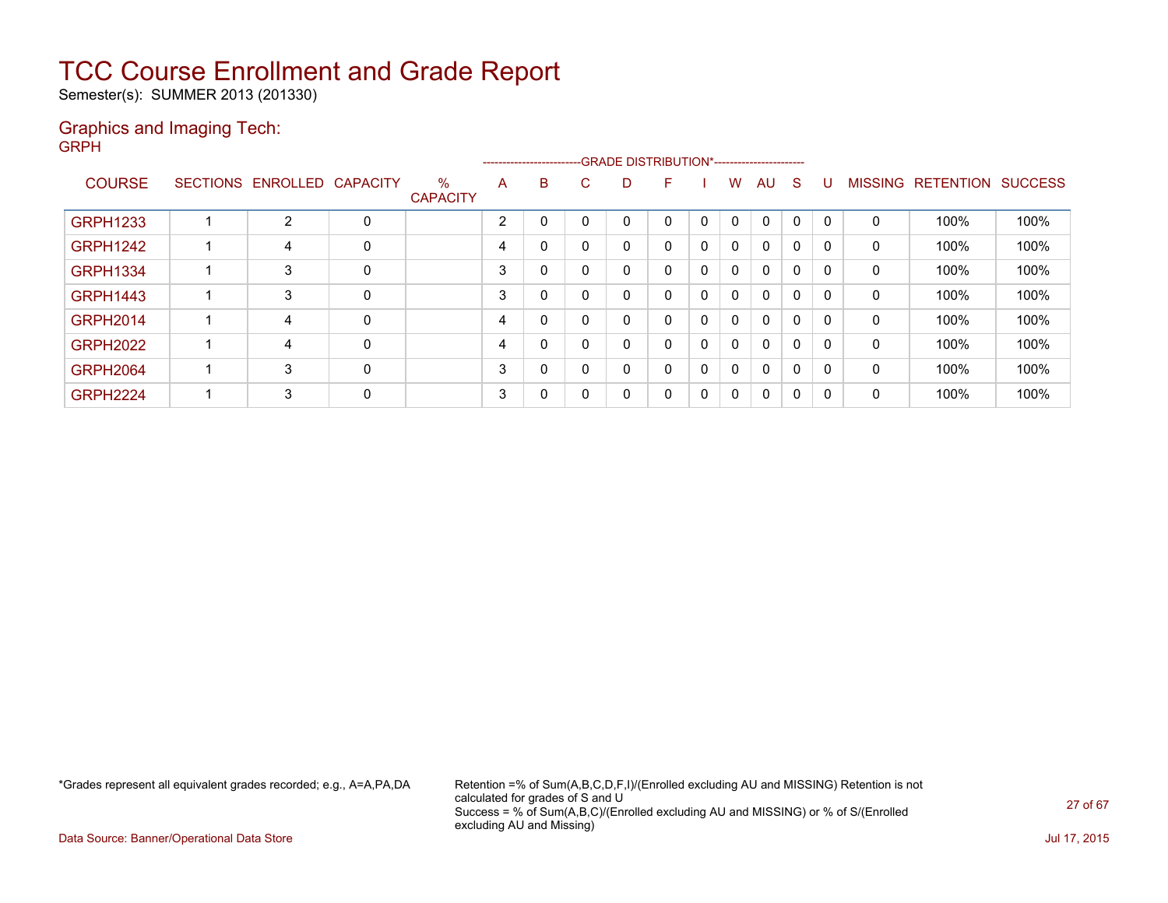Semester(s): SUMMER 2013 (201330)

#### Graphics and Imaging Tech: GRPH

|                 |                            |   |                         |                |   |   | ------------------------GRADE                DISTRIBUTION*---------------------- |          |          |              |             |              |              |              |                           |      |
|-----------------|----------------------------|---|-------------------------|----------------|---|---|----------------------------------------------------------------------------------|----------|----------|--------------|-------------|--------------|--------------|--------------|---------------------------|------|
| <b>COURSE</b>   | SECTIONS ENROLLED CAPACITY |   | $\%$<br><b>CAPACITY</b> | A              | B | C | D                                                                                | F        |          | w            | AU          | -S           | U            |              | MISSING RETENTION SUCCESS |      |
| <b>GRPH1233</b> | 2                          | 0 |                         | $\overline{2}$ | 0 |   | 0                                                                                | 0        |          | $\Omega$     | 0           | $\Omega$     | $\mathbf{0}$ | $\Omega$     | 100%                      | 100% |
| <b>GRPH1242</b> | 4                          | 0 |                         | 4              | 0 |   | 0                                                                                | 0        |          | $\mathbf{0}$ | $\mathbf 0$ | 0            | $\Omega$     | 0            | 100%                      | 100% |
| <b>GRPH1334</b> | 3                          | 0 |                         | 3              | 0 |   | 0                                                                                | 0        |          | $\mathbf{0}$ | $\mathbf 0$ | $\mathbf{0}$ | 0            | $\mathbf{0}$ | 100%                      | 100% |
| <b>GRPH1443</b> | 3                          | 0 |                         | 3              | 0 |   | 0                                                                                | $\Omega$ | $\Omega$ | 0            | $\mathbf 0$ | $\mathbf{0}$ | $\mathbf{0}$ | 0            | 100%                      | 100% |
| <b>GRPH2014</b> | 4                          | 0 |                         | 4              | 0 |   | 0                                                                                | $\Omega$ |          | $\mathbf{0}$ | $\mathbf 0$ | 0            | 0            | $\mathbf{0}$ | 100%                      | 100% |
| <b>GRPH2022</b> | 4                          | 0 |                         | 4              | 0 |   | 0                                                                                | 0        |          | $\mathbf{0}$ | $\mathbf 0$ | 0            | $\mathbf{0}$ | 0            | 100%                      | 100% |
| <b>GRPH2064</b> | 3                          | 0 |                         | 3              | 0 | 0 | 0                                                                                | 0        |          | $\mathbf{0}$ | $\mathbf 0$ | $\mathbf{0}$ | $\mathbf{0}$ | $\Omega$     | 100%                      | 100% |
| <b>GRPH2224</b> | 3                          | 0 |                         | 3              | 0 |   | 0                                                                                | 0        | 0        | $\mathbf{0}$ | 0           | $\mathbf{0}$ | $\mathbf{0}$ | 0            | 100%                      | 100% |

\*Grades represent all equivalent grades recorded; e.g., A=A,PA,DA Retention =% of Sum(A,B,C,D,F,I)/(Enrolled excluding AU and MISSING) Retention is not calculated for grades of S and U Success = % of Sum(A,B,C)/(Enrolled excluding AU and MISSING) or % of S/(Enrolled excluding AU and Missing)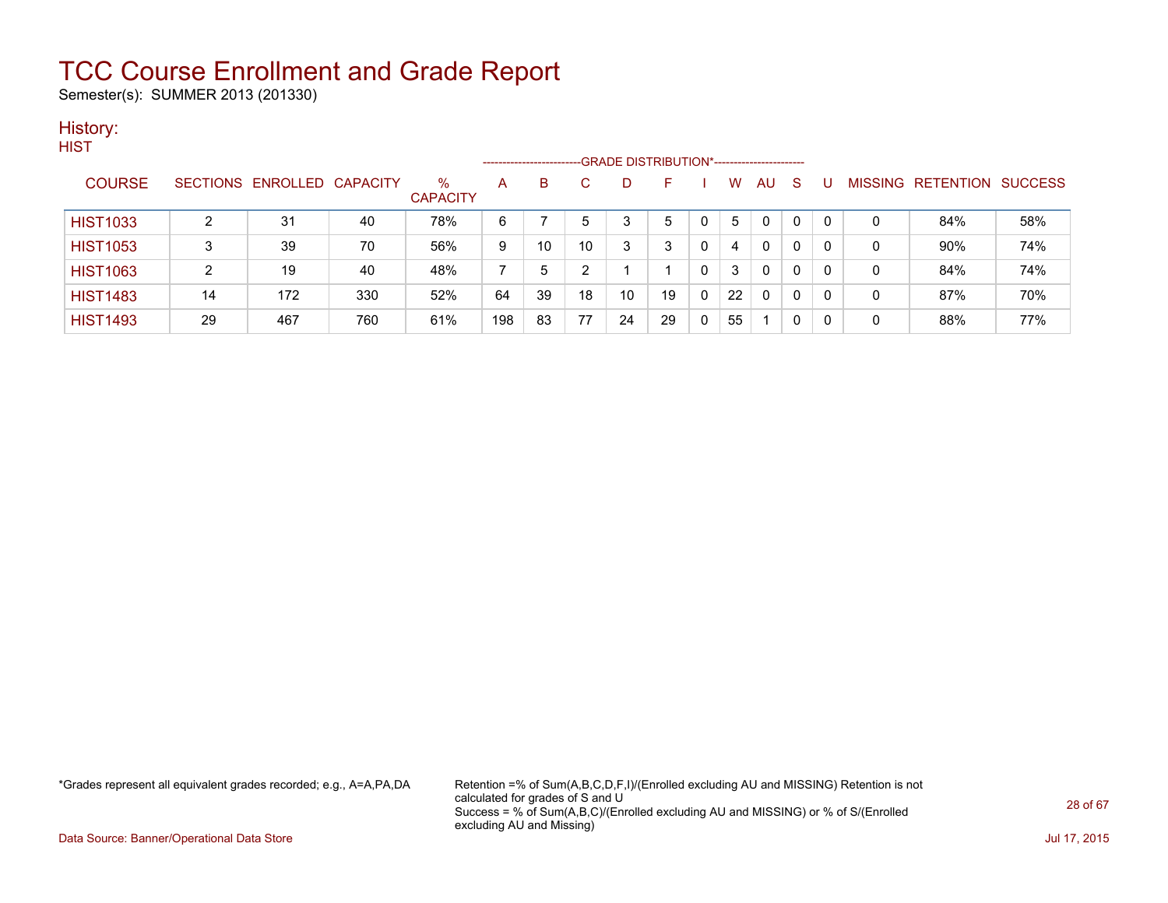Semester(s): SUMMER 2013 (201330)

#### History: **HIST**

|                 |    |                            |     |                         | --------------------- |    |    | -GRADE DISTRIBUTION*----------------------- |    |          |    |              |    |              |   |                           |     |
|-----------------|----|----------------------------|-----|-------------------------|-----------------------|----|----|---------------------------------------------|----|----------|----|--------------|----|--------------|---|---------------------------|-----|
| <b>COURSE</b>   |    | SECTIONS ENROLLED CAPACITY |     | $\%$<br><b>CAPACITY</b> | A                     | B  |    |                                             | F  |          | W  | AU           | -S | U            |   | MISSING RETENTION SUCCESS |     |
| <b>HIST1033</b> |    | 31                         | 40  | 78%                     | 6                     |    | 5  |                                             | 5  |          | 5. | 0            | 0  | $\mathbf{0}$ | 0 | 84%                       | 58% |
| <b>HIST1053</b> |    | 39                         | 70  | 56%                     | 9                     | 10 | 10 |                                             | 3  | $\Omega$ | 4  | 0            | 0  | 0            | 0 | 90%                       | 74% |
| <b>HIST1063</b> | 2  | 19                         | 40  | 48%                     |                       | -5 |    |                                             |    |          | 3  | $\mathbf{0}$ | 0  | $\mathbf{0}$ | 0 | 84%                       | 74% |
| <b>HIST1483</b> | 14 | 172                        | 330 | 52%                     | 64                    | 39 | 18 | 10                                          | 19 | $\Omega$ | 22 | $\mathbf{0}$ | 0  | $\mathbf{0}$ | 0 | 87%                       | 70% |
| <b>HIST1493</b> | 29 | 467                        | 760 | 61%                     | 198                   | 83 | 77 | 24                                          | 29 |          | 55 |              | 0  | 0            | 0 | 88%                       | 77% |

\*Grades represent all equivalent grades recorded; e.g., A=A,PA,DA Retention =% of Sum(A,B,C,D,F,I)/(Enrolled excluding AU and MISSING) Retention is not calculated for grades of S and U Success = % of Sum(A,B,C)/(Enrolled excluding AU and MISSING) or % of S/(Enrolled excluding AU and Missing)

Data Source: Banner/Operational Data Store Jul 17, 2015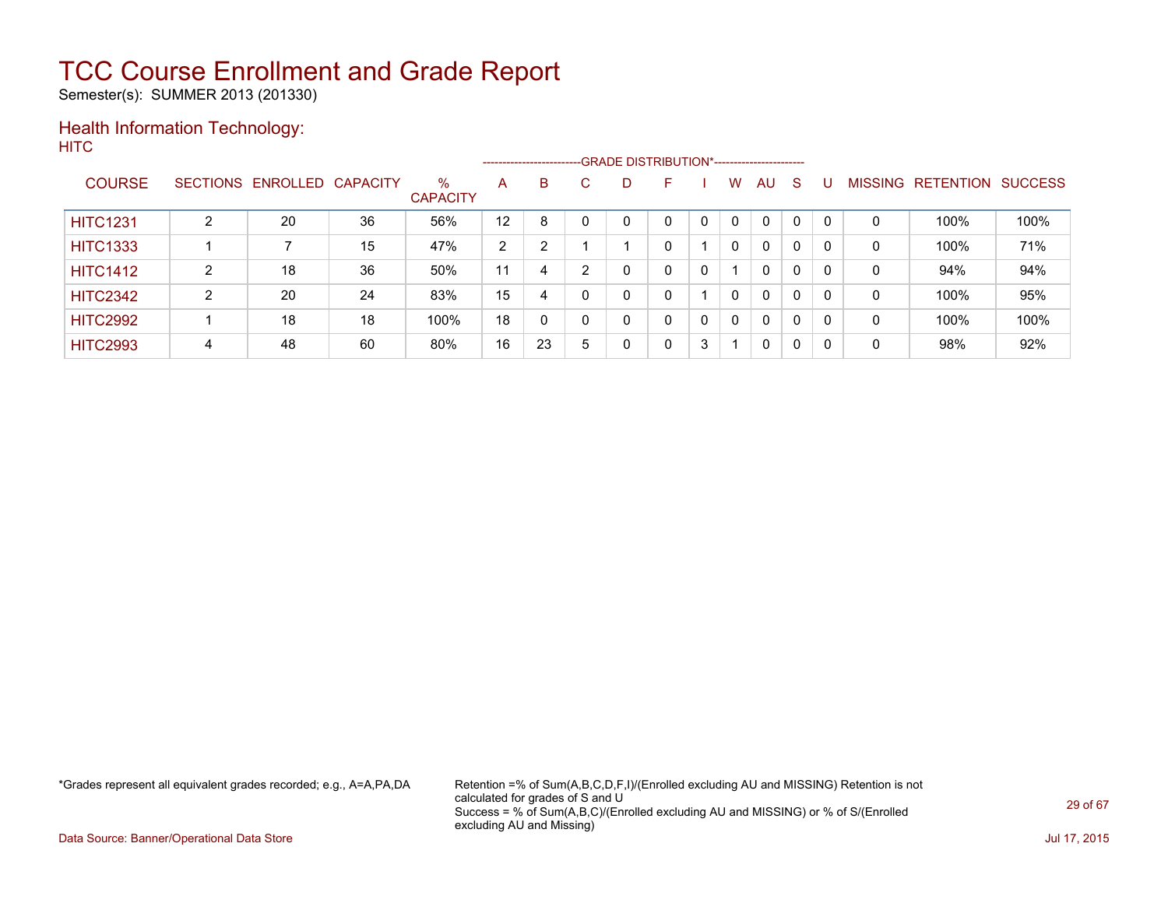Semester(s): SUMMER 2013 (201330)

### Health Information Technology: **HITC**

|                 |   |                            |    |                         |    |    |    | ------------------------GRADE DISTRIBUTION*----------------------- |   |   |          |              |              |          |                |           |                |
|-----------------|---|----------------------------|----|-------------------------|----|----|----|--------------------------------------------------------------------|---|---|----------|--------------|--------------|----------|----------------|-----------|----------------|
| <b>COURSE</b>   |   | SECTIONS ENROLLED CAPACITY |    | $\%$<br><b>CAPACITY</b> | A  | B. | C. | D                                                                  | F |   | W        | AU           | S            |          | <b>MISSING</b> | RETENTION | <b>SUCCESS</b> |
| <b>HITC1231</b> | າ | 20                         | 36 | 56%                     | 12 | 8  |    |                                                                    | 0 |   | 0        | 0            | 0            |          | 0              | 100%      | 100%           |
| <b>HITC1333</b> |   |                            | 15 | 47%                     | 2  | っ  |    |                                                                    | 0 |   | $\Omega$ | $\mathbf{0}$ | 0            |          | 0              | 100%      | 71%            |
| <b>HITC1412</b> | 2 | 18                         | 36 | 50%                     | 11 | 4  | ົ  |                                                                    | 0 | 0 |          | $\mathbf{0}$ | 0            |          | 0              | 94%       | 94%            |
| <b>HITC2342</b> | C | 20                         | 24 | 83%                     | 15 | 4  | U  | 0                                                                  | 0 |   | $\Omega$ | $\mathbf{0}$ | 0            | $\Omega$ | 0              | 100%      | 95%            |
| <b>HITC2992</b> |   | 18                         | 18 | 100%                    | 18 | 0  |    | 0                                                                  | 0 | 0 | 0        | $\mathbf{0}$ | 0            |          | 0              | 100%      | 100%           |
| <b>HITC2993</b> | 4 | 48                         | 60 | 80%                     | 16 | 23 | 5  | 0                                                                  | 0 | 3 |          | 0            | $\mathbf{0}$ | -0       | 0              | 98%       | 92%            |

\*Grades represent all equivalent grades recorded; e.g., A=A,PA,DA Retention =% of Sum(A,B,C,D,F,I)/(Enrolled excluding AU and MISSING) Retention is not calculated for grades of S and U Success = % of Sum(A,B,C)/(Enrolled excluding AU and MISSING) or % of S/(Enrolled excluding AU and Missing)

Data Source: Banner/Operational Data Store Jul 17, 2015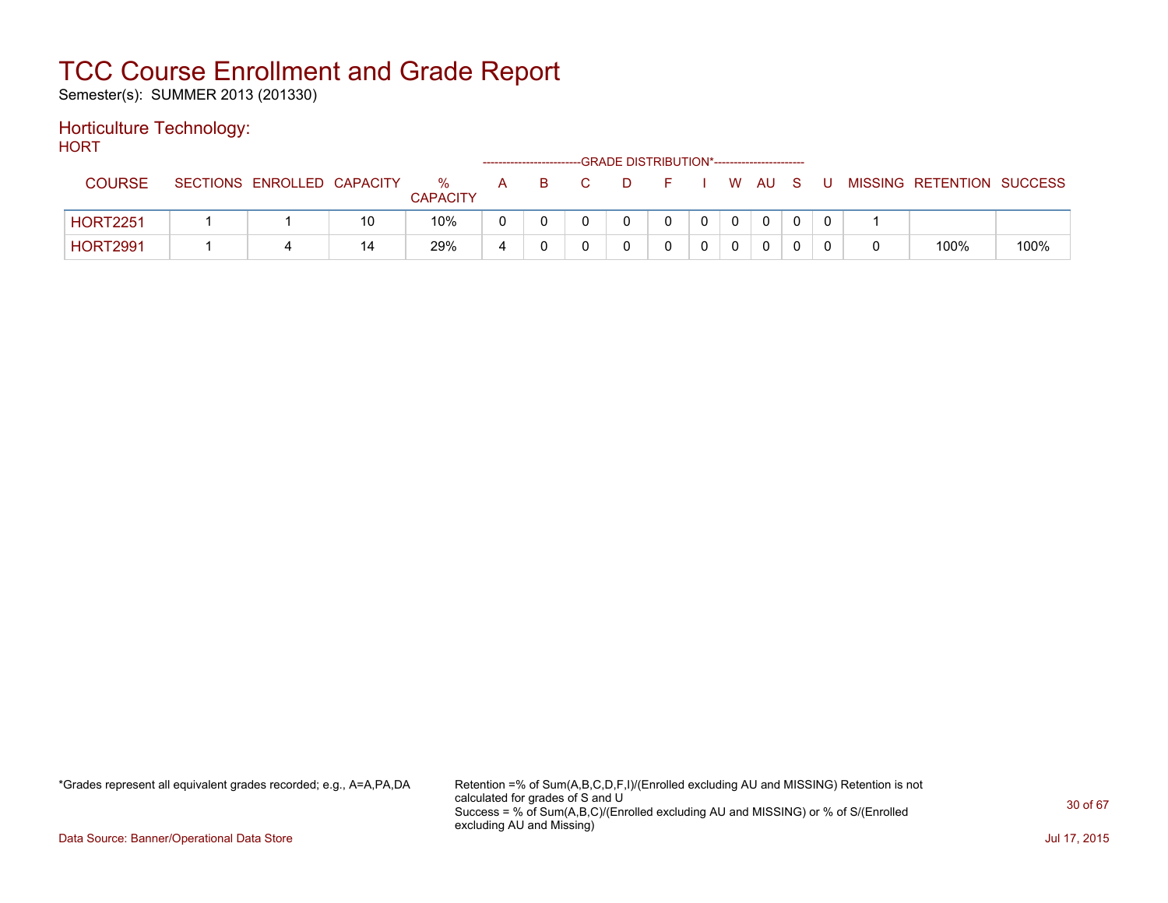Semester(s): SUMMER 2013 (201330)

### Horticulture Technology:

**HORT** 

|                 |                            |    |                      |   |   | ------------------------GRADE DISTRIBUTION*----------------------- |             |          |      |     |  |                           |      |
|-----------------|----------------------------|----|----------------------|---|---|--------------------------------------------------------------------|-------------|----------|------|-----|--|---------------------------|------|
| <b>COURSE</b>   | SECTIONS ENROLLED CAPACITY |    | %<br><b>CAPACITY</b> | A | B |                                                                    |             |          | W AU | - S |  | MISSING RETENTION SUCCESS |      |
| <b>HORT2251</b> |                            | 10 | 10%                  |   |   |                                                                    | $\mathbf 0$ | $\Omega$ |      |     |  |                           |      |
| <b>HORT2991</b> |                            | 14 | 29%                  |   |   |                                                                    |             | 0        |      |     |  | 100%                      | 100% |

\*Grades represent all equivalent grades recorded; e.g., A=A,PA,DA Retention =% of Sum(A,B,C,D,F,I)/(Enrolled excluding AU and MISSING) Retention is not calculated for grades of S and U Success = % of Sum(A,B,C)/(Enrolled excluding AU and MISSING) or % of S/(Enrolled excluding AU and Missing)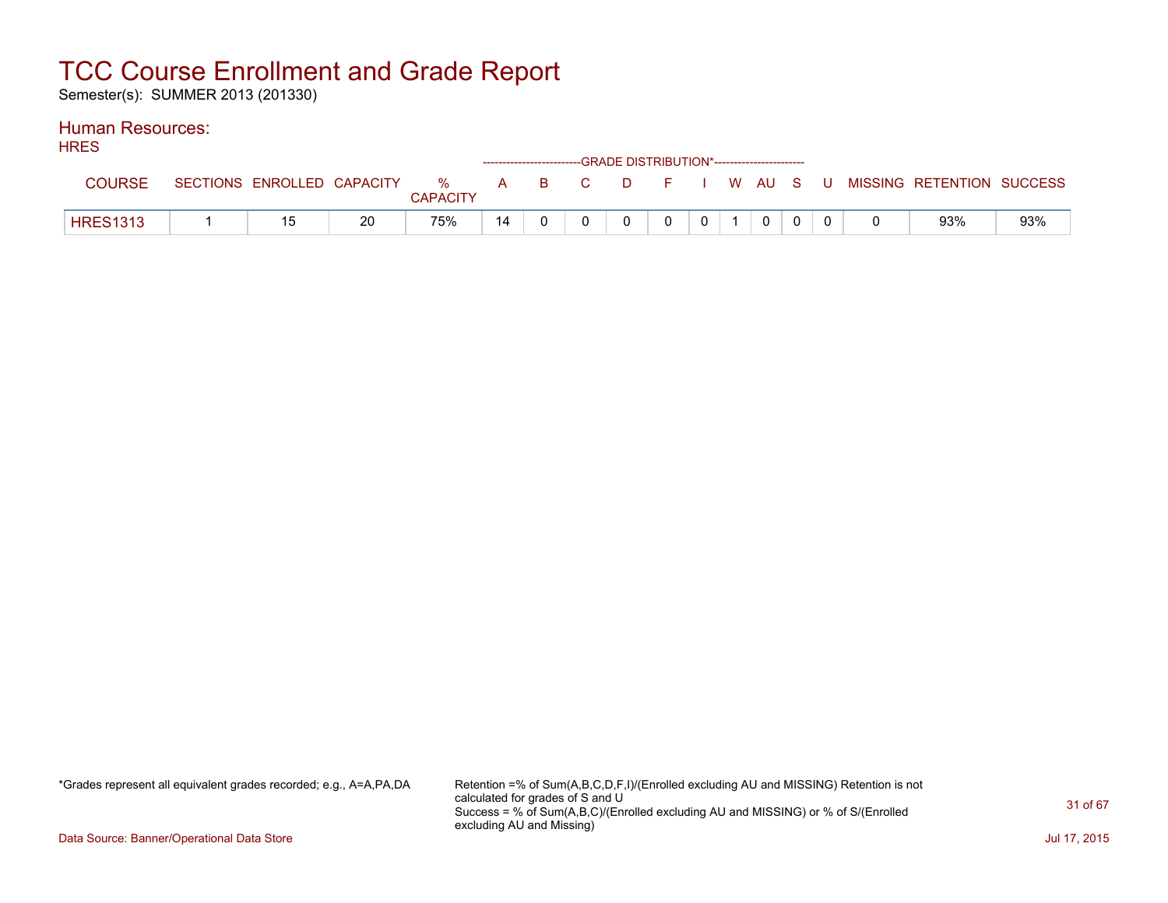Semester(s): SUMMER 2013 (201330)

#### Human Resources: **HDES**

| <b>NNEO</b>     |                            |    |                 |    |  | ------------------------GRADE DISTRIBUTION*----------------------- |            |              |  |                                                  |     |
|-----------------|----------------------------|----|-----------------|----|--|--------------------------------------------------------------------|------------|--------------|--|--------------------------------------------------|-----|
| COURSE          | SECTIONS ENROLLED CAPACITY |    | <b>CAPACITY</b> |    |  |                                                                    |            |              |  | % A B C D F I W AU S U MISSING RETENTION SUCCESS |     |
| <b>HRES1313</b> | 15                         | 20 | 75%             | 14 |  |                                                                    | $0 \mid 1$ | $\mathbf{0}$ |  | 93%                                              | 93% |

\*Grades represent all equivalent grades recorded; e.g., A=A,PA,DA Retention =% of Sum(A,B,C,D,F,I)/(Enrolled excluding AU and MISSING) Retention is not calculated for grades of S and U Success = % of Sum(A,B,C)/(Enrolled excluding AU and MISSING) or % of S/(Enrolled excluding AU and Missing)

Data Source: Banner/Operational Data Store Jul 17, 2015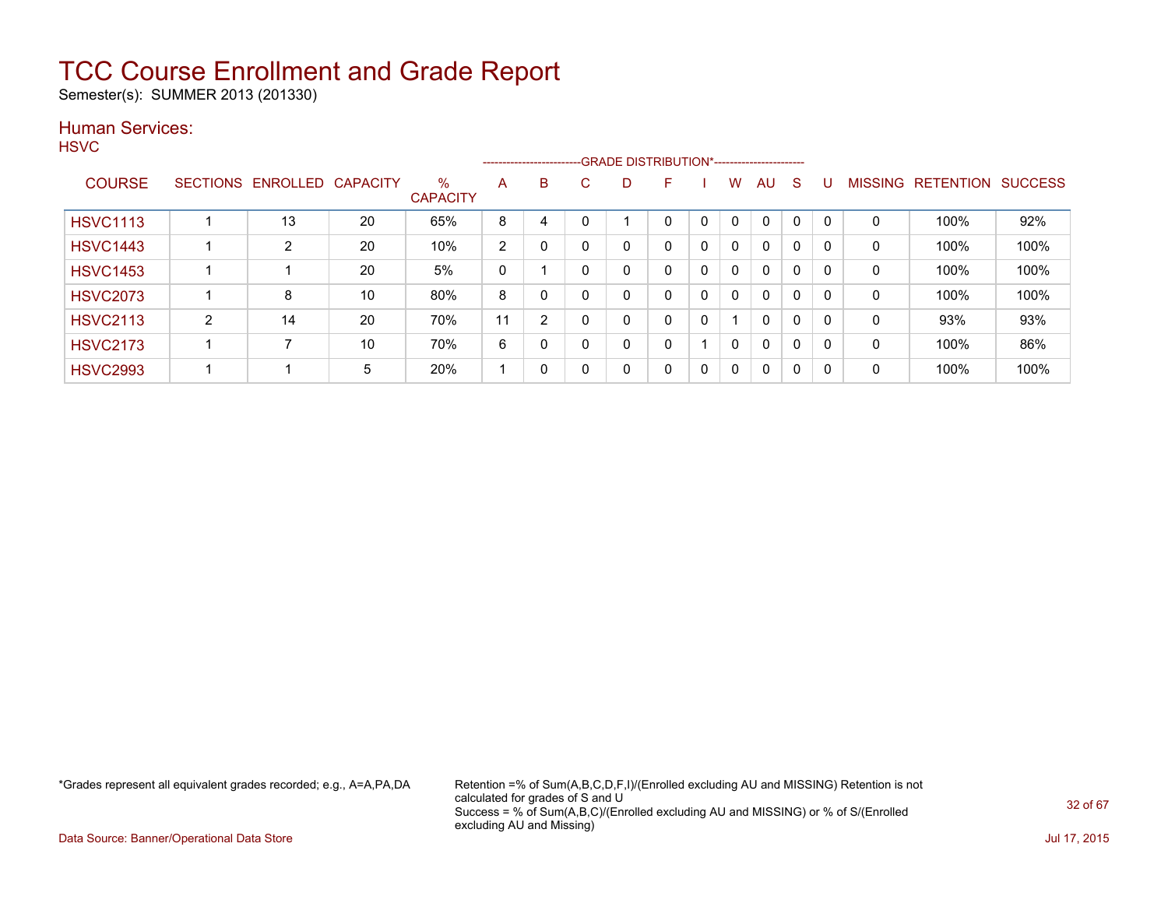Semester(s): SUMMER 2013 (201330)

### Human Services:

**HSVC** 

|                 |                 |          |                 |                         |    |                |    | --------------------------GRADE DISTRIBUTION*----------------------- |   |          |              |              |              |          |                |                  |                |
|-----------------|-----------------|----------|-----------------|-------------------------|----|----------------|----|----------------------------------------------------------------------|---|----------|--------------|--------------|--------------|----------|----------------|------------------|----------------|
| <b>COURSE</b>   | <b>SECTIONS</b> | ENROLLED | <b>CAPACITY</b> | $\%$<br><b>CAPACITY</b> | A  | B              | C. | D                                                                    | F |          | w            | AU           | S            |          | <b>MISSING</b> | <b>RETENTION</b> | <b>SUCCESS</b> |
| <b>HSVC1113</b> |                 | 13       | 20              | 65%                     | 8  | 4              |    |                                                                      | 0 | $\Omega$ | 0            | 0            | $\mathbf{0}$ | $\Omega$ | 0              | 100%             | 92%            |
| <b>HSVC1443</b> |                 | 2        | 20              | 10%                     | 2  | $\Omega$       |    | 0                                                                    | 0 | 0        | 0            | $\Omega$     | $\mathbf{0}$ | $\Omega$ | 0              | 100%             | 100%           |
| <b>HSVC1453</b> |                 |          | 20              | 5%                      | 0  |                | 0  | 0                                                                    | 0 | 0        | $\mathbf{0}$ | $\mathbf{0}$ | 0            | $\Omega$ | 0              | 100%             | 100%           |
| <b>HSVC2073</b> |                 | 8        | 10              | 80%                     | 8  |                |    | 0                                                                    | 0 | 0        | $\mathbf{0}$ | $\Omega$     | 0            | 0        | 0              | 100%             | 100%           |
| <b>HSVC2113</b> | 2               | 14       | 20              | 70%                     | 11 | $\overline{2}$ |    | 0                                                                    | 0 | 0        |              | $\Omega$     | 0            | 0        | 0              | 93%              | 93%            |
| <b>HSVC2173</b> |                 |          | 10              | 70%                     | 6  | $\Omega$       |    | 0                                                                    | 0 |          | 0            | $\mathbf{0}$ | 0            | $\Omega$ | 0              | 100%             | 86%            |
| <b>HSVC2993</b> |                 |          | 5               | 20%                     |    | $\mathbf{0}$   |    | 0                                                                    | 0 | 0        | $\Omega$     | $\mathbf{0}$ | 0            | 0        | 0              | 100%             | 100%           |

\*Grades represent all equivalent grades recorded; e.g., A=A,PA,DA Retention =% of Sum(A,B,C,D,F,I)/(Enrolled excluding AU and MISSING) Retention is not calculated for grades of S and U Success = % of Sum(A,B,C)/(Enrolled excluding AU and MISSING) or % of S/(Enrolled excluding AU and Missing)

Data Source: Banner/Operational Data Store Jul 17, 2015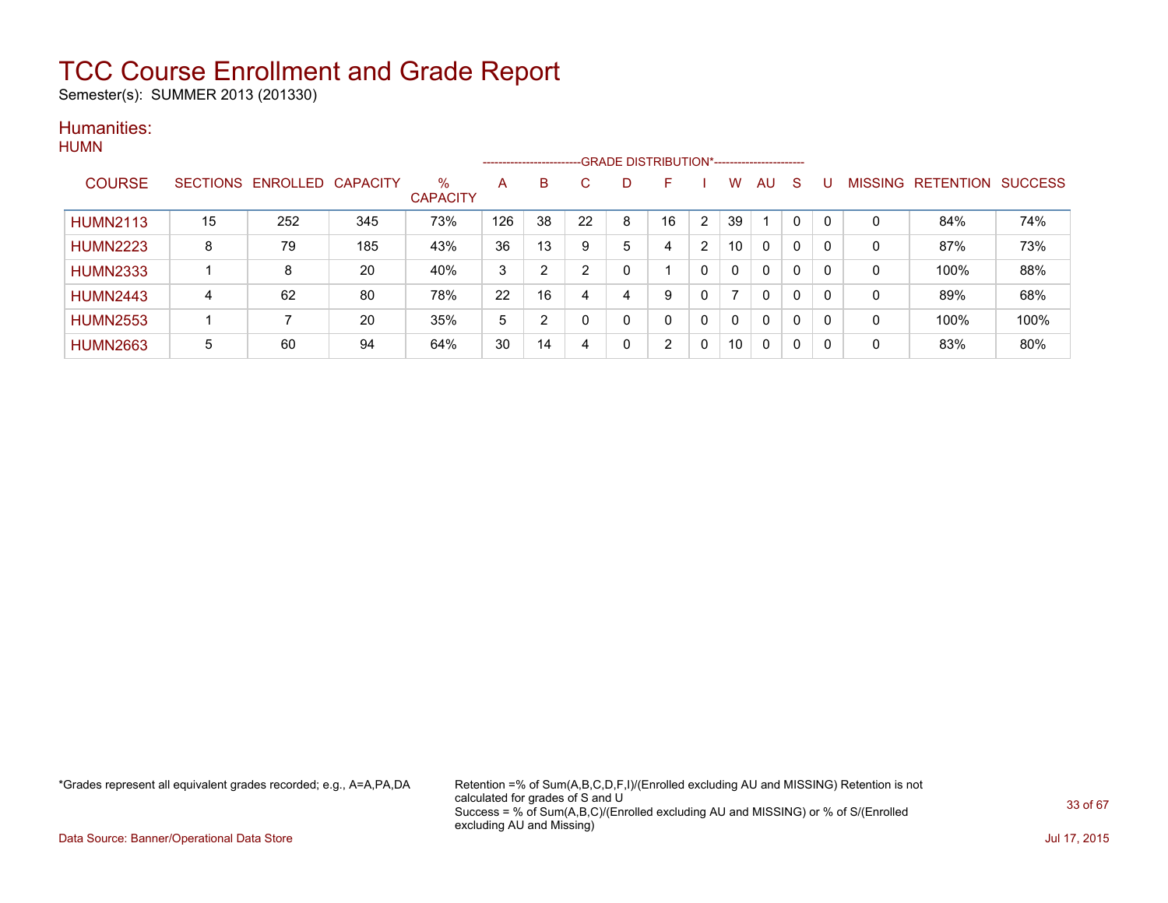Semester(s): SUMMER 2013 (201330)

#### Humanities: **HUMN**

| .               |    |                            |     |                         |     | ------------------------ |    |              | -GRADE DISTRIBUTION*----------------------- |                |                          |              |          |          |   |                                  |      |
|-----------------|----|----------------------------|-----|-------------------------|-----|--------------------------|----|--------------|---------------------------------------------|----------------|--------------------------|--------------|----------|----------|---|----------------------------------|------|
| <b>COURSE</b>   |    | SECTIONS ENROLLED CAPACITY |     | $\%$<br><b>CAPACITY</b> | A   | B                        | C  | D            | F                                           |                | w                        | AU           | S        |          |   | <b>MISSING RETENTION SUCCESS</b> |      |
| <b>HUMN2113</b> | 15 | 252                        | 345 | 73%                     | 126 | 38                       | 22 | 8            | 16                                          | $\overline{2}$ | 39                       |              | $\Omega$ | - 0      | 0 | 84%                              | 74%  |
| <b>HUMN2223</b> | 8  | 79                         | 185 | 43%                     | 36  | 13                       | 9  | 5            | 4                                           | 2              | 10                       | 0            | 0        | 0        | 0 | 87%                              | 73%  |
| <b>HUMN2333</b> |    | 8                          | 20  | 40%                     | 3   | $\overline{2}$           | ົ  | 0            |                                             | 0              | $\Omega$                 | $\mathbf{0}$ | 0        | 0        | 0 | 100%                             | 88%  |
| <b>HUMN2443</b> | 4  | 62                         | 80  | 78%                     | 22  | 16                       |    | 4            | 9                                           | 0              | $\overline{\phantom{a}}$ | 0            | 0        | $\Omega$ | 0 | 89%                              | 68%  |
| <b>HUMN2553</b> |    |                            | 20  | 35%                     | 5   | 2                        |    | $\mathbf{0}$ | 0                                           | 0              | $\Omega$                 | $\mathbf{0}$ | 0        | -0       | 0 | 100%                             | 100% |
| <b>HUMN2663</b> | 5  | 60                         | 94  | 64%                     | 30  | 14                       | 4  | 0            | 2                                           | 0              | 10                       | 0            | 0        | -0       | 0 | 83%                              | 80%  |

\*Grades represent all equivalent grades recorded; e.g., A=A,PA,DA Retention =% of Sum(A,B,C,D,F,I)/(Enrolled excluding AU and MISSING) Retention is not calculated for grades of S and U Success = % of Sum(A,B,C)/(Enrolled excluding AU and MISSING) or % of S/(Enrolled excluding AU and Missing)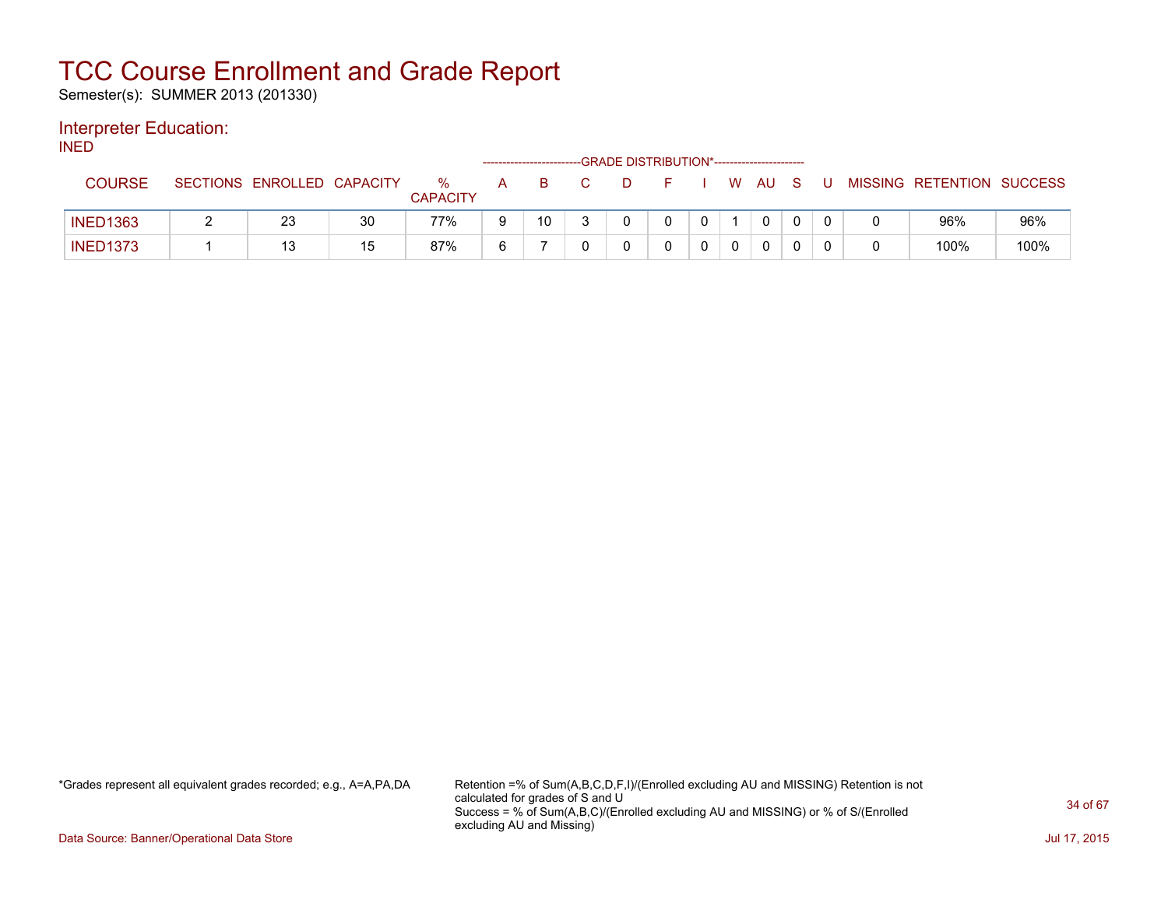Semester(s): SUMMER 2013 (201330)

### Interpreter Education:

INED

|                 |                            |    |                         |   | ------------------------- | -GRADE DISTRIBUTION*----------------------- |  |    |      |     |    |                           |      |
|-----------------|----------------------------|----|-------------------------|---|---------------------------|---------------------------------------------|--|----|------|-----|----|---------------------------|------|
| COURSE          | SECTIONS ENROLLED CAPACITY |    | $\%$<br><b>CAPACITY</b> | A | B.                        | D.                                          |  | W. | AU A | - S | J. | MISSING RETENTION SUCCESS |      |
| <b>INED1363</b> | 23                         | 30 | 77%                     | 9 | 10                        |                                             |  |    | 0    |     |    | 96%                       | 96%  |
| <b>INED1373</b> | 13                         | 15 | 87%                     | 6 |                           |                                             |  |    | 0    |     |    | 100%                      | 100% |

\*Grades represent all equivalent grades recorded; e.g., A=A,PA,DA Retention =% of Sum(A,B,C,D,F,I)/(Enrolled excluding AU and MISSING) Retention is not calculated for grades of S and U Success = % of Sum(A,B,C)/(Enrolled excluding AU and MISSING) or % of S/(Enrolled excluding AU and Missing)

Data Source: Banner/Operational Data Store Jul 17, 2015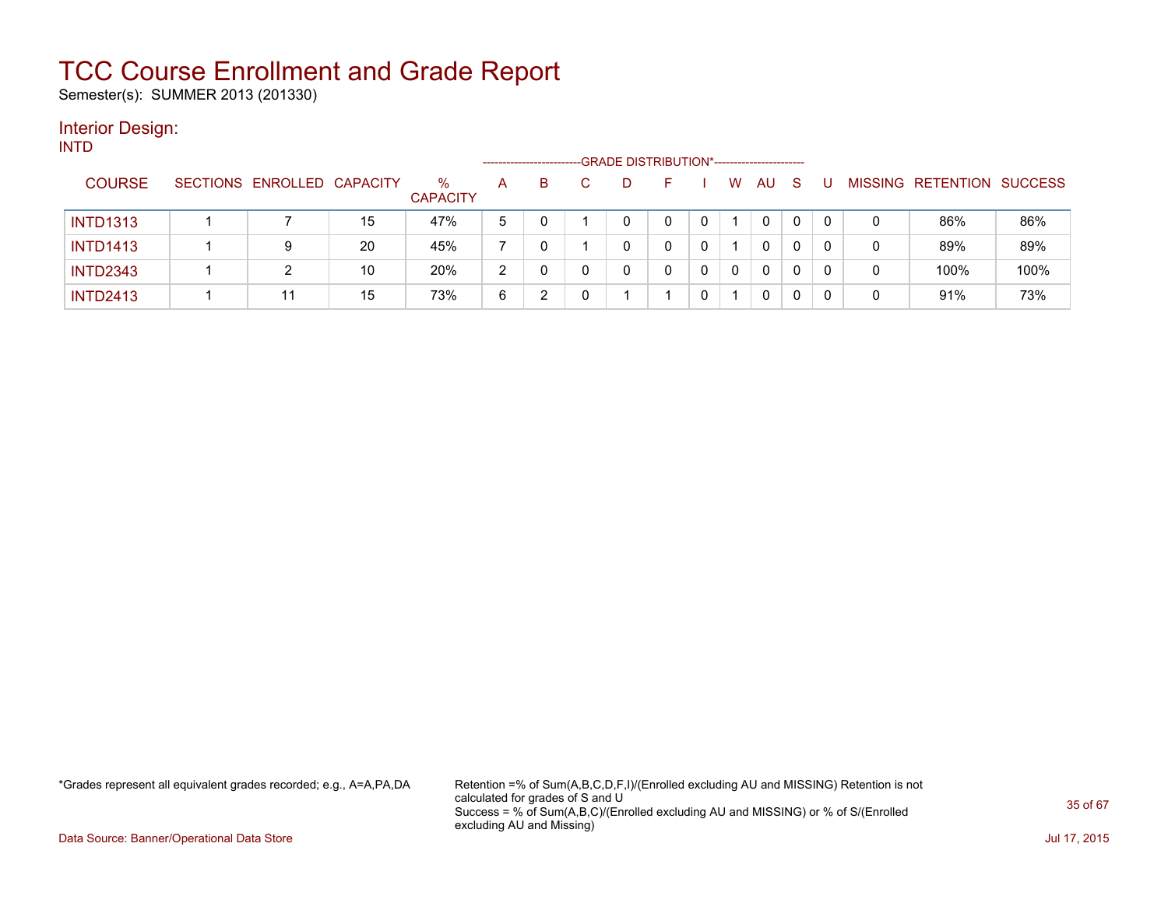Semester(s): SUMMER 2013 (201330)

#### Interior Design: INTD

| .               |                            |    |                         | ------------------- |    |  | -GRADE DISTRIBUTION*----------------------- |   |              |    |    |   |   |                           |      |
|-----------------|----------------------------|----|-------------------------|---------------------|----|--|---------------------------------------------|---|--------------|----|----|---|---|---------------------------|------|
| <b>COURSE</b>   | SECTIONS ENROLLED CAPACITY |    | $\%$<br><b>CAPACITY</b> | A                   | B. |  |                                             |   | W            | AU | -S |   |   | MISSING RETENTION SUCCESS |      |
| <b>INTD1313</b> |                            | 15 | 47%                     | 5                   |    |  | 0                                           |   |              | 0  | 0  |   |   | 86%                       | 86%  |
| <b>INTD1413</b> | 9                          | 20 | 45%                     |                     | 0  |  | 0                                           |   |              | 0  | 0  |   | 0 | 89%                       | 89%  |
| <b>INTD2343</b> |                            | 10 | 20%                     | 2                   | 0  |  |                                             | 0 | $\mathbf{0}$ | 0  | 0  | 0 | 0 | 100%                      | 100% |
| <b>INTD2413</b> | 44                         | 15 | 73%                     | 6                   |    |  |                                             |   |              | 0  | 0  |   | 0 | 91%                       | 73%  |

\*Grades represent all equivalent grades recorded; e.g., A=A,PA,DA Retention =% of Sum(A,B,C,D,F,I)/(Enrolled excluding AU and MISSING) Retention is not calculated for grades of S and U Success = % of Sum(A,B,C)/(Enrolled excluding AU and MISSING) or % of S/(Enrolled excluding AU and Missing)

Data Source: Banner/Operational Data Store Jul 17, 2015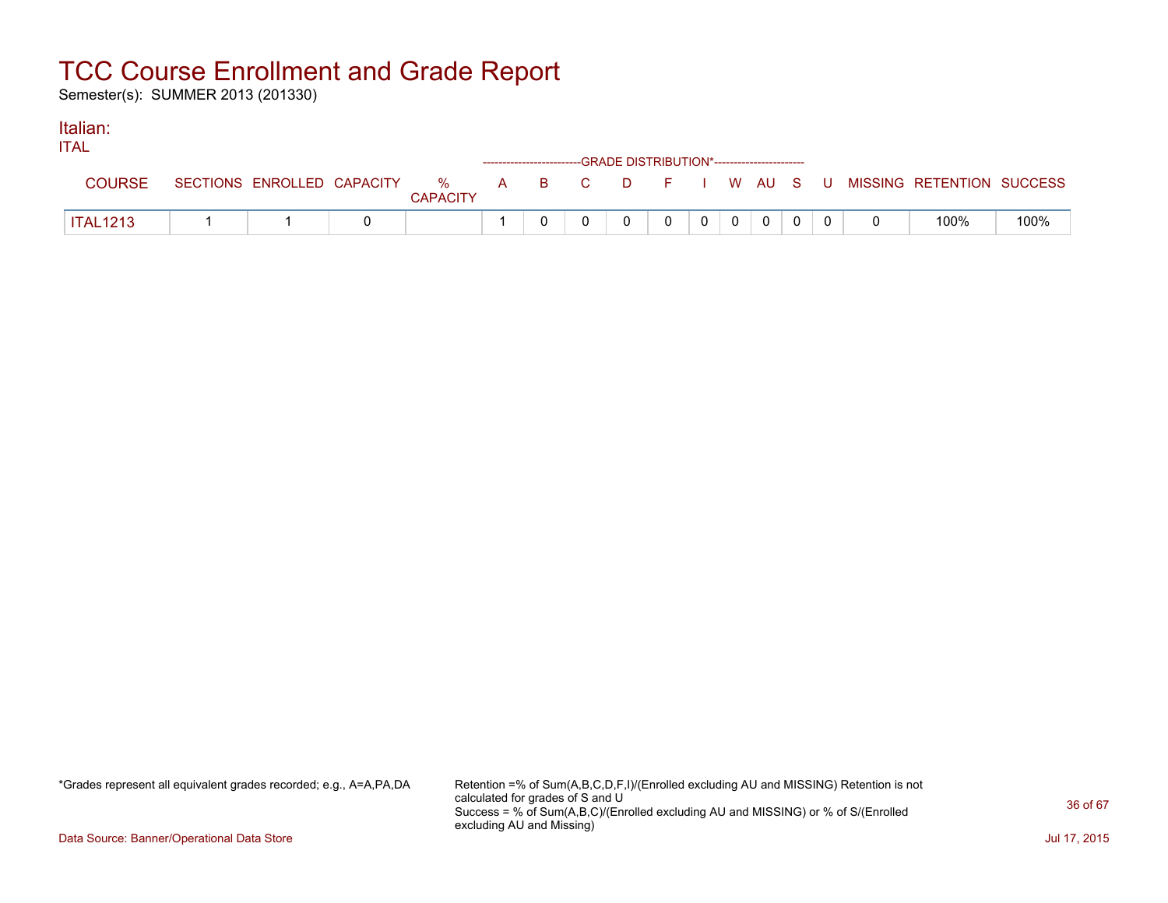Semester(s): SUMMER 2013 (201330)

#### Italian: ITAL

| <b>TIAL</b>     |  |                 | ------------------------GRADE DISTRIBUTION*----------------------- |  |  |             |  |                                                                             |      |
|-----------------|--|-----------------|--------------------------------------------------------------------|--|--|-------------|--|-----------------------------------------------------------------------------|------|
| <b>COURSE</b>   |  | <b>CAPACITY</b> |                                                                    |  |  |             |  | SECTIONS ENROLLED CAPACITY % A B C D F I W AU S U MISSING RETENTION SUCCESS |      |
| <b>ITAL1213</b> |  |                 |                                                                    |  |  | $\mathbf 0$ |  | 100%                                                                        | 100% |

\*Grades represent all equivalent grades recorded; e.g., A=A,PA,DA Retention =% of Sum(A,B,C,D,F,I)/(Enrolled excluding AU and MISSING) Retention is not calculated for grades of S and U Success = % of Sum(A,B,C)/(Enrolled excluding AU and MISSING) or % of S/(Enrolled excluding AU and Missing)

Data Source: Banner/Operational Data Store Jul 17, 2015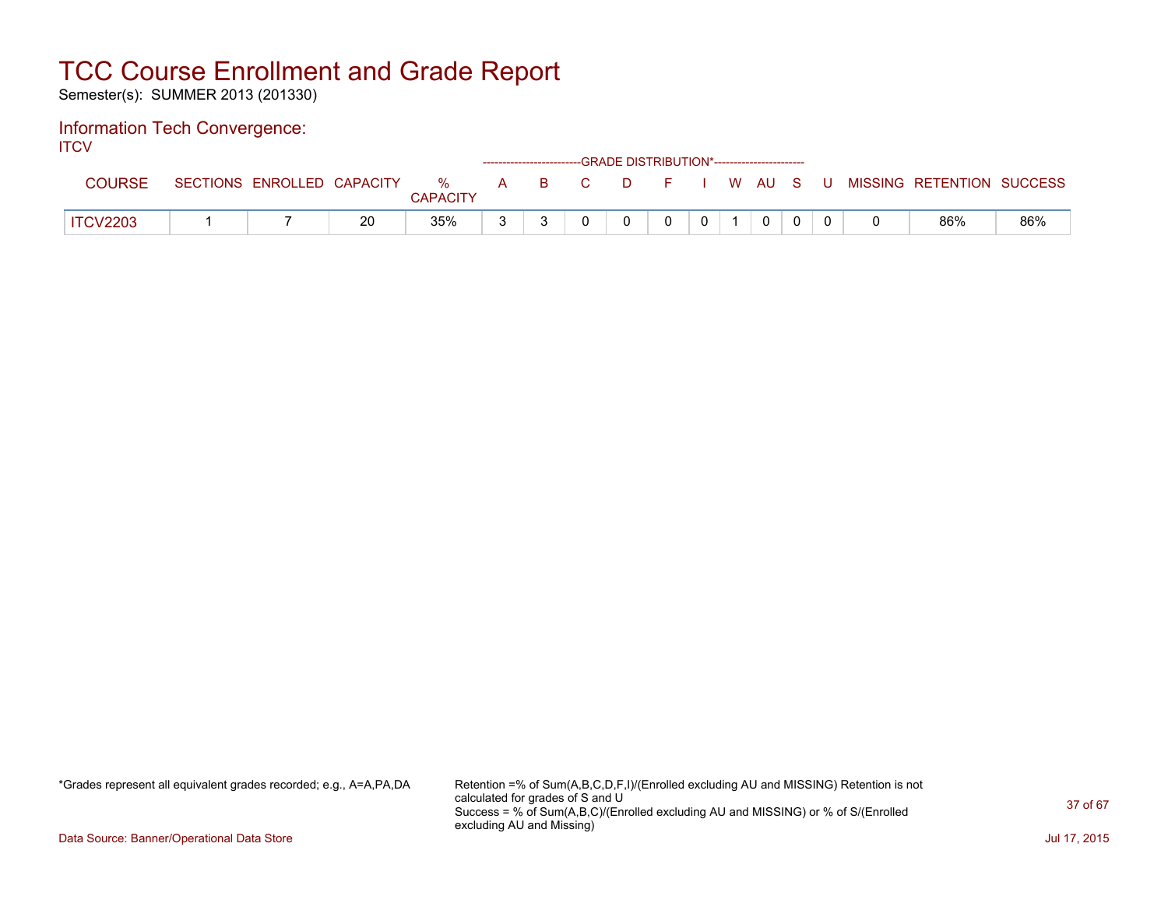Semester(s): SUMMER 2013 (201330)

#### Information Tech Convergence: **ITCV**

| . |                 |                            |    |                         |                                                                                                                                      |              | ------------------------GRADE DISTRIBUTION*----------------------- |  |        |    |                           |     |
|---|-----------------|----------------------------|----|-------------------------|--------------------------------------------------------------------------------------------------------------------------------------|--------------|--------------------------------------------------------------------|--|--------|----|---------------------------|-----|
|   | <b>COURSE</b>   | SECTIONS ENROLLED CAPACITY |    | $\%$<br><b>CAPACITY</b> | $\begin{array}{c} \rightarrow \end{array} \qquad \begin{array}{c} \text{B} \end{array} \qquad \begin{array}{c} \text{C} \end{array}$ | $\mathbf{C}$ | D.                                                                 |  | I WAUS | -U | MISSING RETENTION SUCCESS |     |
|   | <b>ITCV2203</b> |                            | 20 | 35%                     |                                                                                                                                      |              |                                                                    |  | 0      |    | 86%                       | 86% |

\*Grades represent all equivalent grades recorded; e.g., A=A,PA,DA Retention =% of Sum(A,B,C,D,F,I)/(Enrolled excluding AU and MISSING) Retention is not calculated for grades of S and U Success = % of Sum(A,B,C)/(Enrolled excluding AU and MISSING) or % of S/(Enrolled excluding AU and Missing)

Data Source: Banner/Operational Data Store Jul 17, 2015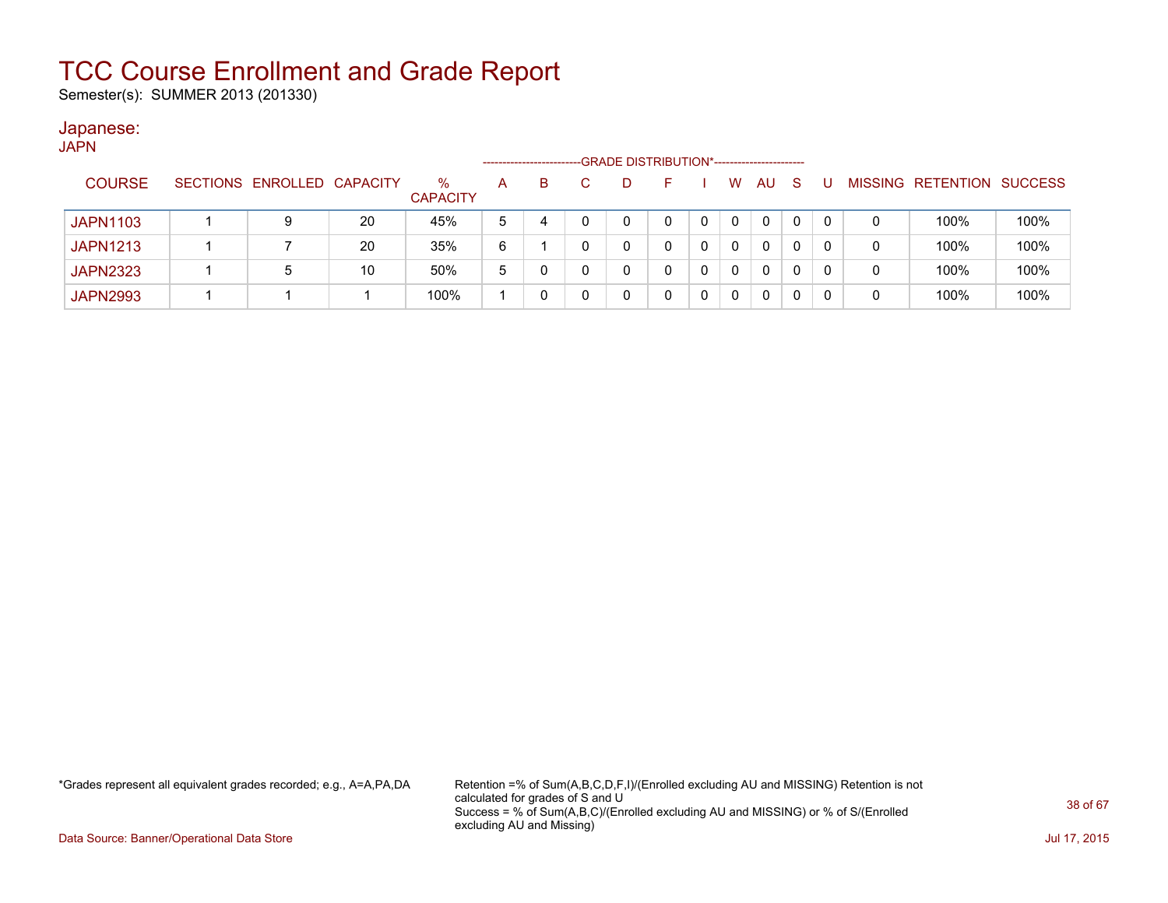Semester(s): SUMMER 2013 (201330)

### Japanese:

| <b>JAPN</b>     |                            |    |                      |                      |   |                                             |   |   |              |    |          |   |   |                   |                |
|-----------------|----------------------------|----|----------------------|----------------------|---|---------------------------------------------|---|---|--------------|----|----------|---|---|-------------------|----------------|
|                 |                            |    |                      | -------------------- |   | -GRADE DISTRIBUTION*----------------------- |   |   |              |    |          |   |   |                   |                |
| <b>COURSE</b>   | SECTIONS ENROLLED CAPACITY |    | %<br><b>CAPACITY</b> | A                    | B | D                                           |   |   | W            | AU | -S       |   |   | MISSING RETENTION | <b>SUCCESS</b> |
| <b>JAPN1103</b> |                            | 20 | 45%                  | 5                    | 4 | 0                                           |   | 0 | 0            | 0  | $\Omega$ | 0 | 0 | 100%              | 100%           |
| <b>JAPN1213</b> |                            | 20 | 35%                  | 6                    |   | 0                                           |   |   | $\mathbf{0}$ | 0  |          | 0 | 0 | 100%              | 100%           |
| <b>JAPN2323</b> | 5                          | 10 | 50%                  | 5                    |   | 0                                           |   | 0 | 0            | 0  |          | 0 | 0 | 100%              | 100%           |
| <b>JAPN2993</b> |                            |    | 100%                 |                      |   | 0                                           | 0 | 0 | 0            |    |          |   | 0 | 100%              | 100%           |

\*Grades represent all equivalent grades recorded; e.g., A=A,PA,DA Retention =% of Sum(A,B,C,D,F,I)/(Enrolled excluding AU and MISSING) Retention is not calculated for grades of S and U Success = % of Sum(A,B,C)/(Enrolled excluding AU and MISSING) or % of S/(Enrolled excluding AU and Missing)

Data Source: Banner/Operational Data Store Jul 17, 2015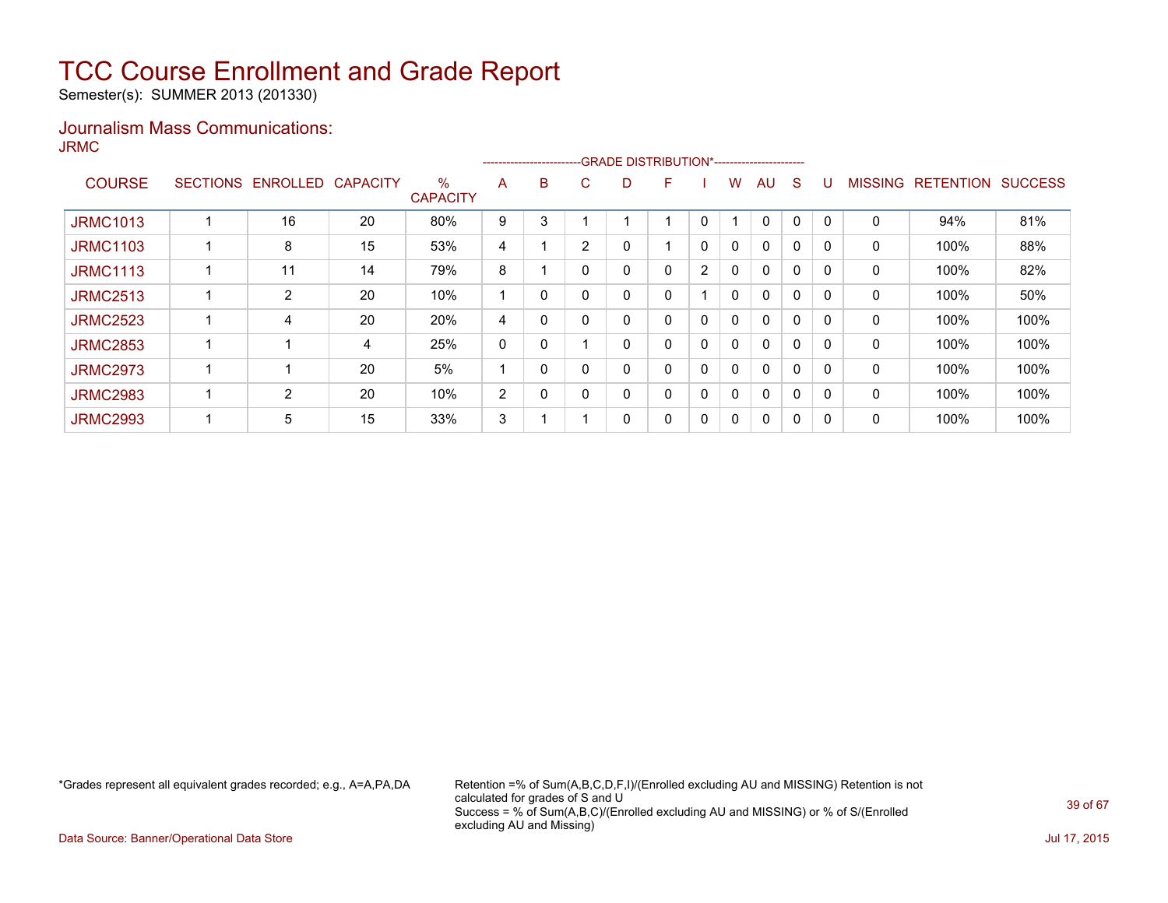Semester(s): SUMMER 2013 (201330)

### Journalism Mass Communications: JRMC

|                 |                 |                 |                 |                      |                |   |                |   | ------------------------GRADE                DISTRIBUTION*---------------------- |                |              |              |   |          |                |                  |                |
|-----------------|-----------------|-----------------|-----------------|----------------------|----------------|---|----------------|---|----------------------------------------------------------------------------------|----------------|--------------|--------------|---|----------|----------------|------------------|----------------|
| <b>COURSE</b>   | <b>SECTIONS</b> | <b>ENROLLED</b> | <b>CAPACITY</b> | %<br><b>CAPACITY</b> | A              | B | C.             | D | F                                                                                |                | W            | AU           | S |          | <b>MISSING</b> | <b>RETENTION</b> | <b>SUCCESS</b> |
| <b>JRMC1013</b> |                 | 16              | 20              | 80%                  | 9              | 3 |                |   |                                                                                  | 0              |              | $\mathbf{0}$ | 0 | $\Omega$ | 0              | 94%              | 81%            |
| <b>JRMC1103</b> |                 | 8               | 15              | 53%                  | 4              |   | $\overline{2}$ |   |                                                                                  | 0              | 0            | $\mathbf{0}$ | 0 | $\Omega$ | 0              | 100%             | 88%            |
| <b>JRMC1113</b> |                 | 11              | 14              | 79%                  | 8              |   | $\Omega$       |   | 0                                                                                | $\overline{2}$ | $\mathbf{0}$ | $\mathbf{0}$ | 0 | $\Omega$ | 0              | 100%             | 82%            |
| <b>JRMC2513</b> |                 | $\overline{2}$  | 20              | 10%                  |                | 0 |                |   | 0                                                                                |                | $\mathbf{0}$ | $\mathbf{0}$ | 0 | 0        | 0              | 100%             | 50%            |
| <b>JRMC2523</b> |                 | 4               | 20              | 20%                  | 4              | 0 |                |   | 0                                                                                | 0              | $\mathbf{0}$ | $\Omega$     | 0 |          | 0              | 100%             | 100%           |
| <b>JRMC2853</b> |                 |                 | 4               | 25%                  | 0              | 0 |                |   | 0                                                                                | 0              | 0            | $\mathbf{0}$ | 0 | 0        | $\mathbf 0$    | 100%             | 100%           |
| <b>JRMC2973</b> |                 |                 | 20              | 5%                   |                | 0 |                |   | 0                                                                                | 0              | $\mathbf{0}$ | $\mathbf{0}$ | 0 | $\Omega$ | 0              | 100%             | 100%           |
| <b>JRMC2983</b> |                 | $\overline{2}$  | 20              | 10%                  | $\overline{2}$ | 0 | $\Omega$       |   | 0                                                                                | $\mathbf 0$    | $\mathbf{0}$ | $\mathbf{0}$ | 0 |          | 0              | 100%             | 100%           |
| <b>JRMC2993</b> |                 | 5               | 15              | 33%                  | 3              |   |                |   | 0                                                                                | 0              | $\mathbf{0}$ | 0            | 0 | 0        | 0              | 100%             | 100%           |

\*Grades represent all equivalent grades recorded; e.g., A=A,PA,DA Retention =% of Sum(A,B,C,D,F,I)/(Enrolled excluding AU and MISSING) Retention is not calculated for grades of S and U Success = % of Sum(A,B,C)/(Enrolled excluding AU and MISSING) or % of S/(Enrolled excluding AU and Missing)

Data Source: Banner/Operational Data Store Jul 17, 2015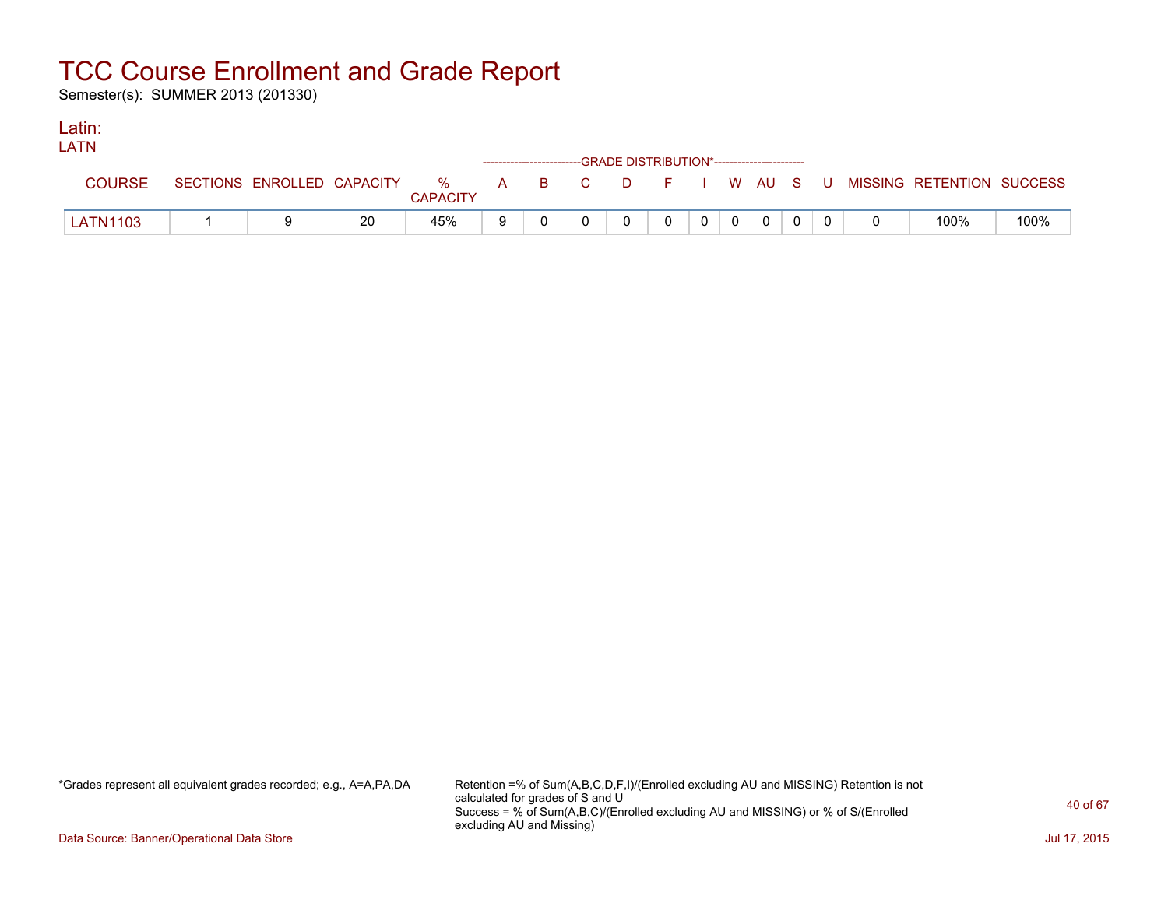Semester(s): SUMMER 2013 (201330)

#### Latin: LATNE

| LAIN            |  |                 |    |  | ------------------------GRADE DISTRIBUTION*----------------------- |          |  |           |   |                                                                             |      |
|-----------------|--|-----------------|----|--|--------------------------------------------------------------------|----------|--|-----------|---|-----------------------------------------------------------------------------|------|
| COURSE          |  | <b>CAPACITY</b> |    |  |                                                                    |          |  |           |   | SECTIONS ENROLLED CAPACITY % A B C D F I W AU S U MISSING RETENTION SUCCESS |      |
| <b>LATN1103</b> |  | 45%             | -9 |  |                                                                    | $\Omega$ |  | $0 0 0 0$ | റ | 100%                                                                        | 100% |

\*Grades represent all equivalent grades recorded; e.g., A=A,PA,DA Retention =% of Sum(A,B,C,D,F,I)/(Enrolled excluding AU and MISSING) Retention is not calculated for grades of S and U Success = % of Sum(A,B,C)/(Enrolled excluding AU and MISSING) or % of S/(Enrolled excluding AU and Missing)

Data Source: Banner/Operational Data Store Jul 17, 2015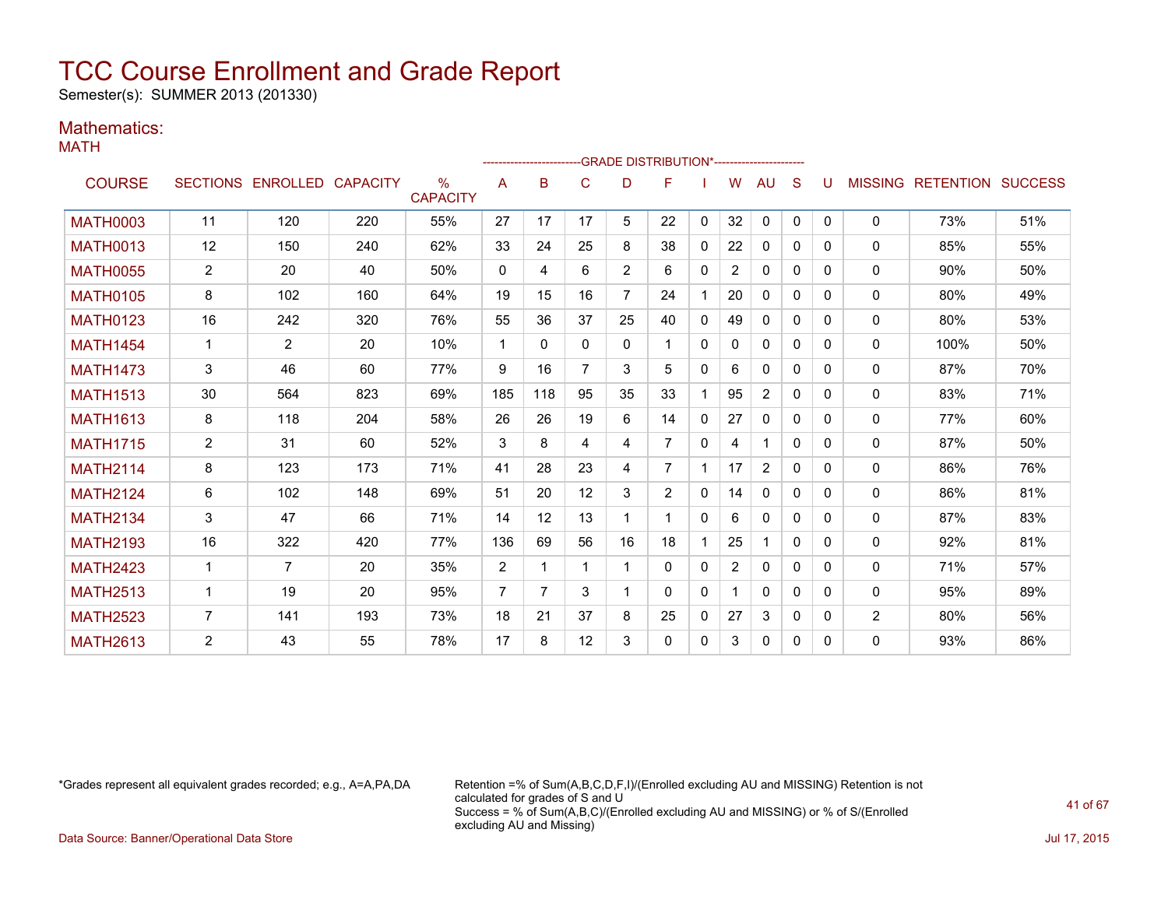Semester(s): SUMMER 2013 (201330)

### Mathematics:

MATH

|                 |                |                   |                 |                         |                | ------------------------GRADE                DISTRIBUTION*---------------------- |              |                |                |              |                |                |              |              |                |           |                |
|-----------------|----------------|-------------------|-----------------|-------------------------|----------------|----------------------------------------------------------------------------------|--------------|----------------|----------------|--------------|----------------|----------------|--------------|--------------|----------------|-----------|----------------|
| <b>COURSE</b>   |                | SECTIONS ENROLLED | <b>CAPACITY</b> | $\%$<br><b>CAPACITY</b> | A              | В                                                                                | C            | D              | F              |              | W              | AU             | S            |              | <b>MISSING</b> | RETENTION | <b>SUCCESS</b> |
| <b>MATH0003</b> | 11             | 120               | 220             | 55%                     | 27             | 17                                                                               | 17           | 5              | 22             | $\mathbf{0}$ | 32             | 0              | $\mathbf{0}$ | $\mathbf{0}$ | 0              | 73%       | 51%            |
| <b>MATH0013</b> | 12             | 150               | 240             | 62%                     | 33             | 24                                                                               | 25           | 8              | 38             | $\mathbf{0}$ | 22             | $\mathbf{0}$   | $\Omega$     | 0            | 0              | 85%       | 55%            |
| <b>MATH0055</b> | $\overline{2}$ | 20                | 40              | 50%                     | $\mathbf{0}$   | 4                                                                                | 6            | $\overline{2}$ | 6              | 0            | $\overline{2}$ | 0              | $\Omega$     | 0            | $\mathbf{0}$   | 90%       | 50%            |
| <b>MATH0105</b> | 8              | 102               | 160             | 64%                     | 19             | 15                                                                               | 16           | $\overline{7}$ | 24             |              | 20             | 0              | $\Omega$     | 0            | $\mathbf 0$    | 80%       | 49%            |
| <b>MATH0123</b> | 16             | 242               | 320             | 76%                     | 55             | 36                                                                               | 37           | 25             | 40             | 0            | 49             | 0              | $\Omega$     | 0            | 0              | 80%       | 53%            |
| <b>MATH1454</b> | $\mathbf 1$    | $\overline{2}$    | 20              | 10%                     | $\mathbf 1$    | 0                                                                                | $\mathbf{0}$ | $\mathbf{0}$   |                | $\Omega$     | 0              | $\mathbf{0}$   | $\Omega$     | 0            | 0              | 100%      | 50%            |
| <b>MATH1473</b> | 3              | 46                | 60              | 77%                     | 9              | 16                                                                               |              | 3              | 5              | $\Omega$     | 6              | $\mathbf{0}$   | $\Omega$     | 0            | $\mathbf{0}$   | 87%       | 70%            |
| <b>MATH1513</b> | 30             | 564               | 823             | 69%                     | 185            | 118                                                                              | 95           | 35             | 33             |              | 95             | $\overline{2}$ | $\mathbf{0}$ | 0            | $\mathbf 0$    | 83%       | 71%            |
| <b>MATH1613</b> | 8              | 118               | 204             | 58%                     | 26             | 26                                                                               | 19           | 6              | 14             | 0            | 27             | 0              | $\Omega$     | 0            | 0              | 77%       | 60%            |
| <b>MATH1715</b> | $\overline{2}$ | 31                | 60              | 52%                     | 3              | 8                                                                                | 4            | 4              | 7              | $\Omega$     | 4              |                | $\Omega$     | 0            | 0              | 87%       | 50%            |
| <b>MATH2114</b> | 8              | 123               | 173             | 71%                     | 41             | 28                                                                               | 23           | 4              | $\overline{7}$ |              | 17             | $\overline{2}$ | $\Omega$     | 0            | $\mathbf{0}$   | 86%       | 76%            |
| <b>MATH2124</b> | 6              | 102               | 148             | 69%                     | 51             | 20                                                                               | 12           | 3              | $\overline{2}$ | 0            | 14             | $\mathbf{0}$   | $\mathbf{0}$ | 0            | $\mathbf 0$    | 86%       | 81%            |
| <b>MATH2134</b> | 3              | 47                | 66              | 71%                     | 14             | 12                                                                               | 13           | 1              | 1              | $\Omega$     | 6              | 0              | $\Omega$     | 0            | $\mathbf{0}$   | 87%       | 83%            |
| <b>MATH2193</b> | 16             | 322               | 420             | 77%                     | 136            | 69                                                                               | 56           | 16             | 18             |              | 25             |                | $\Omega$     | 0            | $\mathbf{0}$   | 92%       | 81%            |
| <b>MATH2423</b> | $\mathbf 1$    | 7                 | 20              | 35%                     | 2              | 1                                                                                |              | 1              | 0              | $\Omega$     | $\overline{2}$ | $\mathbf{0}$   | $\Omega$     | 0            | 0              | 71%       | 57%            |
| <b>MATH2513</b> | $\mathbf{1}$   | 19                | 20              | 95%                     | $\overline{7}$ | $\overline{7}$                                                                   | 3            |                | 0              | $\mathbf{0}$ | 1              | $\mathbf{0}$   | $\mathbf{0}$ | 0            | 0              | 95%       | 89%            |
| <b>MATH2523</b> | $\overline{7}$ | 141               | 193             | 73%                     | 18             | 21                                                                               | 37           | 8              | 25             | 0            | 27             | 3              | 0            | 0            | $\overline{2}$ | 80%       | 56%            |
| <b>MATH2613</b> | 2              | 43                | 55              | 78%                     | 17             | 8                                                                                | 12           | 3              | 0              | 0            | 3              | 0              | 0            | 0            | $\mathbf{0}$   | 93%       | 86%            |

\*Grades represent all equivalent grades recorded; e.g., A=A,PA,DA Retention =% of Sum(A,B,C,D,F,I)/(Enrolled excluding AU and MISSING) Retention is not calculated for grades of S and U Success = % of Sum(A,B,C)/(Enrolled excluding AU and MISSING) or % of S/(Enrolled excluding AU and Missing)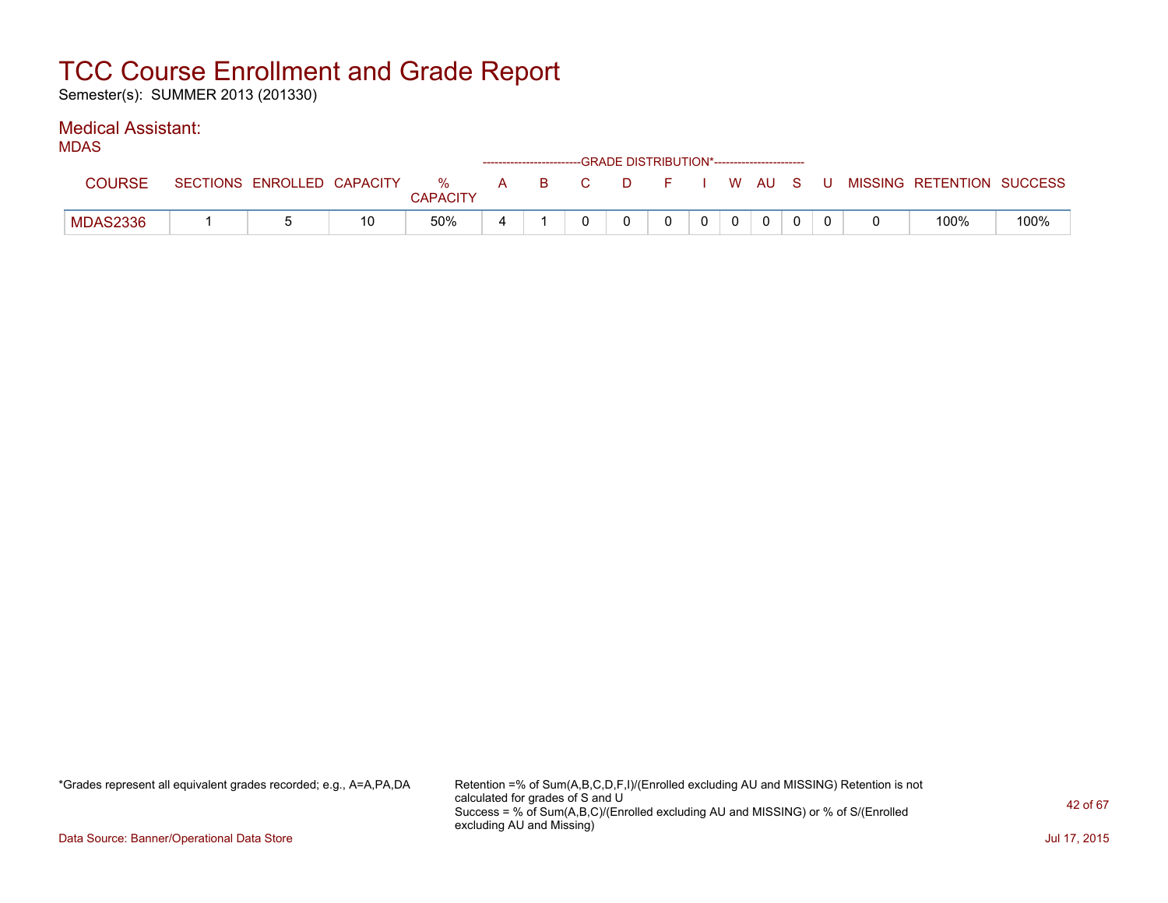Semester(s): SUMMER 2013 (201330)

### Medical Assistant:

| .        |                            |    |                      |              |    |                |   | ------------------------GRADE DISTRIBUTION*----------------------- |  |        |          |    |                           |      |
|----------|----------------------------|----|----------------------|--------------|----|----------------|---|--------------------------------------------------------------------|--|--------|----------|----|---------------------------|------|
| COURSE   | SECTIONS ENROLLED CAPACITY |    | %<br><b>CAPACITY</b> | $\mathsf{A}$ | -B | $\overline{C}$ | D |                                                                    |  | W AU S |          | -U | MISSING RETENTION SUCCESS |      |
| MDAS2336 |                            | 10 | 50%                  |              |    |                |   |                                                                    |  |        | $\Omega$ |    | 100%                      | 100% |

\*Grades represent all equivalent grades recorded; e.g., A=A,PA,DA Retention =% of Sum(A,B,C,D,F,I)/(Enrolled excluding AU and MISSING) Retention is not calculated for grades of S and U Success = % of Sum(A,B,C)/(Enrolled excluding AU and MISSING) or % of S/(Enrolled excluding AU and Missing)

Data Source: Banner/Operational Data Store Jul 17, 2015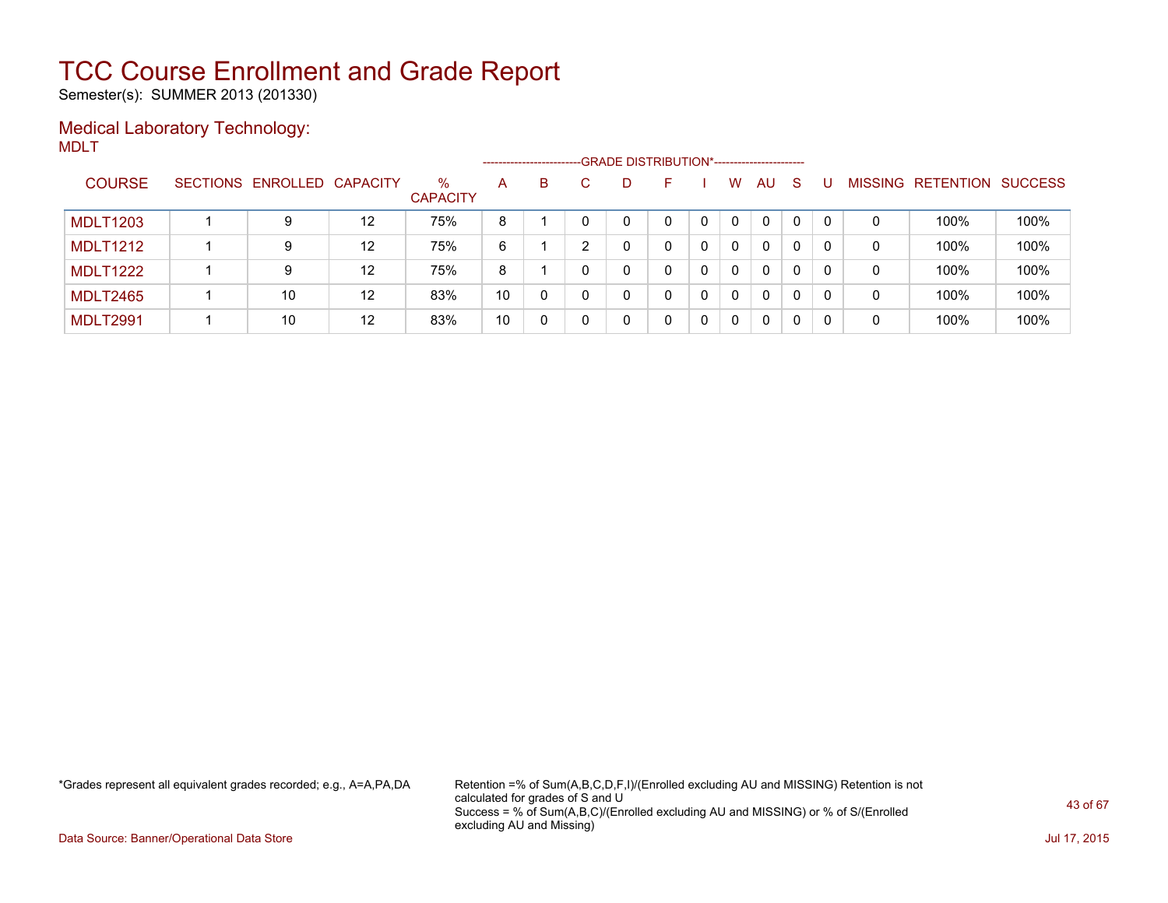Semester(s): SUMMER 2013 (201330)

### Medical Laboratory Technology: MDLT

|                 |                            |                   |                         |    | --------------------- | -GRADE DISTRIBUTION*------------------------ |   |   |              |     |    |          |                |           |                |
|-----------------|----------------------------|-------------------|-------------------------|----|-----------------------|----------------------------------------------|---|---|--------------|-----|----|----------|----------------|-----------|----------------|
| <b>COURSE</b>   | SECTIONS ENROLLED CAPACITY |                   | $\%$<br><b>CAPACITY</b> | A  | B                     | D                                            |   |   | w            | AU. | -S |          | <b>MISSING</b> | RETENTION | <b>SUCCESS</b> |
| <b>MDLT1203</b> |                            | 12                | 75%                     | 8  |                       | 0                                            | 0 | 0 | 0            | 0   |    | $\Omega$ | 0              | 100%      | 100%           |
| <b>MDLT1212</b> | 9                          | $12 \overline{ }$ | 75%                     | 6  |                       |                                              | 0 | 0 | 0            | 0   |    | 0        | 0              | 100%      | 100%           |
| <b>MDLT1222</b> | 9                          | $12 \overline{ }$ | 75%                     | 8  |                       | 0                                            | 0 | 0 | $\mathbf{0}$ | 0   | 0  | $\Omega$ | 0              | 100%      | 100%           |
| <b>MDLT2465</b> | 10                         | 12                | 83%                     | 10 |                       | 0                                            | 0 | 0 | 0            | 0   |    | 0        | 0              | 100%      | 100%           |
| <b>MDLT2991</b> | 10                         | 12                | 83%                     | 10 |                       | 0                                            | 0 | 0 | 0            | 0   |    | 0        | 0              | 100%      | 100%           |

\*Grades represent all equivalent grades recorded; e.g., A=A,PA,DA Retention =% of Sum(A,B,C,D,F,I)/(Enrolled excluding AU and MISSING) Retention is not calculated for grades of S and U Success = % of Sum(A,B,C)/(Enrolled excluding AU and MISSING) or % of S/(Enrolled excluding AU and Missing)

Data Source: Banner/Operational Data Store Jul 17, 2015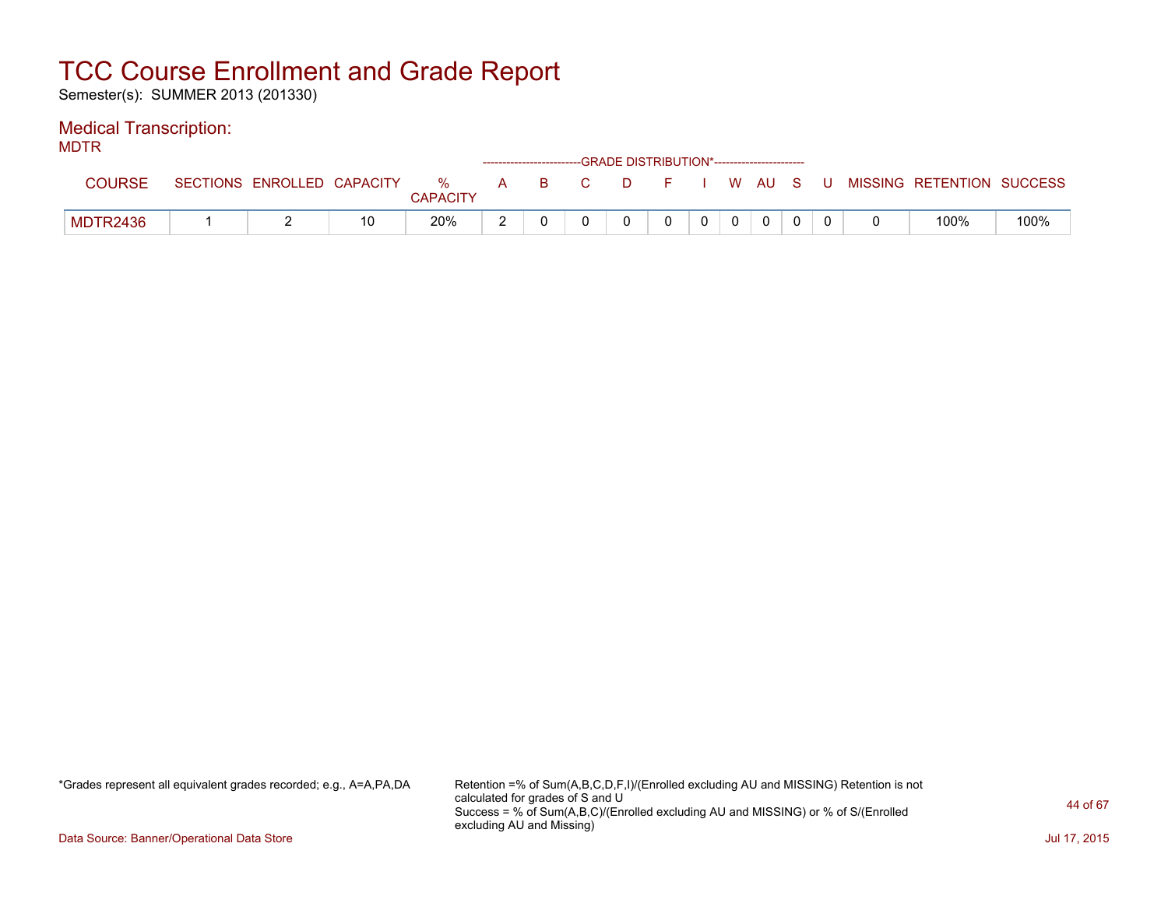Semester(s): SUMMER 2013 (201330)

### Medical Transcription:

MDTR

| .             |                            |    |                      |     | ------------------------GRADE DISTRIBUTION*----------------------- |     |         |  |              |  |                             |      |
|---------------|----------------------------|----|----------------------|-----|--------------------------------------------------------------------|-----|---------|--|--------------|--|-----------------------------|------|
| <b>COURSE</b> | SECTIONS ENROLLED CAPACITY |    | %<br><b>CAPACITY</b> | A a |                                                                    | BC. | DFIWAUS |  |              |  | U MISSING RETENTION SUCCESS |      |
| MDTR2436      |                            | 10 | 20%                  |     |                                                                    |     |         |  | $\mathbf{0}$ |  | 100%                        | 100% |

\*Grades represent all equivalent grades recorded; e.g., A=A,PA,DA Retention =% of Sum(A,B,C,D,F,I)/(Enrolled excluding AU and MISSING) Retention is not calculated for grades of S and U Success = % of Sum(A,B,C)/(Enrolled excluding AU and MISSING) or % of S/(Enrolled excluding AU and Missing)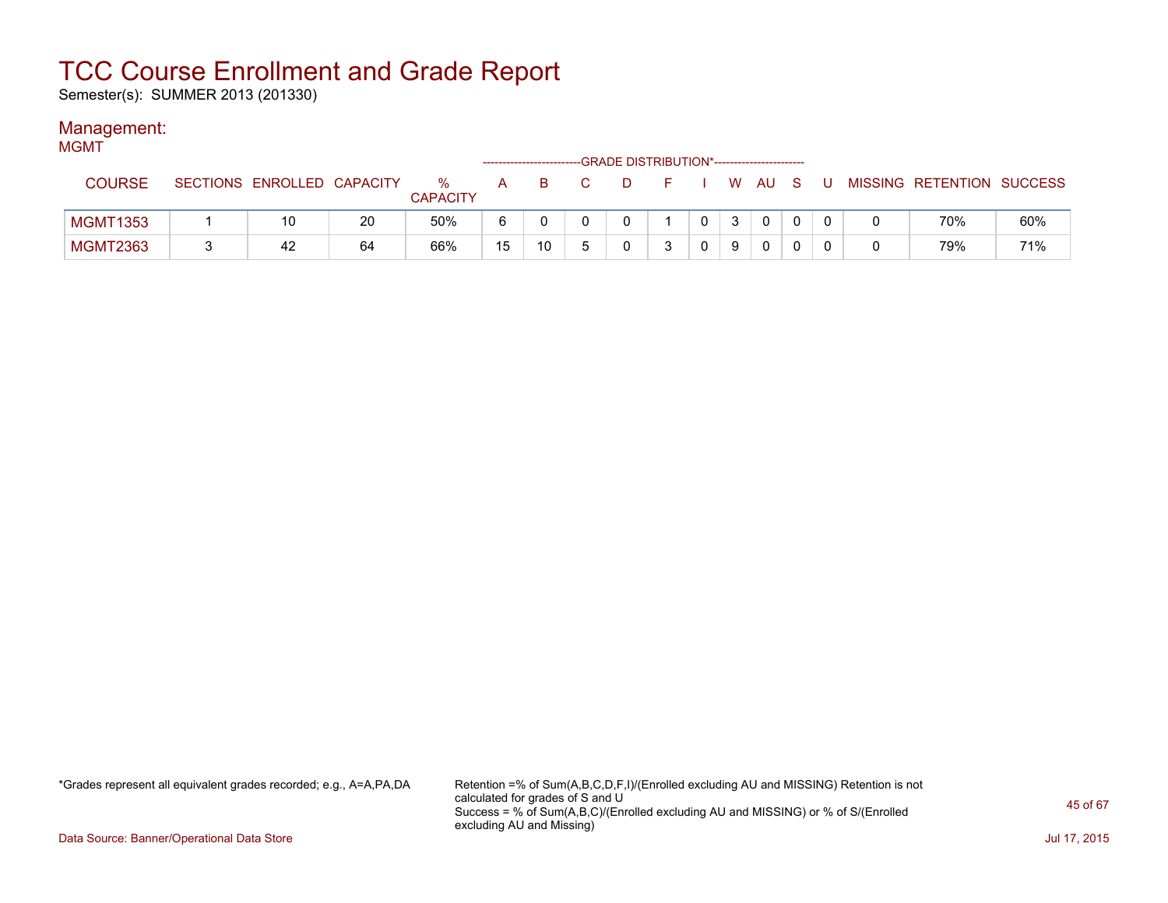Semester(s): SUMMER 2013 (201330)

### Management:

| <b>MGMT</b>     |                            |    |                         | ------------------------- |    |                                                       | -GRADE DISTRIBUTION*----------------------- |        |              |              |     |                           |     |
|-----------------|----------------------------|----|-------------------------|---------------------------|----|-------------------------------------------------------|---------------------------------------------|--------|--------------|--------------|-----|---------------------------|-----|
| <b>COURSE</b>   | SECTIONS ENROLLED CAPACITY |    | $\%$<br><b>CAPACITY</b> | $\mathsf{A}$              | B. | $\overline{\mathbf{C}}$ . The $\overline{\mathbf{C}}$ | . D. .                                      | FIWAUS |              |              | . U | MISSING RETENTION SUCCESS |     |
| <b>MGMT1353</b> | 10                         | 20 | 50%                     | 6                         |    |                                                       |                                             |        | $\mathbf{3}$ | $\mathbf{0}$ |     | 70%                       | 60% |
| <b>MGMT2363</b> | 42                         | 64 | 66%                     | 15                        | 10 |                                                       |                                             |        | 9            | 0            |     | 79%                       | 71% |

\*Grades represent all equivalent grades recorded; e.g., A=A,PA,DA Retention =% of Sum(A,B,C,D,F,I)/(Enrolled excluding AU and MISSING) Retention is not calculated for grades of S and U Success = % of Sum(A,B,C)/(Enrolled excluding AU and MISSING) or % of S/(Enrolled excluding AU and Missing)

Data Source: Banner/Operational Data Store Jul 17, 2015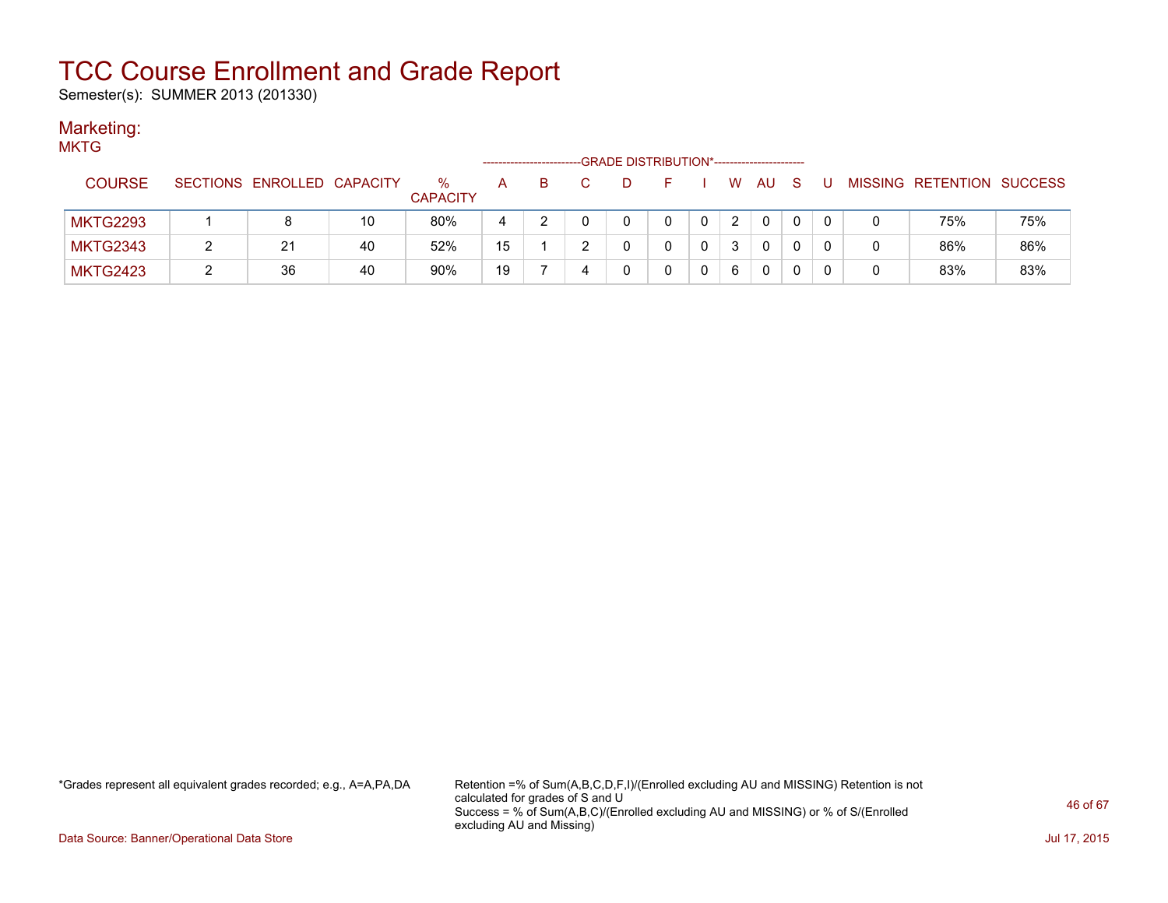Semester(s): SUMMER 2013 (201330)

### Marketing:

| <b>MKTG</b>     |                            |    |                         |              |    |   | -GRADE DISTRIBUTION*----------------------- |    |   |          |     |     |          |   |                           |     |
|-----------------|----------------------------|----|-------------------------|--------------|----|---|---------------------------------------------|----|---|----------|-----|-----|----------|---|---------------------------|-----|
| <b>COURSE</b>   | SECTIONS ENROLLED CAPACITY |    | $\%$<br><b>CAPACITY</b> | $\mathsf{A}$ | B. |   | D                                           | н. |   | <b>W</b> | AU. | - S | U        |   | MISSING RETENTION SUCCESS |     |
| <b>MKTG2293</b> |                            | 10 | 80%                     | 4            |    |   |                                             | 0  | 0 | 2        | 0   |     | $\Omega$ | 0 | 75%                       | 75% |
| <b>MKTG2343</b> | 21                         | 40 | 52%                     | 15           |    |   |                                             | 0  | 0 | 3        | 0   |     | 0        | 0 | 86%                       | 86% |
| <b>MKTG2423</b> | 36                         | 40 | 90%                     | 19           |    | 4 |                                             |    |   | 6        | 0   |     |          | 0 | 83%                       | 83% |

\*Grades represent all equivalent grades recorded; e.g., A=A,PA,DA Retention =% of Sum(A,B,C,D,F,I)/(Enrolled excluding AU and MISSING) Retention is not calculated for grades of S and U Success = % of Sum(A,B,C)/(Enrolled excluding AU and MISSING) or % of S/(Enrolled excluding AU and Missing)

Data Source: Banner/Operational Data Store Jul 17, 2015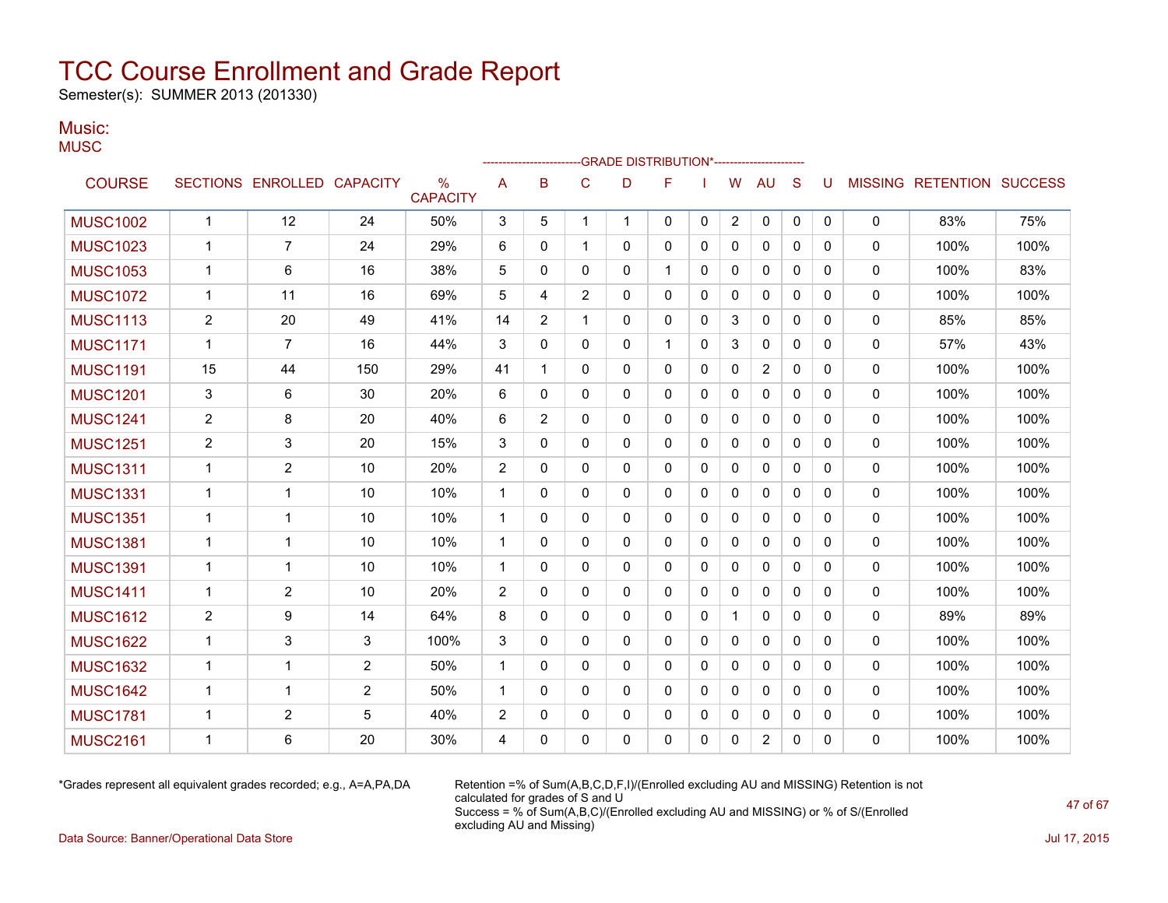Semester(s): SUMMER 2013 (201330)

#### Music: **MUSC**

|                 |                |                            |                |                                  |              |                |                | -GRADE DISTRIBUTION*----------------------- |              |          |              |                |              |          |              |                           |      |
|-----------------|----------------|----------------------------|----------------|----------------------------------|--------------|----------------|----------------|---------------------------------------------|--------------|----------|--------------|----------------|--------------|----------|--------------|---------------------------|------|
| <b>COURSE</b>   |                | SECTIONS ENROLLED CAPACITY |                | $\frac{0}{0}$<br><b>CAPACITY</b> | A            | B              | C              | D                                           | F            |          | W            | AU             | <sub>S</sub> | U        |              | MISSING RETENTION SUCCESS |      |
| <b>MUSC1002</b> | $\mathbf 1$    | 12                         | 24             | 50%                              | 3            | 5              | 1              | $\mathbf{1}$                                | $\mathbf{0}$ | 0        | 2            | 0              | 0            | 0        | 0            | 83%                       | 75%  |
| <b>MUSC1023</b> | 1              | $\overline{7}$             | 24             | 29%                              | 6            | 0              | $\mathbf{1}$   | 0                                           | 0            | 0        | 0            | $\mathbf{0}$   | $\Omega$     | 0        | $\mathbf{0}$ | 100%                      | 100% |
| <b>MUSC1053</b> | 1              | 6                          | 16             | 38%                              | 5            | 0              | 0              | 0                                           | $\mathbf 1$  | 0        | 0            | $\mathbf{0}$   | 0            | 0        | 0            | 100%                      | 83%  |
| <b>MUSC1072</b> | 1              | 11                         | 16             | 69%                              | 5            | 4              | $\overline{2}$ | 0                                           | 0            | 0        | 0            | 0              | 0            | 0        | $\mathbf{0}$ | 100%                      | 100% |
| <b>MUSC1113</b> | $\overline{2}$ | 20                         | 49             | 41%                              | 14           | $\overline{2}$ | 1              | 0                                           | 0            | 0        | 3            | $\mathbf{0}$   | 0            | 0        | $\mathbf{0}$ | 85%                       | 85%  |
| <b>MUSC1171</b> | 1              | 7                          | 16             | 44%                              | 3            | $\mathbf{0}$   | $\mathbf{0}$   | 0                                           | $\mathbf{1}$ | 0        | 3            | 0              | $\mathbf{0}$ | 0        | 0            | 57%                       | 43%  |
| <b>MUSC1191</b> | 15             | 44                         | 150            | 29%                              | 41           | 1              | $\mathbf{0}$   | 0                                           | 0            | 0        | 0            | 2              | 0            | 0        | $\mathbf{0}$ | 100%                      | 100% |
| <b>MUSC1201</b> | 3              | 6                          | 30             | 20%                              | 6            | $\Omega$       | $\Omega$       | 0                                           | 0            | 0        | 0            | $\mathbf{0}$   | $\Omega$     | 0        | $\mathbf{0}$ | 100%                      | 100% |
| <b>MUSC1241</b> | $\overline{2}$ | 8                          | 20             | 40%                              | 6            | $\overline{2}$ | 0              | 0                                           | 0            | 0        | $\Omega$     | $\mathbf{0}$   | $\Omega$     | 0        | $\mathbf 0$  | 100%                      | 100% |
| <b>MUSC1251</b> | 2              | 3                          | 20             | 15%                              | 3            | 0              | $\Omega$       | 0                                           | $\Omega$     | 0        | $\Omega$     | $\mathbf{0}$   | $\Omega$     | $\Omega$ | $\mathbf{0}$ | 100%                      | 100% |
| <b>MUSC1311</b> | 1              | $\overline{2}$             | 10             | 20%                              | 2            | 0              | 0              | 0                                           | $\Omega$     | 0        | $\Omega$     | $\mathbf{0}$   | $\mathbf{0}$ | 0        | $\mathbf 0$  | 100%                      | 100% |
| <b>MUSC1331</b> | 1              | $\mathbf 1$                | 10             | 10%                              | $\mathbf{1}$ | 0              | 0              | 0                                           | 0            | 0        | 0            | $\mathbf{0}$   | $\Omega$     | 0        | 0            | 100%                      | 100% |
| <b>MUSC1351</b> | 1              | 1                          | 10             | 10%                              | $\mathbf 1$  | 0              | 0              | 0                                           | 0            | 0        | 0            | $\mathbf{0}$   | 0            | 0        | $\mathbf{0}$ | 100%                      | 100% |
| <b>MUSC1381</b> | 1              | 1                          | 10             | 10%                              | $\mathbf 1$  | 0              | 0              | 0                                           | 0            | 0        | 0            | $\mathbf{0}$   | 0            | 0        | 0            | 100%                      | 100% |
| <b>MUSC1391</b> | 1              | 1                          | 10             | 10%                              | 1            | 0              | $\Omega$       | 0                                           | 0            | 0        | 0            | $\mathbf{0}$   | 0            | 0        | $\mathbf{0}$ | 100%                      | 100% |
| <b>MUSC1411</b> | 1              | $\overline{2}$             | 10             | 20%                              | 2            | 0              | 0              | 0                                           | 0            | 0        | 0            | $\mathbf{0}$   | 0            | 0        | 0            | 100%                      | 100% |
| <b>MUSC1612</b> | $\overline{2}$ | 9                          | 14             | 64%                              | 8            | $\mathbf{0}$   | $\mathbf{0}$   | 0                                           | 0            | 0        | $\mathbf{1}$ | 0              | $\mathbf{0}$ | 0        | $\mathbf 0$  | 89%                       | 89%  |
| <b>MUSC1622</b> | 1              | 3                          | 3              | 100%                             | 3            | 0              | 0              | 0                                           | 0            | 0        | 0            | 0              | 0            | 0        | 0            | 100%                      | 100% |
| <b>MUSC1632</b> | 1              | 1                          | $\overline{c}$ | 50%                              | 1            | 0              | $\Omega$       | 0                                           | $\Omega$     | 0        | $\mathbf 0$  | $\mathbf{0}$   | $\Omega$     | 0        | $\mathbf 0$  | 100%                      | 100% |
| <b>MUSC1642</b> | 1              | 1                          | $\overline{2}$ | 50%                              | $\mathbf{1}$ | 0              | 0              | 0                                           | 0            | 0        | 0            | $\mathbf{0}$   | $\Omega$     | 0        | $\mathbf 0$  | 100%                      | 100% |
| <b>MUSC1781</b> | 1              | $\overline{2}$             | 5              | 40%                              | 2            | 0              | 0              | 0                                           | 0            | 0        | $\Omega$     | $\mathbf{0}$   | $\Omega$     | 0        | 0            | 100%                      | 100% |
| <b>MUSC2161</b> | 1              | 6                          | 20             | 30%                              | 4            | 0              | $\Omega$       | $\Omega$                                    | $\Omega$     | $\Omega$ | $\Omega$     | $\overline{2}$ | $\Omega$     | 0        | $\Omega$     | 100%                      | 100% |
|                 |                |                            |                |                                  |              |                |                |                                             |              |          |              |                |              |          |              |                           |      |

\*Grades represent all equivalent grades recorded; e.g., A=A,PA,DA Retention =% of Sum(A,B,C,D,F,I)/(Enrolled excluding AU and MISSING) Retention is not calculated for grades of S and U Success = % of Sum(A,B,C)/(Enrolled excluding AU and MISSING) or % of S/(Enrolled excluding AU and Missing)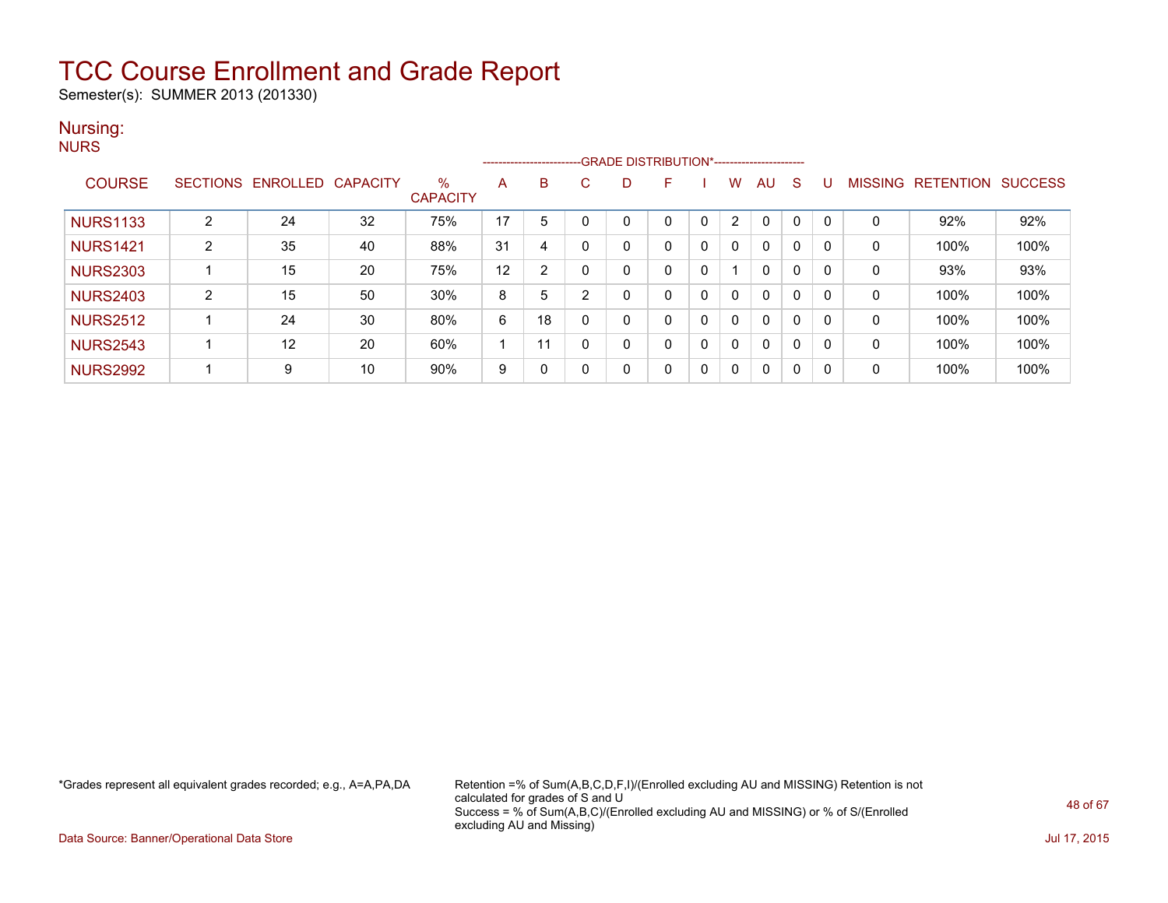Semester(s): SUMMER 2013 (201330)

#### Nursing: **NURS**

|                 |                |                   |                 |                         |    | ------------------------GRADE DISTRIBUTION*----------------------- |   |          |    |   |   |          |   |              |                |                  |                |
|-----------------|----------------|-------------------|-----------------|-------------------------|----|--------------------------------------------------------------------|---|----------|----|---|---|----------|---|--------------|----------------|------------------|----------------|
| <b>COURSE</b>   |                | SECTIONS ENROLLED | <b>CAPACITY</b> | $\%$<br><b>CAPACITY</b> | А  | B                                                                  | C |          | F. |   | w | AU       | S |              | <b>MISSING</b> | <b>RETENTION</b> | <b>SUCCESS</b> |
| <b>NURS1133</b> | $\overline{2}$ | 24                | 32              | 75%                     | 17 | 5                                                                  |   |          |    |   | 2 | $\Omega$ | 0 | $\Omega$     |                | 92%              | 92%            |
| <b>NURS1421</b> | 2              | 35                | 40              | 88%                     | 31 | 4                                                                  | 0 | $\Omega$ |    | 0 | 0 | 0        | 0 | 0            | $\Omega$       | 100%             | 100%           |
| <b>NURS2303</b> |                | 15                | 20              | 75%                     | 12 | $\overline{2}$                                                     | 0 | $\Omega$ |    | 0 |   | 0        | 0 | 0            | $\Omega$       | 93%              | 93%            |
| <b>NURS2403</b> | 2              | 15                | 50              | 30%                     | 8  | 5                                                                  | 2 |          |    | 0 | 0 | 0        | 0 | 0            | 0              | 100%             | 100%           |
| <b>NURS2512</b> |                | 24                | 30              | 80%                     | 6  | 18                                                                 | 0 |          |    | 0 | 0 | 0        | 0 | 0            | 0              | 100%             | 100%           |
| <b>NURS2543</b> |                | 12                | 20              | 60%                     |    | 11                                                                 | 0 | $\Omega$ |    | 0 | 0 | 0        | 0 | 0            | 0              | 100%             | 100%           |
| <b>NURS2992</b> |                | 9                 | 10              | 90%                     | 9  | 0                                                                  | 0 | $\Omega$ | 0  | 0 | 0 | 0        | 0 | $\mathbf{0}$ | 0              | 100%             | 100%           |

\*Grades represent all equivalent grades recorded; e.g., A=A,PA,DA Retention =% of Sum(A,B,C,D,F,I)/(Enrolled excluding AU and MISSING) Retention is not calculated for grades of S and U Success = % of Sum(A,B,C)/(Enrolled excluding AU and MISSING) or % of S/(Enrolled excluding AU and Missing)

Data Source: Banner/Operational Data Store Jul 17, 2015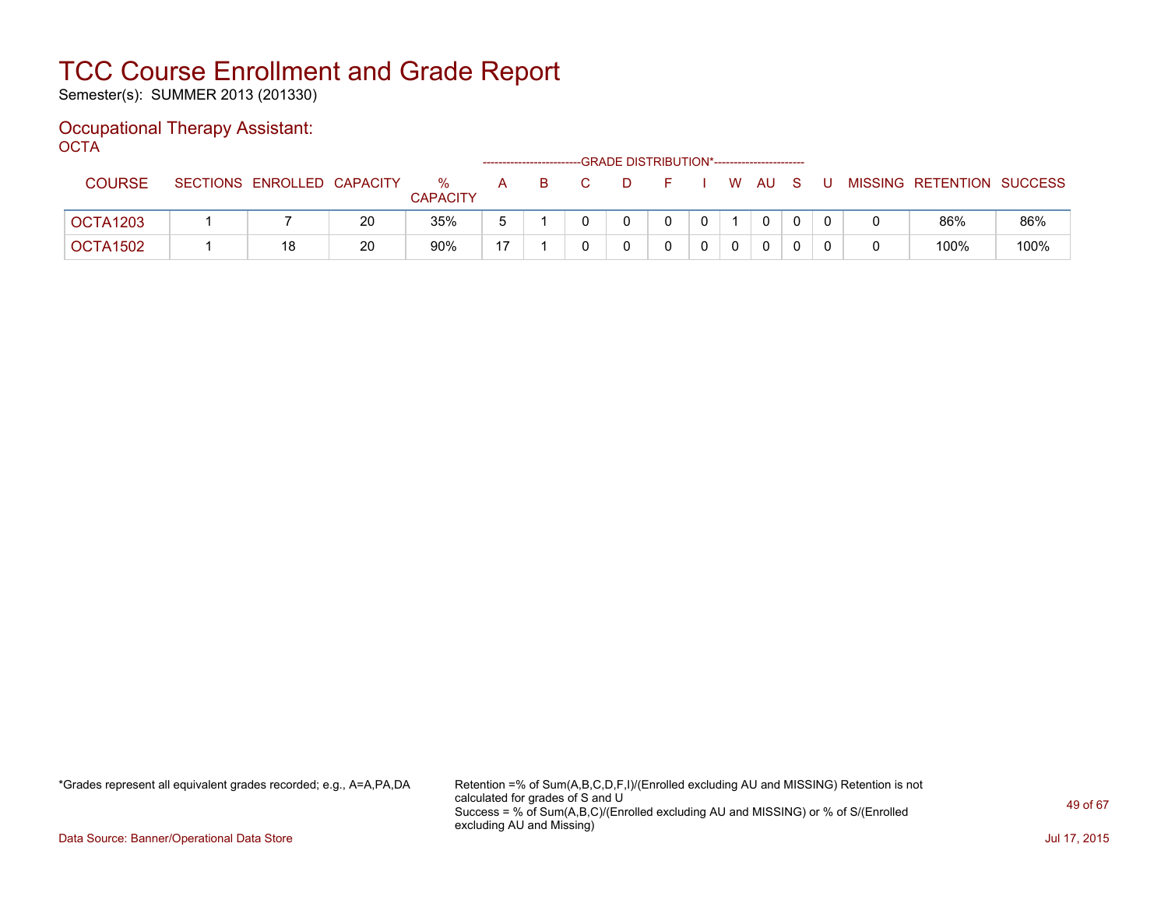Semester(s): SUMMER 2013 (201330)

#### Occupational Therapy Assistant: OCTA

| ----          |                            |    |                      |                |    |                         | -GRADE DISTRIBUTION*---------------------- |     |      |    |    |                           |      |
|---------------|----------------------------|----|----------------------|----------------|----|-------------------------|--------------------------------------------|-----|------|----|----|---------------------------|------|
| <b>COURSE</b> | SECTIONS ENROLLED CAPACITY |    | %<br><b>CAPACITY</b> | A              | B. | $\overline{\mathbf{C}}$ | D.                                         | E I | W AU | S. | -U | MISSING RETENTION SUCCESS |      |
| OCTA1203      |                            | 20 | 35%                  |                |    |                         |                                            |     | 0    |    |    | 86%                       | 86%  |
| OCTA1502      | 18                         | 20 | 90%                  | $\overline{ }$ |    |                         |                                            |     | 0    |    |    | 100%                      | 100% |

\*Grades represent all equivalent grades recorded; e.g., A=A,PA,DA Retention =% of Sum(A,B,C,D,F,I)/(Enrolled excluding AU and MISSING) Retention is not calculated for grades of S and U Success = % of Sum(A,B,C)/(Enrolled excluding AU and MISSING) or % of S/(Enrolled excluding AU and Missing)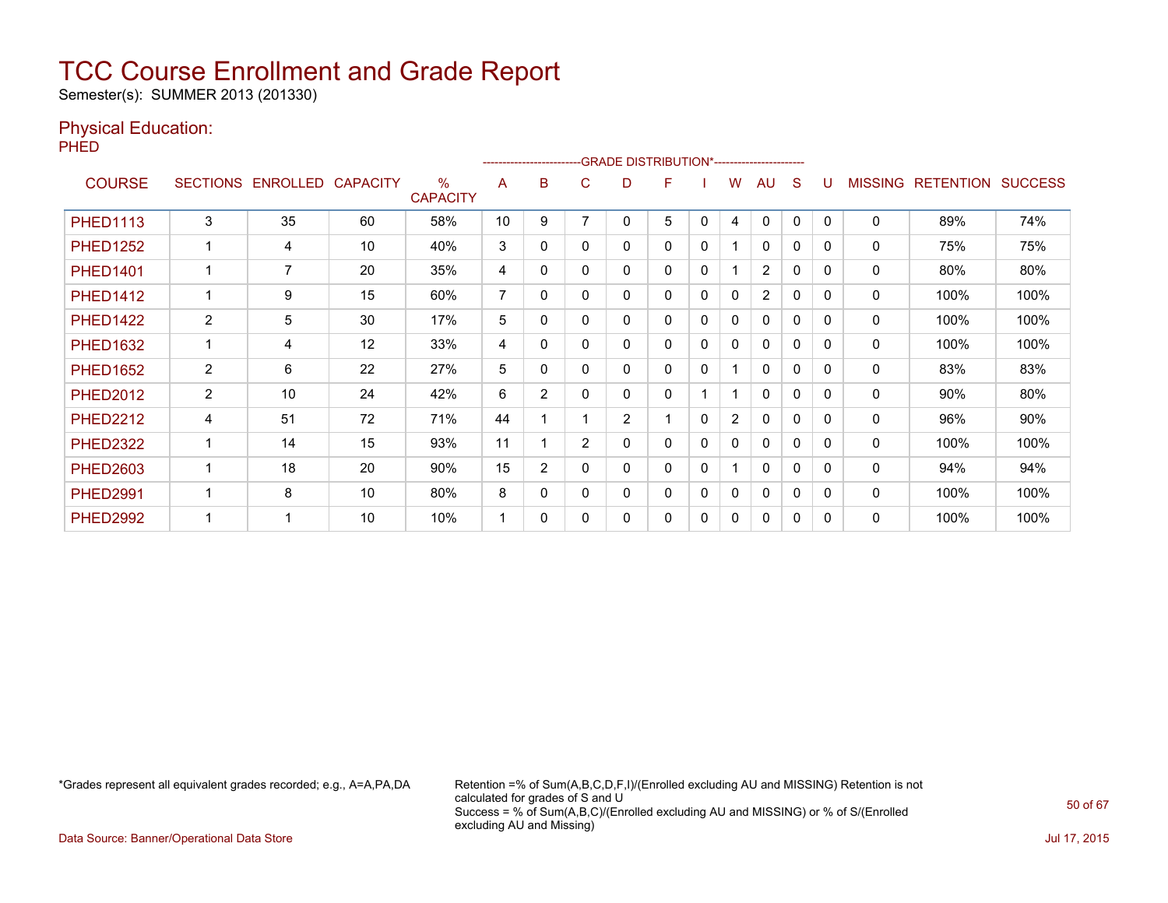Semester(s): SUMMER 2013 (201330)

### Physical Education:

PHED

|                 |                 |          |                 |                         |                |                |                | -------------------------GRADE                DISTRIBUTION*---------------------- |   |              |                |                |              |              |                |                  |                |
|-----------------|-----------------|----------|-----------------|-------------------------|----------------|----------------|----------------|-----------------------------------------------------------------------------------|---|--------------|----------------|----------------|--------------|--------------|----------------|------------------|----------------|
| <b>COURSE</b>   | <b>SECTIONS</b> | ENROLLED | <b>CAPACITY</b> | $\%$<br><b>CAPACITY</b> | A              | B              | С              | D                                                                                 | F |              | w              | AU             | S            |              | <b>MISSING</b> | <b>RETENTION</b> | <b>SUCCESS</b> |
| <b>PHED1113</b> | 3               | 35       | 60              | 58%                     | 10             | 9              |                | 0                                                                                 | 5 | 0            | 4              | 0              | $\Omega$     | $\Omega$     | 0              | 89%              | 74%            |
| <b>PHED1252</b> | -1              | 4        | 10              | 40%                     | 3              | 0              | 0              | 0                                                                                 | 0 | 0            |                | $\mathbf{0}$   | 0            | 0            | $\Omega$       | 75%              | 75%            |
| <b>PHED1401</b> |                 | 7        | 20              | 35%                     | 4              | 0              | 0              | 0                                                                                 | 0 | 0            |                | $\overline{2}$ | 0            | 0            | $\mathbf{0}$   | 80%              | 80%            |
| <b>PHED1412</b> | -1              | 9        | 15              | 60%                     | $\overline{7}$ | 0              | 0              | 0                                                                                 | 0 | 0            | $\mathbf{0}$   | $\overline{2}$ | 0            | 0            | $\Omega$       | 100%             | 100%           |
| <b>PHED1422</b> | $\overline{2}$  | 5        | 30              | 17%                     | 5              | 0              | 0              | 0                                                                                 | 0 | 0            | 0              | 0              | 0            | 0            | $\mathbf 0$    | 100%             | 100%           |
| <b>PHED1632</b> | -1              | 4        | 12              | 33%                     | 4              | 0              | 0              | 0                                                                                 | 0 | 0            | 0              | 0              | 0            | 0            | 0              | 100%             | 100%           |
| <b>PHED1652</b> | $\overline{2}$  | 6        | 22              | 27%                     | 5              | 0              | 0              | 0                                                                                 | 0 | 0            |                | $\mathbf{0}$   | 0            | 0            | $\mathbf{0}$   | 83%              | 83%            |
| <b>PHED2012</b> | $\overline{2}$  | 10       | 24              | 42%                     | 6              | $\overline{2}$ | 0              | 0                                                                                 | 0 |              |                | 0              | $\mathbf{0}$ | $\mathbf{0}$ | 0              | 90%              | 80%            |
| <b>PHED2212</b> | 4               | 51       | 72              | 71%                     | 44             |                |                | $\overline{2}$                                                                    |   | 0            | $\overline{2}$ | $\mathbf{0}$   | 0            | $\mathbf{0}$ | 0              | 96%              | 90%            |
| <b>PHED2322</b> |                 | 14       | 15              | 93%                     | 11             |                | $\overline{2}$ | 0                                                                                 | 0 | 0            | 0              | 0              | $\mathbf{0}$ | $\mathbf{0}$ | 0              | 100%             | 100%           |
| <b>PHED2603</b> |                 | 18       | 20              | 90%                     | 15             | $\overline{2}$ | 0              | 0                                                                                 | 0 | 0            |                | $\mathbf{0}$   | $\mathbf{0}$ | $\Omega$     | $\mathbf{0}$   | 94%              | 94%            |
| <b>PHED2991</b> |                 | 8        | 10              | 80%                     | 8              | 0              | 0              | 0                                                                                 | 0 | $\mathbf{0}$ | 0              | 0              | $\mathbf{0}$ | $\Omega$     | 0              | 100%             | 100%           |
| <b>PHED2992</b> |                 |          | 10              | 10%                     | 1              | $\Omega$       | 0              | 0                                                                                 | 0 | 0            | 0              | 0              | 0            | $\Omega$     | 0              | 100%             | 100%           |

\*Grades represent all equivalent grades recorded; e.g., A=A,PA,DA Retention =% of Sum(A,B,C,D,F,I)/(Enrolled excluding AU and MISSING) Retention is not calculated for grades of S and U Success = % of Sum(A,B,C)/(Enrolled excluding AU and MISSING) or % of S/(Enrolled excluding AU and Missing)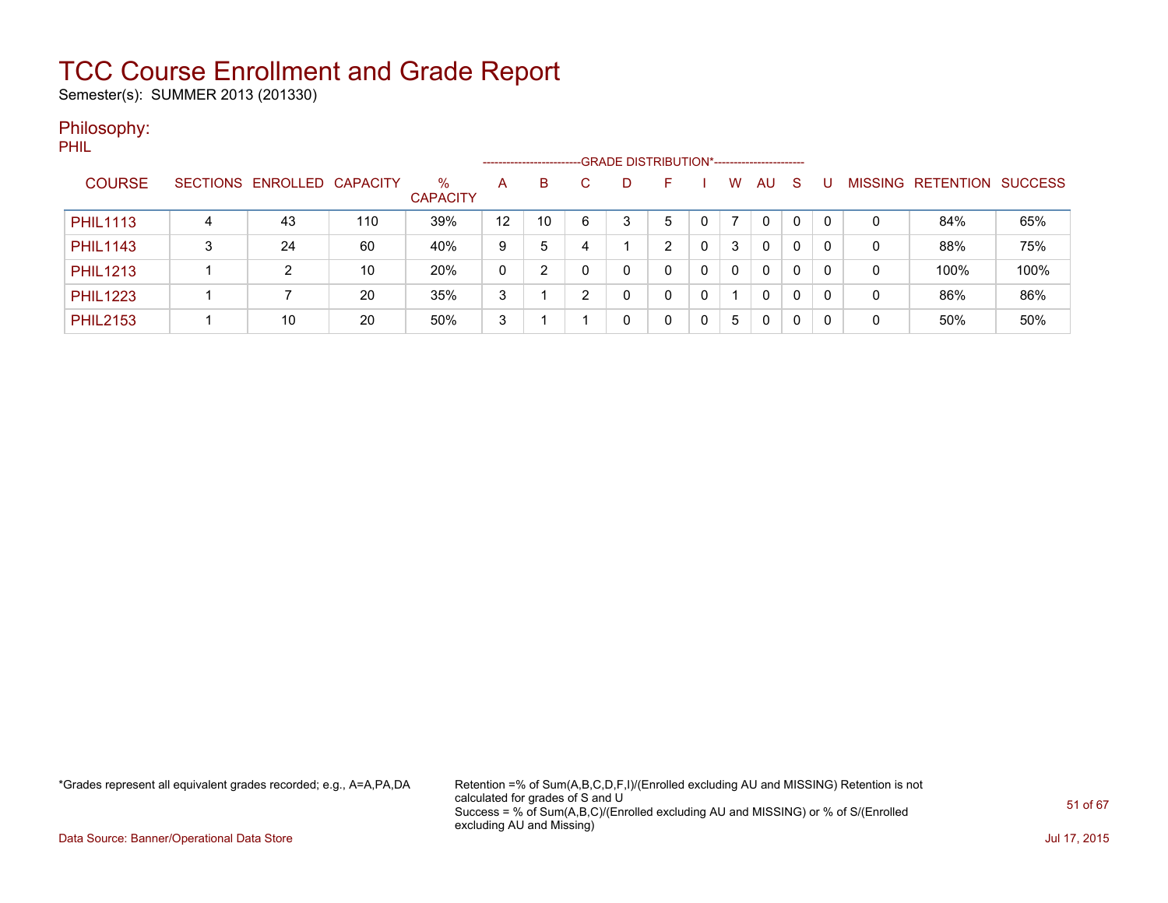Semester(s): SUMMER 2013 (201330)

### Philosophy:

PHIL

|                 |   |                            |     |                         |    | --------------------- |   | -GRADE DISTRIBUTION*----------------------- |   |   |          |    |              |          |                |           |                |
|-----------------|---|----------------------------|-----|-------------------------|----|-----------------------|---|---------------------------------------------|---|---|----------|----|--------------|----------|----------------|-----------|----------------|
| <b>COURSE</b>   |   | SECTIONS ENROLLED CAPACITY |     | $\%$<br><b>CAPACITY</b> | A  | B                     | C | D                                           |   |   | w        | AU | <sub>S</sub> |          | <b>MISSING</b> | RETENTION | <b>SUCCESS</b> |
| <b>PHIL1113</b> |   | 43                         | 110 | 39%                     | 12 | 10                    | 6 | 3                                           | 5 |   |          | 0  | 0            | $\Omega$ | 0              | 84%       | 65%            |
| <b>PHIL1143</b> | 3 | 24                         | 60  | 40%                     | 9  | 5                     |   |                                             | ົ |   | 3        | 0  | 0            | 0        | 0              | 88%       | 75%            |
| <b>PHIL1213</b> |   |                            | 10  | 20%                     | 0  |                       |   |                                             |   |   | $\Omega$ | 0  | 0            | $\Omega$ | 0              | 100%      | 100%           |
| <b>PHIL1223</b> |   |                            | 20  | 35%                     | 3  |                       | ົ | U                                           |   | 0 |          | 0  | $\Omega$     | $\Omega$ | 0              | 86%       | 86%            |
| <b>PHIL2153</b> |   | 10                         | 20  | 50%                     | 3  |                       |   | 0                                           | 0 |   | 5        | 0  | 0            | 0        | 0              | 50%       | 50%            |

\*Grades represent all equivalent grades recorded; e.g., A=A,PA,DA Retention =% of Sum(A,B,C,D,F,I)/(Enrolled excluding AU and MISSING) Retention is not calculated for grades of S and U Success = % of Sum(A,B,C)/(Enrolled excluding AU and MISSING) or % of S/(Enrolled excluding AU and Missing)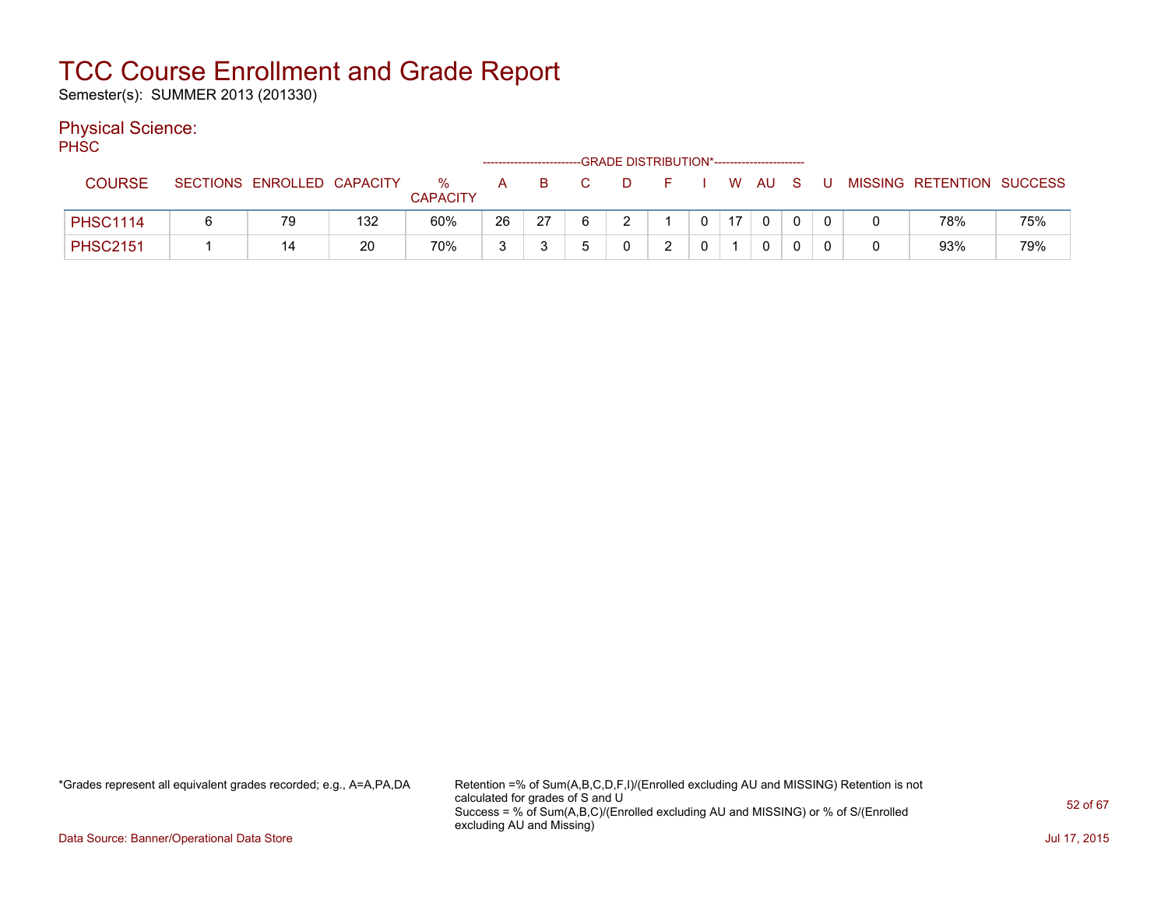Semester(s): SUMMER 2013 (201330)

### Physical Science:

PH<sub>SC</sub>

| .               |                            |     |                      |              | ------------------------- |                | --GRADE DISTRIBUTION*----------------------- |  |                 |       |   |              |                           |     |
|-----------------|----------------------------|-----|----------------------|--------------|---------------------------|----------------|----------------------------------------------|--|-----------------|-------|---|--------------|---------------------------|-----|
| <b>COURSE</b>   | SECTIONS ENROLLED CAPACITY |     | %<br><b>CAPACITY</b> | $\mathsf{A}$ | B.                        | $\overline{C}$ | D.                                           |  |                 | W AUS | U |              | MISSING RETENTION SUCCESS |     |
| <b>PHSC1114</b> | 79                         | 132 | 60%                  | 26           | 27                        |                |                                              |  | 17 <sup>1</sup> |       |   | 0            | 78%                       | 75% |
| <b>PHSC2151</b> |                            | 20  | 70%                  | 3            |                           |                |                                              |  |                 |       |   | <sup>n</sup> | 93%                       | 79% |

\*Grades represent all equivalent grades recorded; e.g., A=A,PA,DA Retention =% of Sum(A,B,C,D,F,I)/(Enrolled excluding AU and MISSING) Retention is not calculated for grades of S and U Success = % of Sum(A,B,C)/(Enrolled excluding AU and MISSING) or % of S/(Enrolled excluding AU and Missing)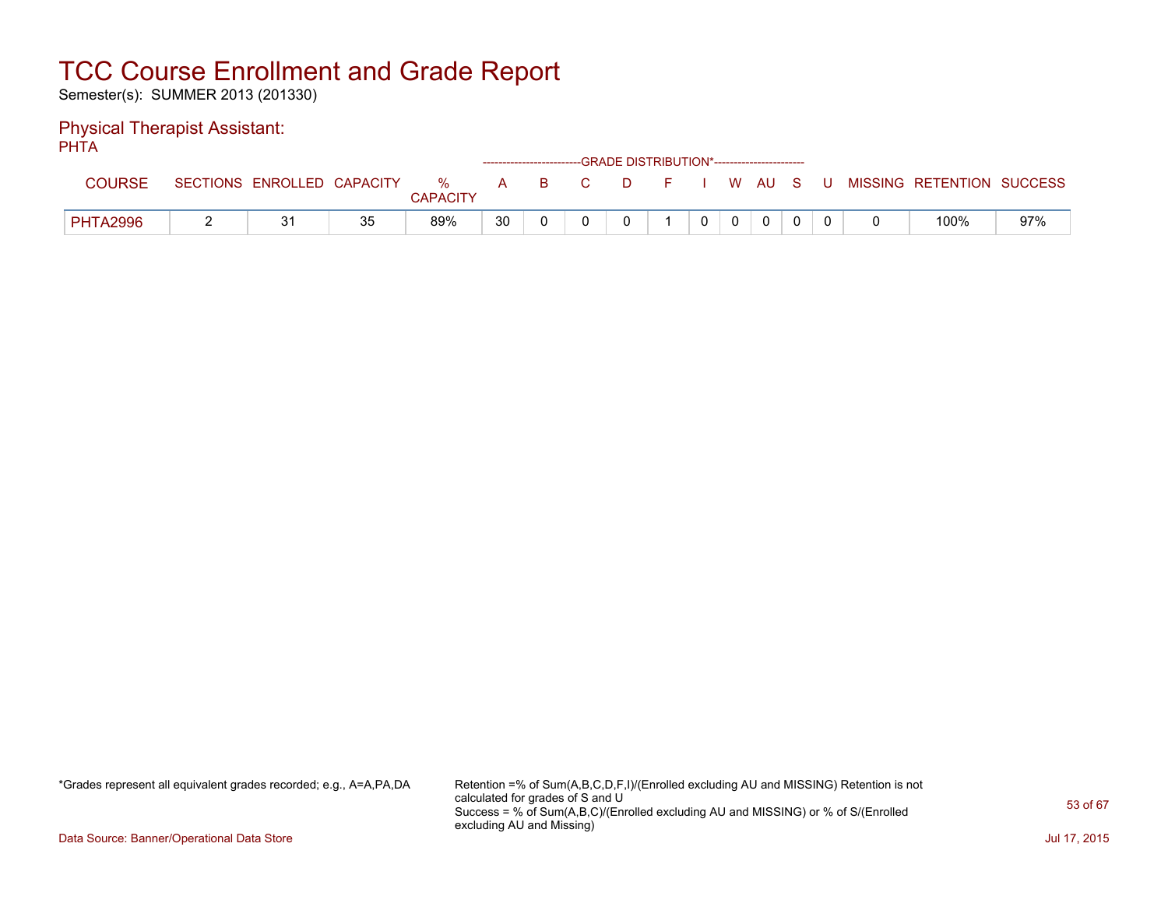Semester(s): SUMMER 2013 (201330)

#### Physical Therapist Assistant: PHTA

| .               |                            |    |                         |              |          |    | ------------------------GRADE DISTRIBUTION*----------------------- |    |  |              |       |                           |     |
|-----------------|----------------------------|----|-------------------------|--------------|----------|----|--------------------------------------------------------------------|----|--|--------------|-------|---------------------------|-----|
| <b>COURSE</b>   | SECTIONS ENROLLED CAPACITY |    | $\%$<br><b>CAPACITY</b> | $\mathsf{A}$ | <b>B</b> | C. | D.                                                                 | F. |  | WAUS         | - U - | MISSING RETENTION SUCCESS |     |
| <b>PHTA2996</b> | 21                         | 35 | 89%                     | 30           |          |    |                                                                    |    |  | $\mathbf{0}$ |       | 100%                      | 97% |

\*Grades represent all equivalent grades recorded; e.g., A=A,PA,DA Retention =% of Sum(A,B,C,D,F,I)/(Enrolled excluding AU and MISSING) Retention is not calculated for grades of S and U Success = % of Sum(A,B,C)/(Enrolled excluding AU and MISSING) or % of S/(Enrolled excluding AU and Missing)

Data Source: Banner/Operational Data Store Jul 17, 2015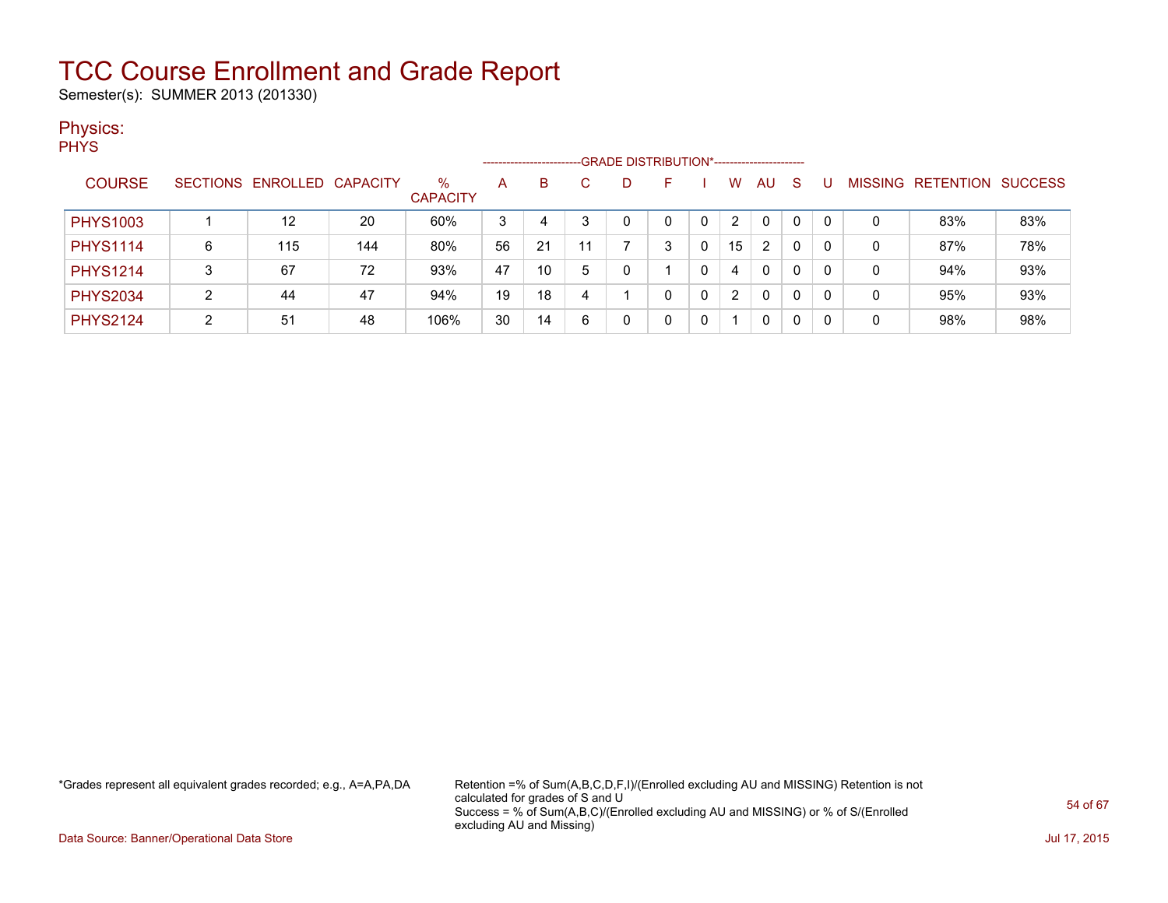Semester(s): SUMMER 2013 (201330)

### Physics:

|                 |   |                   |                 |                         | -------------------- |    |    | -GRADE DISTRIBUTION*----------------------- |    |    |                |              |   |         |                  |                |
|-----------------|---|-------------------|-----------------|-------------------------|----------------------|----|----|---------------------------------------------|----|----|----------------|--------------|---|---------|------------------|----------------|
| <b>COURSE</b>   |   | SECTIONS ENROLLED | <b>CAPACITY</b> | $\%$<br><b>CAPACITY</b> | Α                    | B  |    | D                                           | н. | W  | AU             | S            |   | MISSING | <b>RETENTION</b> | <b>SUCCESS</b> |
| <b>PHYS1003</b> |   | 12                | 20              | 60%                     | 3                    | 4  | 3  |                                             |    | 2  | 0              | $\mathbf{0}$ | 0 | 0       | 83%              | 83%            |
| <b>PHYS1114</b> | 6 | 115               | 144             | 80%                     | 56                   | 21 | 11 |                                             | າ  | 15 | $\overline{2}$ | $\mathbf 0$  | 0 | 0       | 87%              | 78%            |
| <b>PHYS1214</b> | 3 | 67                | 72              | 93%                     | 47                   | 10 | 5  |                                             |    | 4  | 0              | 0            | 0 | 0       | 94%              | 93%            |
| <b>PHYS2034</b> |   | 44                | 47              | 94%                     | 19                   | 18 | 4  |                                             |    | 2  | 0              | 0            | 0 | 0       | 95%              | 93%            |
| <b>PHYS2124</b> | 2 | 51                | 48              | 106%                    | 30                   | 14 | 6  |                                             |    |    | 0              | 0            | 0 | 0       | 98%              | 98%            |

\*Grades represent all equivalent grades recorded; e.g., A=A,PA,DA Retention =% of Sum(A,B,C,D,F,I)/(Enrolled excluding AU and MISSING) Retention is not calculated for grades of S and U Success = % of Sum(A,B,C)/(Enrolled excluding AU and MISSING) or % of S/(Enrolled excluding AU and Missing)

Data Source: Banner/Operational Data Store Jul 17, 2015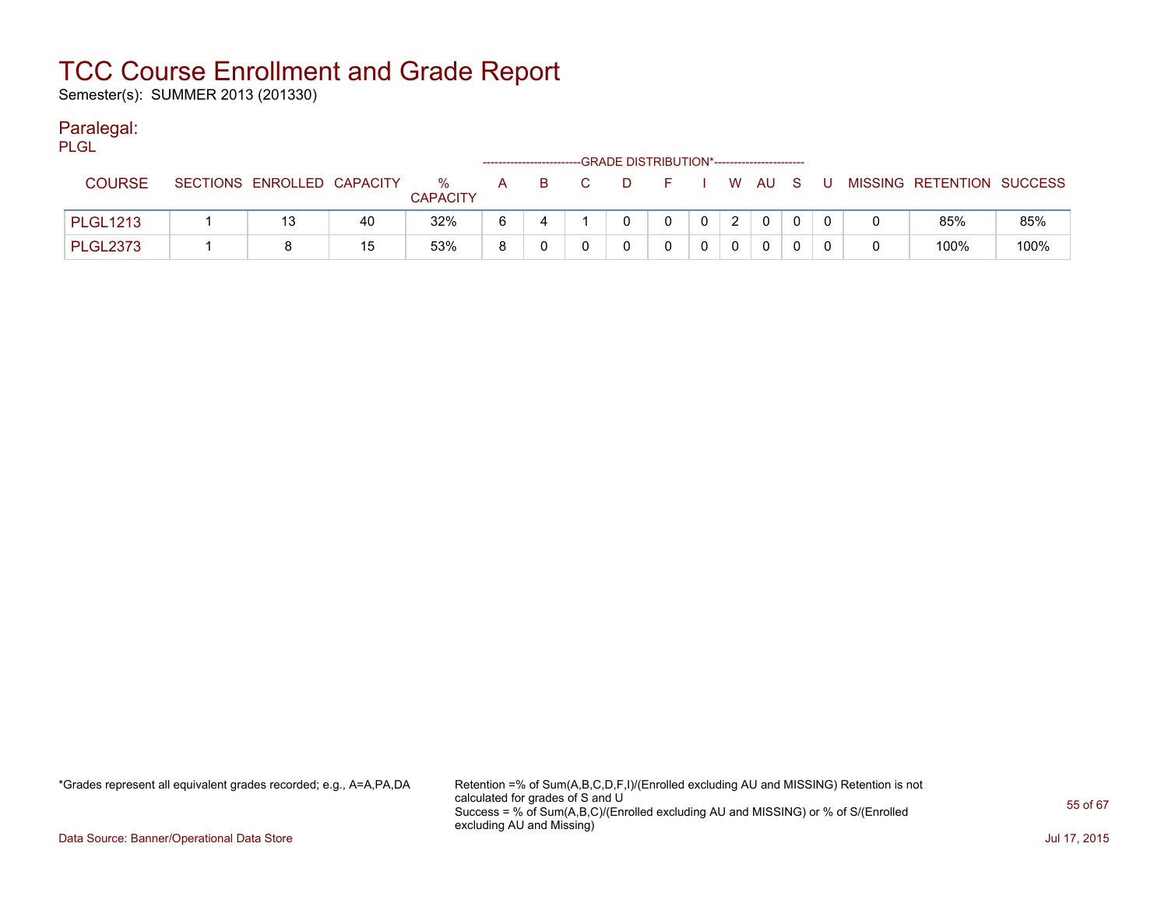Semester(s): SUMMER 2013 (201330)

### Paralegal:

| <b>PLGL</b>     |                            |    |                         |     |     |          |                                             |                |          |          |     |                           |      |
|-----------------|----------------------------|----|-------------------------|-----|-----|----------|---------------------------------------------|----------------|----------|----------|-----|---------------------------|------|
|                 |                            |    |                         |     |     |          | -GRADE DISTRIBUTION*----------------------- |                |          |          |     |                           |      |
| <b>COURSE</b>   | SECTIONS ENROLLED CAPACITY |    | $\%$<br><b>CAPACITY</b> | A a | B C | <b>D</b> | F I W AU S                                  |                |          |          | . U | MISSING RETENTION SUCCESS |      |
| <b>PLGL1213</b> | 13                         | 40 | 32%                     | -6  |     |          | $\Omega$                                    | 0 <sup>1</sup> | 2        | $\Omega$ |     | 85%                       | 85%  |
| <b>PLGL2373</b> |                            | 15 | 53%                     | 8   |     |          |                                             |                | $\Omega$ | $\Omega$ |     | 100%                      | 100% |

\*Grades represent all equivalent grades recorded; e.g., A=A,PA,DA Retention =% of Sum(A,B,C,D,F,I)/(Enrolled excluding AU and MISSING) Retention is not calculated for grades of S and U Success = % of Sum(A,B,C)/(Enrolled excluding AU and MISSING) or % of S/(Enrolled excluding AU and Missing)

Data Source: Banner/Operational Data Store Jul 17, 2015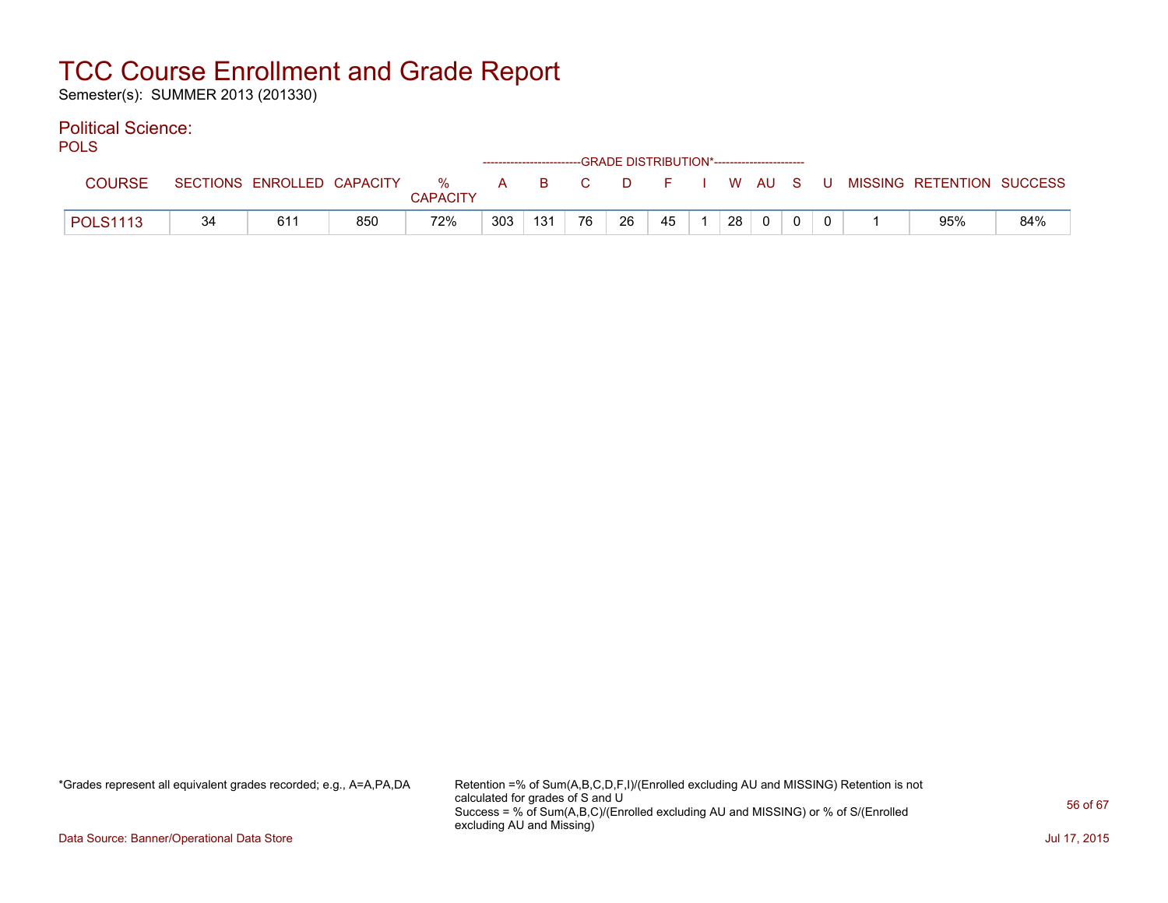Semester(s): SUMMER 2013 (201330)

#### Political Science: POLS

| PULO            |    |                            |     |                      |     |     |                |        | ------------------------GRADE DISTRIBUTION*----------------------- |    |          |  |                           |     |
|-----------------|----|----------------------------|-----|----------------------|-----|-----|----------------|--------|--------------------------------------------------------------------|----|----------|--|---------------------------|-----|
| <b>COURSE</b>   |    | SECTIONS ENROLLED CAPACITY |     | %<br><b>CAPACITY</b> | A a | B.  | $\overline{C}$ | . D. . | FIWAUSU                                                            |    |          |  | MISSING RETENTION SUCCESS |     |
| <b>POLS1113</b> | 34 | 611                        | 850 | 72%                  | 303 | 131 | 76             | 26     | 45                                                                 | 28 | $\Omega$ |  | 95%                       | 84% |

\*Grades represent all equivalent grades recorded; e.g., A=A,PA,DA Retention =% of Sum(A,B,C,D,F,I)/(Enrolled excluding AU and MISSING) Retention is not calculated for grades of S and U Success = % of Sum(A,B,C)/(Enrolled excluding AU and MISSING) or % of S/(Enrolled excluding AU and Missing)

Data Source: Banner/Operational Data Store Jul 17, 2015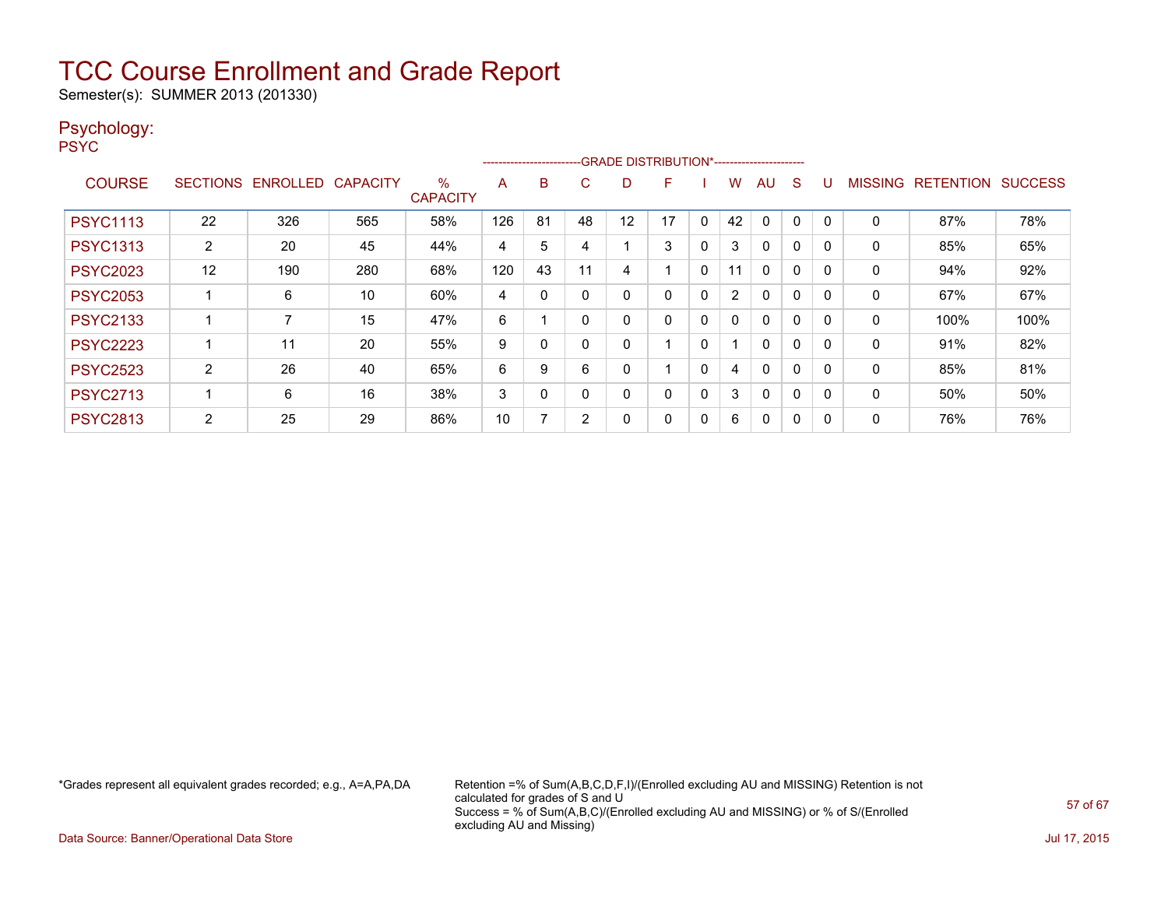Semester(s): SUMMER 2013 (201330)

### Psychology:

PSYC

|                 |                 |                 |                 |                         |     |          |    |    | --------------------------GRADE DISTRIBUTION*----------------------- |          |                |              |          |          |                |                  |                |
|-----------------|-----------------|-----------------|-----------------|-------------------------|-----|----------|----|----|----------------------------------------------------------------------|----------|----------------|--------------|----------|----------|----------------|------------------|----------------|
| <b>COURSE</b>   | <b>SECTIONS</b> | <b>ENROLLED</b> | <b>CAPACITY</b> | $\%$<br><b>CAPACITY</b> | A   | B        | С  | D  | F                                                                    |          | W.             | AU.          | S        |          | <b>MISSING</b> | <b>RETENTION</b> | <b>SUCCESS</b> |
| <b>PSYC1113</b> | 22              | 326             | 565             | 58%                     | 126 | 81       | 48 | 12 | 17                                                                   | 0        | 42             |              | 0        | 0        | 0              | 87%              | 78%            |
| <b>PSYC1313</b> | $\overline{2}$  | 20              | 45              | 44%                     | 4   | 5        |    |    | 3                                                                    | 0        | 3              | $\mathbf{0}$ | $\Omega$ | 0        | 0              | 85%              | 65%            |
| <b>PSYC2023</b> | 12              | 190             | 280             | 68%                     | 120 | 43       | 11 | 4  |                                                                      | $\Omega$ | 11             | $\Omega$     | 0        | $\Omega$ | 0              | 94%              | 92%            |
| <b>PSYC2053</b> |                 | 6               | 10              | 60%                     | 4   | 0        |    | 0  | 0                                                                    | 0        | $\overline{2}$ | $\mathbf{0}$ | 0        | 0        | 0              | 67%              | 67%            |
| <b>PSYC2133</b> |                 |                 | 15              | 47%                     | 6   |          |    | 0  | 0                                                                    | 0        | 0              | $\mathbf{0}$ | $\Omega$ | 0        | $\mathbf{0}$   | 100%             | 100%           |
| <b>PSYC2223</b> |                 | 11              | 20              | 55%                     | 9   |          |    | 0  |                                                                      | 0        |                | $\mathbf{0}$ | 0        |          | 0              | 91%              | 82%            |
| <b>PSYC2523</b> | 2               | 26              | 40              | 65%                     | 6   | 9        | 6  | 0  |                                                                      | 0        | 4              | $\mathbf{0}$ | $\Omega$ | 0        | $\mathbf{0}$   | 85%              | 81%            |
| <b>PSYC2713</b> |                 | 6               | 16              | 38%                     | 3   | $\Omega$ |    | 0  | 0                                                                    | 0        | 3              | $\mathbf{0}$ | $\Omega$ | $\Omega$ | $\mathbf{0}$   | 50%              | 50%            |
| <b>PSYC2813</b> | 2               | 25              | 29              | 86%                     | 10  |          | 2  | 0  | 0                                                                    | 0        | 6              | $\Omega$     | 0        |          | $\mathbf{0}$   | 76%              | 76%            |

\*Grades represent all equivalent grades recorded; e.g., A=A,PA,DA Retention =% of Sum(A,B,C,D,F,I)/(Enrolled excluding AU and MISSING) Retention is not calculated for grades of S and U Success = % of Sum(A,B,C)/(Enrolled excluding AU and MISSING) or % of S/(Enrolled excluding AU and Missing)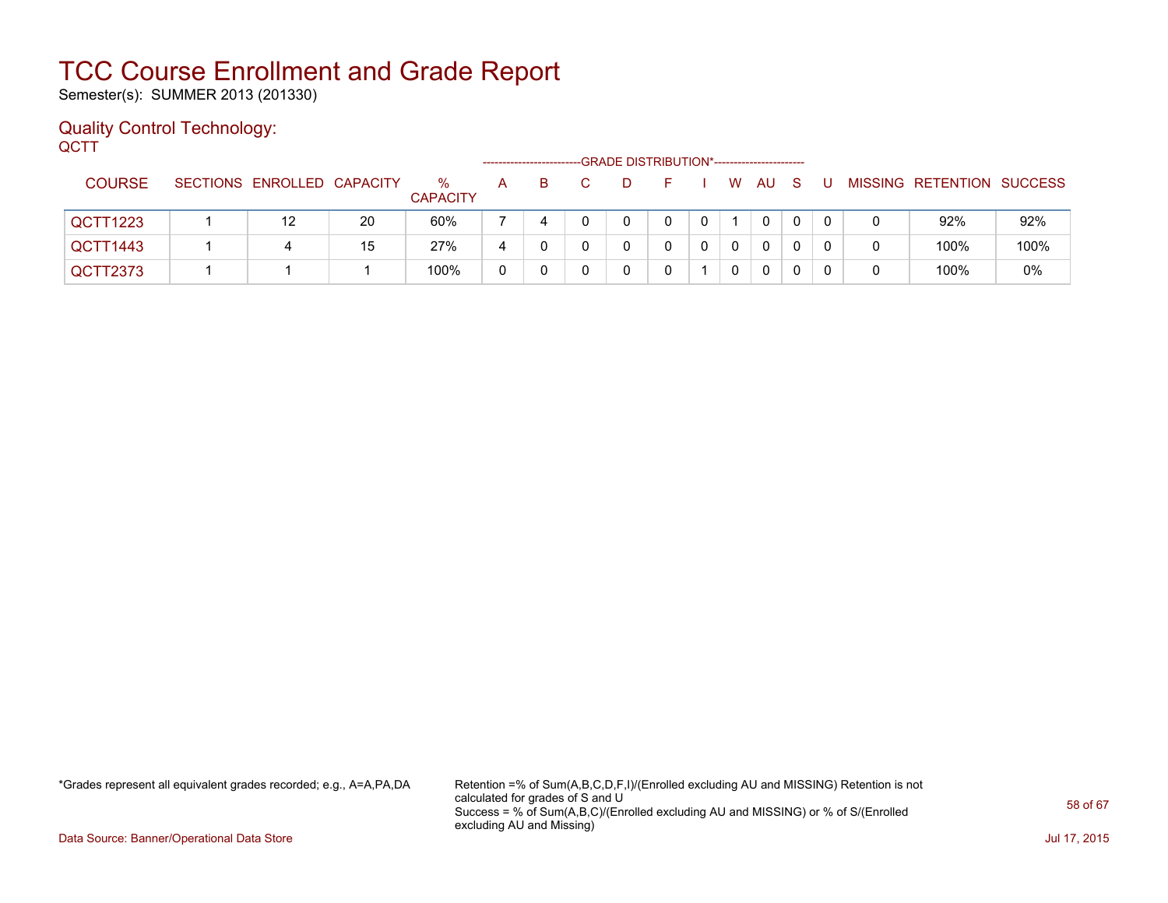Semester(s): SUMMER 2013 (201330)

### Quality Control Technology: **QCTT**

|               |                            |    |                         | --------------------- |    |   | -GRADE DISTRIBUTION*----------------------- |   |              |          |    |  |                           |      |
|---------------|----------------------------|----|-------------------------|-----------------------|----|---|---------------------------------------------|---|--------------|----------|----|--|---------------------------|------|
| <b>COURSE</b> | SECTIONS ENROLLED CAPACITY |    | $\%$<br><b>CAPACITY</b> | A                     | B. | D |                                             |   | W            | AU       | -S |  | MISSING RETENTION SUCCESS |      |
| QCTT1223      | 12                         | 20 | 60%                     |                       |    |   | 0                                           | 0 |              | $\Omega$ | 0  |  | 92%                       | 92%  |
| QCTT1443      | 4                          | 15 | 27%                     |                       |    |   |                                             | 0 | $\mathbf{0}$ | $\Omega$ | 0  |  | 100%                      | 100% |
| QCTT2373      |                            |    | 100%                    | 0                     |    |   |                                             |   | 0            | 0        |    |  | 100%                      | 0%   |

\*Grades represent all equivalent grades recorded; e.g., A=A,PA,DA Retention =% of Sum(A,B,C,D,F,I)/(Enrolled excluding AU and MISSING) Retention is not calculated for grades of S and U Success = % of Sum(A,B,C)/(Enrolled excluding AU and MISSING) or % of S/(Enrolled excluding AU and Missing)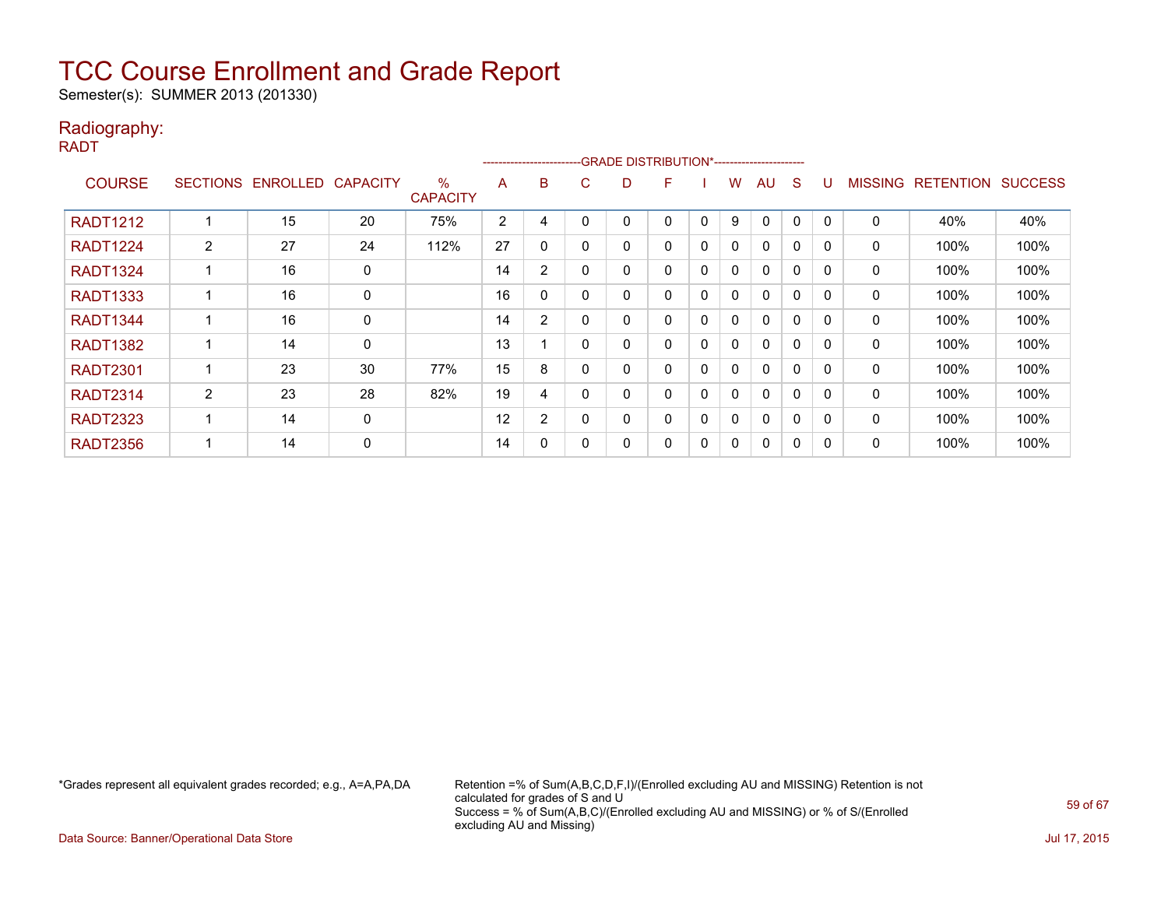Semester(s): SUMMER 2013 (201330)

### Radiography:

RADT

|                 |   |                            |    |                         |    |              | -----------------------GRADE DISTRIBUTION*----------------------- |   |   |             |   |              |   |          |                |                  |                |
|-----------------|---|----------------------------|----|-------------------------|----|--------------|-------------------------------------------------------------------|---|---|-------------|---|--------------|---|----------|----------------|------------------|----------------|
| <b>COURSE</b>   |   | SECTIONS ENROLLED CAPACITY |    | $\%$<br><b>CAPACITY</b> | A  | B            | C.                                                                | D | F |             | w | AU           | S |          | <b>MISSING</b> | <b>RETENTION</b> | <b>SUCCESS</b> |
| <b>RADT1212</b> |   | 15                         | 20 | 75%                     | 2  | 4            |                                                                   |   | 0 | $\Omega$    | 9 | $\Omega$     | 0 |          | $\mathbf 0$    | 40%              | 40%            |
| <b>RADT1224</b> | 2 | 27                         | 24 | 112%                    | 27 | $\mathbf{0}$ | 0                                                                 | 0 | 0 | $\Omega$    | 0 | $\mathbf{0}$ | 0 | $\Omega$ | $\mathbf{0}$   | 100%             | 100%           |
| <b>RADT1324</b> |   | 16                         | 0  |                         | 14 | 2            | $\Omega$                                                          |   | 0 | $\mathbf 0$ | 0 | $\mathbf{0}$ | 0 | 0        | 0              | 100%             | 100%           |
| <b>RADT1333</b> |   | 16                         | 0  |                         | 16 | 0            | $\Omega$                                                          | 0 | 0 | $\mathbf 0$ | 0 | $\mathbf{0}$ | 0 | 0        | 0              | 100%             | 100%           |
| <b>RADT1344</b> |   | 16                         | 0  |                         | 14 | 2            | 0                                                                 |   | 0 | 0           | 0 | $\mathbf{0}$ | 0 | 0        | 0              | 100%             | 100%           |
| <b>RADT1382</b> |   | 14                         | 0  |                         | 13 |              | $\Omega$                                                          |   | 0 | 0           | 0 | $\mathbf{0}$ | 0 |          | 0              | 100%             | 100%           |
| <b>RADT2301</b> |   | 23                         | 30 | 77%                     | 15 | 8            | 0                                                                 |   | 0 | 0           | 0 | $\mathbf{0}$ | 0 | $\Omega$ | 0              | 100%             | 100%           |
| <b>RADT2314</b> | 2 | 23                         | 28 | 82%                     | 19 | 4            | 0                                                                 |   | 0 | 0           | 0 | $\mathbf{0}$ | 0 |          | 0              | 100%             | 100%           |
| <b>RADT2323</b> |   | 14                         | 0  |                         | 12 | 2            | 0                                                                 |   | 0 | 0           | 0 | $\mathbf{0}$ | 0 | 0        | 0              | 100%             | 100%           |
| <b>RADT2356</b> |   | 14                         | 0  |                         | 14 | 0            | 0                                                                 |   | 0 | 0           | 0 | $\Omega$     | 0 | 0        | 0              | 100%             | 100%           |

\*Grades represent all equivalent grades recorded; e.g., A=A,PA,DA Retention =% of Sum(A,B,C,D,F,I)/(Enrolled excluding AU and MISSING) Retention is not calculated for grades of S and U Success = % of Sum(A,B,C)/(Enrolled excluding AU and MISSING) or % of S/(Enrolled excluding AU and Missing)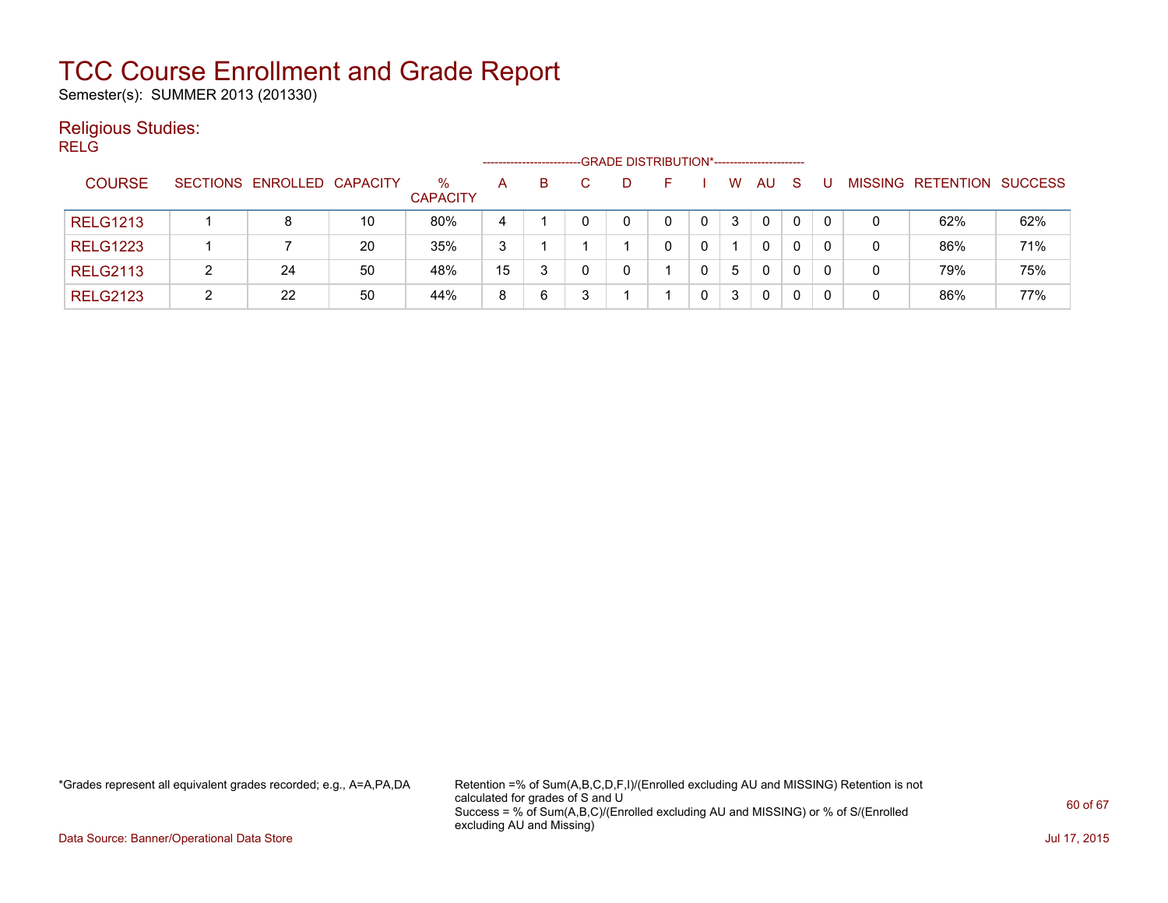Semester(s): SUMMER 2013 (201330)

### Religious Studies:

| I<br>v<br>v |
|-------------|
|             |

|                 |   | -GRADE DISTRIBUTION*----------------------- |    |                      |    |   |  |  |    |  |   |              |   |  |   |                           |     |
|-----------------|---|---------------------------------------------|----|----------------------|----|---|--|--|----|--|---|--------------|---|--|---|---------------------------|-----|
| <b>COURSE</b>   |   | SECTIONS ENROLLED CAPACITY                  |    | ℅<br><b>CAPACITY</b> | A  | B |  |  | н. |  | W | AU           | S |  |   | MISSING RETENTION SUCCESS |     |
| <b>RELG1213</b> |   | 8                                           | 10 | 80%                  | 4  |   |  |  |    |  | 3 | $\mathbf{0}$ | 0 |  | 0 | 62%                       | 62% |
| <b>RELG1223</b> |   |                                             | 20 | 35%                  | 3  |   |  |  |    |  |   | $\mathbf{0}$ | 0 |  | 0 | 86%                       | 71% |
| <b>RELG2113</b> |   | 24                                          | 50 | 48%                  | 15 | 3 |  |  |    |  | 5 | 0            | 0 |  | 0 | 79%                       | 75% |
| <b>RELG2123</b> | っ | 22                                          | 50 | 44%                  | 8  | 6 |  |  |    |  | 3 | 0            | 0 |  | 0 | 86%                       | 77% |

\*Grades represent all equivalent grades recorded; e.g., A=A,PA,DA Retention =% of Sum(A,B,C,D,F,I)/(Enrolled excluding AU and MISSING) Retention is not calculated for grades of S and U Success = % of Sum(A,B,C)/(Enrolled excluding AU and MISSING) or % of S/(Enrolled excluding AU and Missing)

Data Source: Banner/Operational Data Store Jul 17, 2015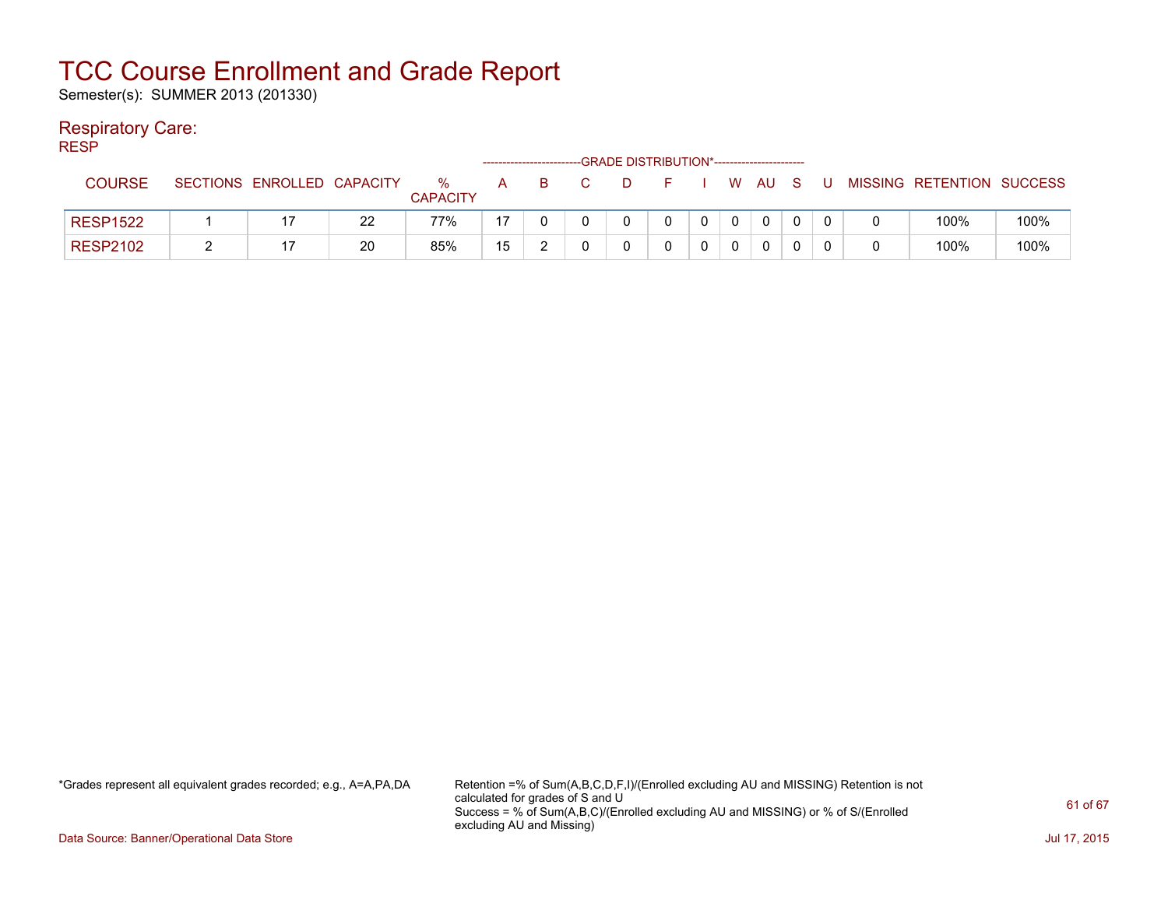Semester(s): SUMMER 2013 (201330)

### Respiratory Care:

RESP

|                 |          |                   |    |                         |    |   |   | -GRADE DISTRIBUTION*----------------------- |             |        |   |                           |      |
|-----------------|----------|-------------------|----|-------------------------|----|---|---|---------------------------------------------|-------------|--------|---|---------------------------|------|
| <b>COURSE</b>   | SECTIONS | ENROLLED CAPACITY |    | $\%$<br><b>CAPACITY</b> | A  | B | D | E.                                          |             | W AU S | U | MISSING RETENTION SUCCESS |      |
| <b>RESP1522</b> |          |                   | 22 | 77%                     | 17 |   |   |                                             | $\mathbf 0$ |        |   | 100%                      | 100% |
| <b>RESP2102</b> |          |                   | 20 | 85%                     | 15 |   |   |                                             |             |        |   | 100%                      | 100% |

\*Grades represent all equivalent grades recorded; e.g., A=A,PA,DA Retention =% of Sum(A,B,C,D,F,I)/(Enrolled excluding AU and MISSING) Retention is not calculated for grades of S and U Success = % of Sum(A,B,C)/(Enrolled excluding AU and MISSING) or % of S/(Enrolled excluding AU and Missing)

Data Source: Banner/Operational Data Store Jul 17, 2015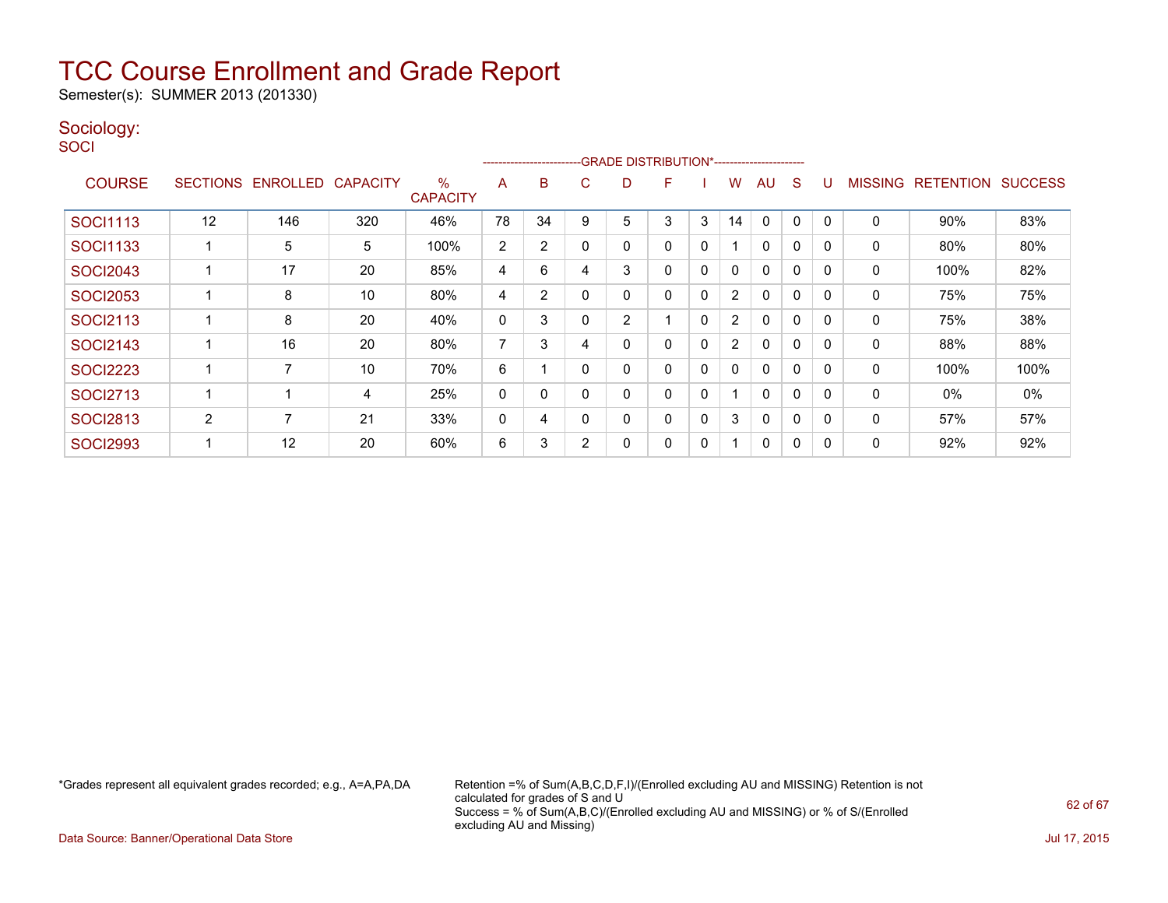Semester(s): SUMMER 2013 (201330)

### Sociology:

**SOCI** 

|                 | ------------------------GRADE                DISTRIBUTION*---------------------- |                 |                 |                                  |    |                |              |   |   |             |                |              |              |          |                |                  |                |
|-----------------|----------------------------------------------------------------------------------|-----------------|-----------------|----------------------------------|----|----------------|--------------|---|---|-------------|----------------|--------------|--------------|----------|----------------|------------------|----------------|
| <b>COURSE</b>   | <b>SECTIONS</b>                                                                  | <b>ENROLLED</b> | <b>CAPACITY</b> | $\frac{0}{0}$<br><b>CAPACITY</b> | A  | B              | C            | D | F |             | W              | AU           | S            |          | <b>MISSING</b> | <b>RETENTION</b> | <b>SUCCESS</b> |
| <b>SOCI1113</b> | 12                                                                               | 146             | 320             | 46%                              | 78 | 34             | 9            | 5 | 3 | 3           | 14             | $\mathbf{0}$ | 0            |          | 0              | 90%              | 83%            |
| <b>SOCI1133</b> |                                                                                  | 5               | 5               | 100%                             | 2  | $\overline{2}$ | $\mathbf{0}$ | ი | 0 | 0           |                | $\mathbf{0}$ | $\mathbf{0}$ | 0        | 0              | 80%              | 80%            |
| <b>SOCI2043</b> |                                                                                  | 17              | 20              | 85%                              | 4  | 6              | 4            | 3 | 0 | 0           | 0              | $\mathbf{0}$ | 0            | $\Omega$ | 0              | 100%             | 82%            |
| <b>SOCI2053</b> |                                                                                  | 8               | 10              | 80%                              | 4  | 2              |              | 0 | 0 | 0           | $\overline{2}$ | 0            | 0            | $\Omega$ | 0              | 75%              | 75%            |
| <b>SOCI2113</b> |                                                                                  | 8               | 20              | 40%                              | 0  | 3              | $\Omega$     | 2 |   | $\mathbf 0$ | $\overline{2}$ | $\mathbf{0}$ | 0            | $\Omega$ | 0              | 75%              | 38%            |
| <b>SOCI2143</b> |                                                                                  | 16              | 20              | 80%                              | 7  | 3              | 4            | 0 | 0 | 0           | $\overline{2}$ | $\mathbf{0}$ | 0            | $\Omega$ | 0              | 88%              | 88%            |
| <b>SOCI2223</b> |                                                                                  | $\overline{7}$  | 10              | 70%                              | 6  |                | $\Omega$     | 0 | 0 | 0           | $\mathbf{0}$   | $\mathbf{0}$ | 0            | 0        | $\Omega$       | 100%             | 100%           |
| <b>SOCI2713</b> |                                                                                  |                 | 4               | 25%                              | 0  | 0              | $\Omega$     |   | 0 | 0           |                | $\mathbf{0}$ | 0            | 0        | $\Omega$       | 0%               | 0%             |
| <b>SOCI2813</b> | $\overline{2}$                                                                   | 7               | 21              | 33%                              | 0  | 4              | $\Omega$     | 0 | 0 | 0           | 3              | $\mathbf{0}$ | 0            | $\Omega$ | 0              | 57%              | 57%            |
| <b>SOCI2993</b> |                                                                                  | 12              | 20              | 60%                              | 6  | 3              | 2            |   | 0 | 0           |                | 0            | 0            | 0        | 0              | 92%              | 92%            |

\*Grades represent all equivalent grades recorded; e.g., A=A,PA,DA Retention =% of Sum(A,B,C,D,F,I)/(Enrolled excluding AU and MISSING) Retention is not calculated for grades of S and U Success = % of Sum(A,B,C)/(Enrolled excluding AU and MISSING) or % of S/(Enrolled excluding AU and Missing)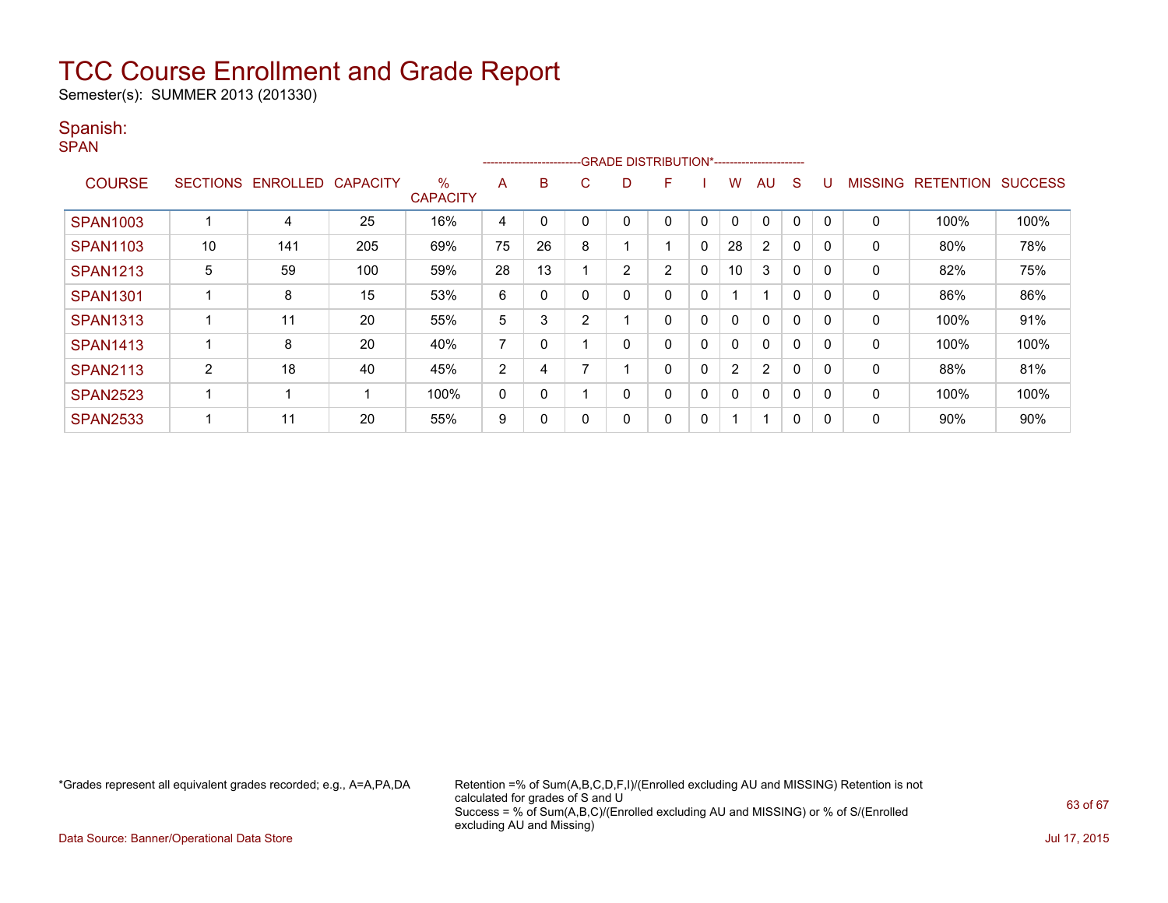Semester(s): SUMMER 2013 (201330)

### Spanish:

SPAN

|                 | ------------------------GRADE DISTRIBUTION*----------------------- |                 |                 |                      |                |    |    |   |                |              |              |                |              |          |                |                  |                |
|-----------------|--------------------------------------------------------------------|-----------------|-----------------|----------------------|----------------|----|----|---|----------------|--------------|--------------|----------------|--------------|----------|----------------|------------------|----------------|
| <b>COURSE</b>   | <b>SECTIONS</b>                                                    | <b>ENROLLED</b> | <b>CAPACITY</b> | %<br><b>CAPACITY</b> | A              | в  | C. | D | F              |              | w            | AU             | S            |          | <b>MISSING</b> | <b>RETENTION</b> | <b>SUCCESS</b> |
| <b>SPAN1003</b> |                                                                    | 4               | 25              | 16%                  | 4              |    |    |   | 0              | 0            | $\mathbf{0}$ | $\Omega$       | 0            | $\Omega$ | 0              | 100%             | 100%           |
| <b>SPAN1103</b> | 10                                                                 | 141             | 205             | 69%                  | 75             | 26 | 8  |   |                | 0            | 28           | $\overline{2}$ | $\Omega$     |          | 0              | 80%              | 78%            |
| <b>SPAN1213</b> | 5                                                                  | 59              | 100             | 59%                  | 28             | 13 |    | 2 | $\overline{2}$ | $\mathbf{0}$ | 10           | 3              | $\mathbf{0}$ | $\Omega$ | 0              | 82%              | 75%            |
| <b>SPAN1301</b> |                                                                    | 8               | 15              | 53%                  | 6              | 0  |    | 0 | 0              | 0            |              | 1              | $\mathbf{0}$ | $\Omega$ | 0              | 86%              | 86%            |
| <b>SPAN1313</b> |                                                                    | 11              | 20              | 55%                  | 5              | 3  | 2  |   | 0              | 0            | $\mathbf{0}$ | $\mathbf{0}$   | $\Omega$     |          | 0              | 100%             | 91%            |
| <b>SPAN1413</b> |                                                                    | 8               | 20              | 40%                  | $\overline{ }$ | 0  |    |   | 0              | $\mathbf{0}$ | $\mathbf{0}$ | $\mathbf{0}$   | $\Omega$     |          | 0              | 100%             | 100%           |
| <b>SPAN2113</b> | 2                                                                  | 18              | 40              | 45%                  | 2              | 4  |    |   | 0              | $\mathbf{0}$ | 2            | $\overline{2}$ | $\mathbf{0}$ | $\Omega$ | 0              | 88%              | 81%            |
| <b>SPAN2523</b> |                                                                    |                 |                 | 100%                 | 0              | 0  |    | 0 | 0              | 0            | 0            | $\mathbf{0}$   | $\Omega$     | $\Omega$ | $\Omega$       | 100%             | 100%           |
| <b>SPAN2533</b> |                                                                    | 11              | 20              | 55%                  | 9              | 0  |    | 0 | 0              | 0            |              | 1              | 0            |          | 0              | 90%              | 90%            |

\*Grades represent all equivalent grades recorded; e.g., A=A,PA,DA Retention =% of Sum(A,B,C,D,F,I)/(Enrolled excluding AU and MISSING) Retention is not calculated for grades of S and U Success = % of Sum(A,B,C)/(Enrolled excluding AU and MISSING) or % of S/(Enrolled excluding AU and Missing)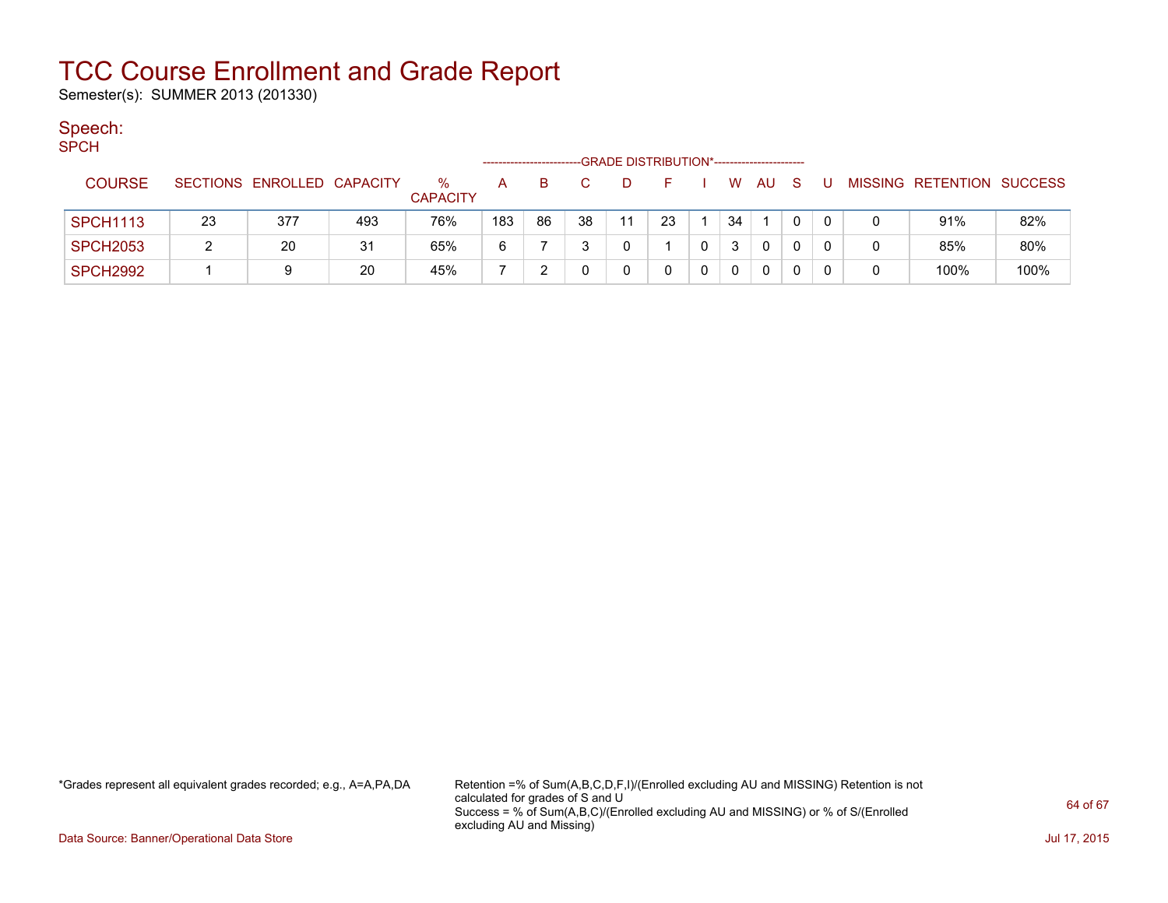Semester(s): SUMMER 2013 (201330)

### Speech:

| ۰. | ۰.<br>w |  |
|----|---------|--|

|                 |    |                            |     |                         | ------------------- |    |    | -GRADE DISTRIBUTION*---------------------- |    |   |    |     |          |   |                           |      |
|-----------------|----|----------------------------|-----|-------------------------|---------------------|----|----|--------------------------------------------|----|---|----|-----|----------|---|---------------------------|------|
| <b>COURSE</b>   |    | SECTIONS ENROLLED CAPACITY |     | $\%$<br><b>CAPACITY</b> | А                   | B. |    |                                            |    |   | W  | AU. |          |   | MISSING RETENTION SUCCESS |      |
| <b>SPCH1113</b> | 23 | 377                        | 493 | 76%                     | 183                 | 86 | 38 | 11                                         | 23 |   | 34 |     | 0        |   | 91%                       | 82%  |
| <b>SPCH2053</b> |    | 20                         | 31  | 65%                     | 6                   |    |    |                                            |    |   |    |     |          | 0 | 85%                       | 80%  |
| <b>SPCH2992</b> |    | 9                          | 20  | 45%                     |                     |    |    |                                            |    | 0 |    |     | $\Omega$ | 0 | 100%                      | 100% |

\*Grades represent all equivalent grades recorded; e.g., A=A,PA,DA Retention =% of Sum(A,B,C,D,F,I)/(Enrolled excluding AU and MISSING) Retention is not calculated for grades of S and U Success = % of Sum(A,B,C)/(Enrolled excluding AU and MISSING) or % of S/(Enrolled excluding AU and Missing)

Data Source: Banner/Operational Data Store Jul 17, 2015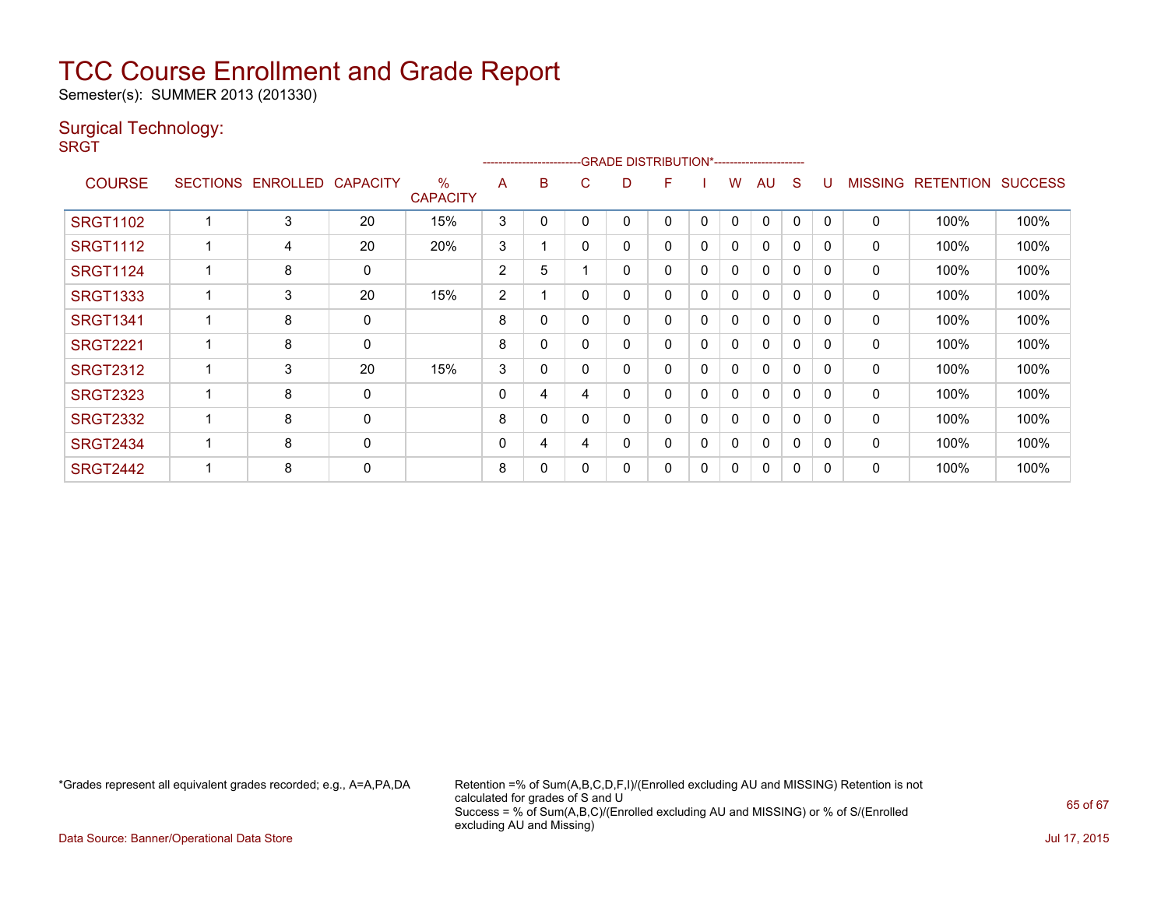Semester(s): SUMMER 2013 (201330)

### Surgical Technology:

**SRGT** 

|                 |                 |                   |    | ------------------------GRADE                DISTRIBUTION*---------------------- |             |   |              |   |   |   |              |              |   |          |                |                  |                |
|-----------------|-----------------|-------------------|----|----------------------------------------------------------------------------------|-------------|---|--------------|---|---|---|--------------|--------------|---|----------|----------------|------------------|----------------|
| <b>COURSE</b>   | <b>SECTIONS</b> | ENROLLED CAPACITY |    | %<br><b>CAPACITY</b>                                                             | A           | B | C            | D | F |   | w            | AU           | S |          | <b>MISSING</b> | <b>RETENTION</b> | <b>SUCCESS</b> |
| <b>SRGT1102</b> |                 | 3                 | 20 | 15%                                                                              | 3           | 0 |              |   | 0 | 0 | 0            | $\Omega$     | 0 |          | 0              | 100%             | 100%           |
| <b>SRGT1112</b> |                 | 4                 | 20 | 20%                                                                              | 3           |   | $\mathbf{0}$ | 0 | 0 | 0 | 0            | $\mathbf{0}$ | 0 | 0        | 0              | 100%             | 100%           |
| <b>SRGT1124</b> |                 | 8                 | 0  |                                                                                  | 2           | 5 |              | 0 | 0 | 0 | $\mathbf{0}$ | $\mathbf{0}$ | 0 | $\Omega$ | 0              | 100%             | 100%           |
| <b>SRGT1333</b> |                 | 3                 | 20 | 15%                                                                              | 2           |   | $\Omega$     | ი | 0 | 0 | 0            | $\mathbf{0}$ | 0 | $\Omega$ | 0              | 100%             | 100%           |
| <b>SRGT1341</b> |                 | 8                 | 0  |                                                                                  | 8           | 0 | 0            | 0 | 0 | 0 | 0            | $\mathbf{0}$ | 0 | 0        | 0              | 100%             | 100%           |
| <b>SRGT2221</b> |                 | 8                 | 0  |                                                                                  | 8           | 0 |              |   | 0 | 0 | 0            | $\mathbf{0}$ | 0 | $\Omega$ | 0              | 100%             | 100%           |
| <b>SRGT2312</b> |                 | 3                 | 20 | 15%                                                                              | 3           | 0 | $\Omega$     | 0 | 0 | 0 | 0            | $\mathbf{0}$ | 0 | $\Omega$ | 0              | 100%             | 100%           |
| <b>SRGT2323</b> |                 | 8                 | 0  |                                                                                  | $\mathbf 0$ | 4 | 4            |   | 0 | 0 | 0            | $\mathbf{0}$ | 0 | $\Omega$ | $\Omega$       | 100%             | 100%           |
| <b>SRGT2332</b> |                 | 8                 | 0  |                                                                                  | 8           | 0 | $\Omega$     |   | 0 | 0 | 0            | $\mathbf{0}$ | 0 | $\Omega$ | 0              | 100%             | 100%           |
| <b>SRGT2434</b> |                 | 8                 | 0  |                                                                                  | $\mathbf 0$ | 4 | 4            | Ω | 0 | 0 | $\mathbf{0}$ | $\mathbf{0}$ | 0 | $\Omega$ | $\Omega$       | 100%             | 100%           |
| <b>SRGT2442</b> |                 | 8                 | 0  |                                                                                  | 8           | 0 | $\Omega$     | ი | 0 | 0 | $\mathbf{0}$ | $\mathbf{0}$ | 0 | C        | 0              | 100%             | 100%           |

\*Grades represent all equivalent grades recorded; e.g., A=A,PA,DA Retention =% of Sum(A,B,C,D,F,I)/(Enrolled excluding AU and MISSING) Retention is not calculated for grades of S and U Success = % of Sum(A,B,C)/(Enrolled excluding AU and MISSING) or % of S/(Enrolled excluding AU and Missing)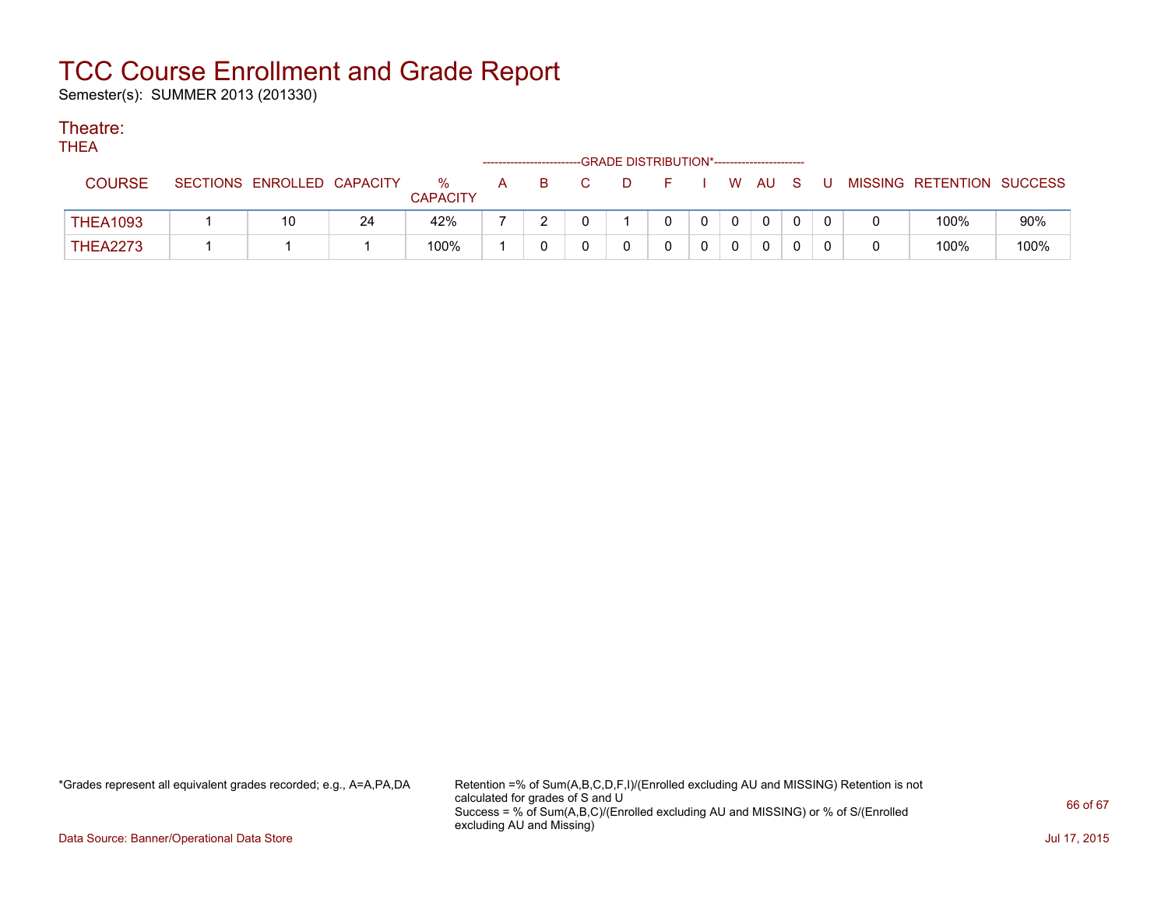Semester(s): SUMMER 2013 (201330)

### Theatre:

THEA

| .               | --GRADE DISTRIBUTION*-----------------------<br>-------------------------- |                            |    |                         |   |   |  |  |  |             |                |                |              |  |                           |      |
|-----------------|----------------------------------------------------------------------------|----------------------------|----|-------------------------|---|---|--|--|--|-------------|----------------|----------------|--------------|--|---------------------------|------|
| <b>COURSE</b>   |                                                                            | SECTIONS ENROLLED CAPACITY |    | $\%$<br><b>CAPACITY</b> | A | B |  |  |  |             |                | W AU S         |              |  | MISSING RETENTION SUCCESS |      |
| <b>THEA1093</b> |                                                                            | 10                         | 24 | 42%                     |   |   |  |  |  | $\mathbf 0$ | 0 <sup>1</sup> | $\overline{0}$ | $\Omega$     |  | 100%                      | 90%  |
| <b>THEA2273</b> |                                                                            |                            |    | 100%                    |   |   |  |  |  | 0           | $\overline{0}$ | 0              | $\mathbf{0}$ |  | 100%                      | 100% |

\*Grades represent all equivalent grades recorded; e.g., A=A,PA,DA Retention =% of Sum(A,B,C,D,F,I)/(Enrolled excluding AU and MISSING) Retention is not calculated for grades of S and U Success = % of Sum(A,B,C)/(Enrolled excluding AU and MISSING) or % of S/(Enrolled excluding AU and Missing)

Data Source: Banner/Operational Data Store Jul 17, 2015